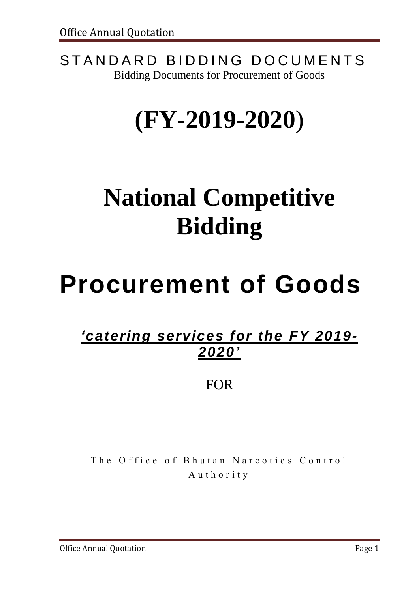STANDARD BIDDING DOCUMENTS Bidding Documents for Procurement of Goods

# **(FY-2019-2020**)

# **National Competitive Bidding**

# **Procurement of Goods**

## *'catering services for the FY 2019- 2020'*

FOR

The Office of Bhutan Narcotics Control Authority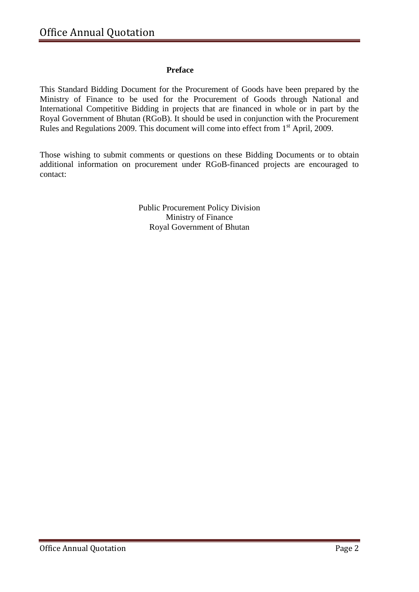#### **Preface**

This Standard Bidding Document for the Procurement of Goods have been prepared by the Ministry of Finance to be used for the Procurement of Goods through National and International Competitive Bidding in projects that are financed in whole or in part by the Royal Government of Bhutan (RGoB). It should be used in conjunction with the Procurement Rules and Regulations 2009. This document will come into effect from 1<sup>st</sup> April, 2009.

Those wishing to submit comments or questions on these Bidding Documents or to obtain additional information on procurement under RGoB-financed projects are encouraged to contact:

> Public Procurement Policy Division Ministry of Finance Royal Government of Bhutan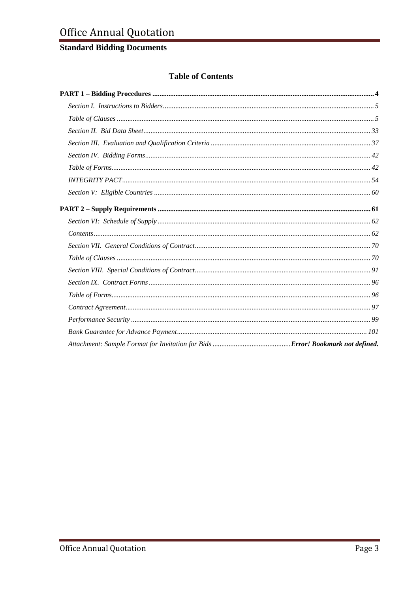### **Standard Bidding Documents**

#### **Table of Contents**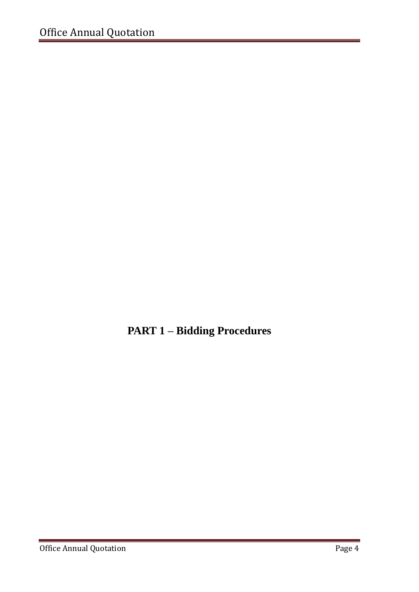<span id="page-3-0"></span>**PART 1 – Bidding Procedures**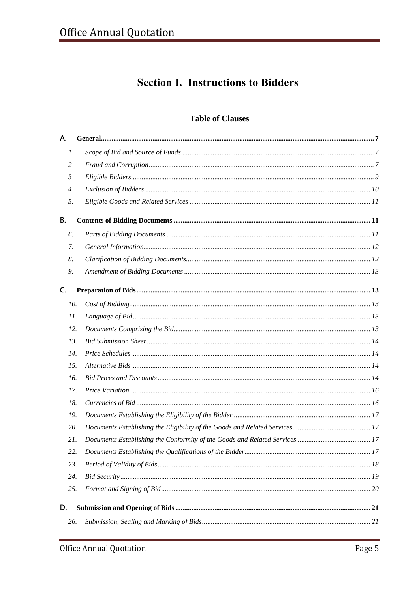### **Section I. Instructions to Bidders**

#### **Table of Clauses**

<span id="page-4-1"></span><span id="page-4-0"></span>

| А.               |  |
|------------------|--|
| $\boldsymbol{l}$ |  |
| 2                |  |
| 3                |  |
| $\overline{4}$   |  |
| 5.               |  |
| В.               |  |
| 6.               |  |
| 7.               |  |
| 8.               |  |
| 9.               |  |
| C.               |  |
| 10.              |  |
| 11.              |  |
| 12.              |  |
| 13.              |  |
| 14.              |  |
| 15.              |  |
| 16.              |  |
| 17.              |  |
| 18.              |  |
| 19.              |  |
| 20.              |  |
| 21.              |  |
| 22.              |  |
| 23.              |  |
| 24.              |  |
| 25.              |  |
| D.               |  |
| 26.              |  |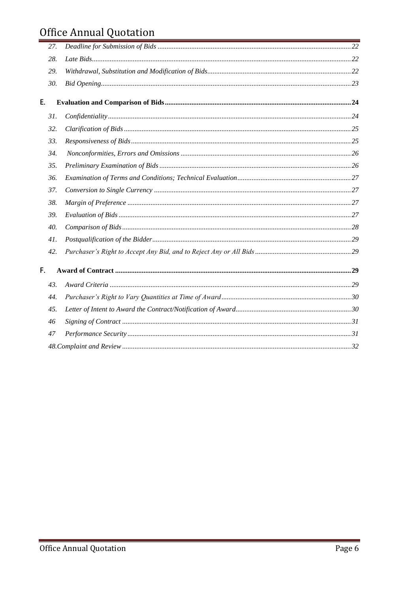## Office Annual Quotation

|    | 27. |  |
|----|-----|--|
|    | 28. |  |
|    | 29. |  |
|    | 30. |  |
| Ε. |     |  |
|    | 31. |  |
|    | 32. |  |
|    | 33. |  |
|    | 34. |  |
|    | 35. |  |
|    | 36. |  |
|    | 37. |  |
|    | 38. |  |
|    | 39. |  |
|    | 40. |  |
|    | 41. |  |
|    | 42. |  |
| F. |     |  |
|    | 43. |  |
|    | 44. |  |
|    | 45. |  |
|    | 46  |  |
|    | 47  |  |
|    |     |  |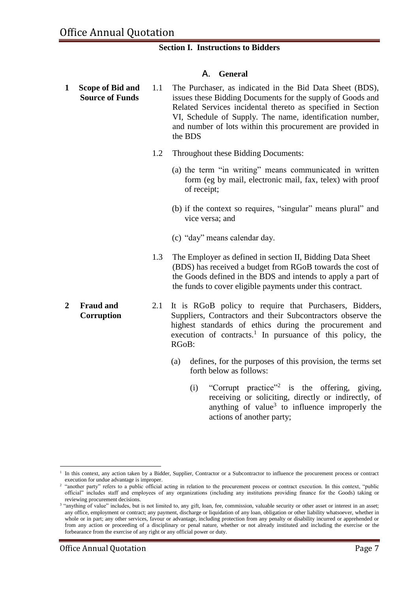#### **Section I. Instructions to Bidders**

#### **A. General**

- **1 Scope of Bid and Source of Funds** 1.1 The Purchaser, as indicated in the Bid Data Sheet (BDS), issues these Bidding Documents for the supply of Goods and Related Services incidental thereto as specified in Section VI, Schedule of Supply. The name, identification number, and number of lots within this procurement are provided in the BDS
	- 1.2 Throughout these Bidding Documents:
		- (a) the term "in writing" means communicated in written form (eg by mail, electronic mail, fax, telex) with proof of receipt;
		- (b) if the context so requires, "singular" means plural" and vice versa; and
		- (c) "day" means calendar day.
	- 1.3 The Employer as defined in section II, Bidding Data Sheet (BDS) has received a budget from RGoB towards the cost of the Goods defined in the BDS and intends to apply a part of the funds to cover eligible payments under this contract.
- **2 Fraud and Corruption**  2.1 It is RGoB policy to require that Purchasers, Bidders, Suppliers, Contractors and their Subcontractors observe the highest standards of ethics during the procurement and execution of contracts.<sup>1</sup> In pursuance of this policy, the RGoB:
	- (a) defines, for the purposes of this provision, the terms set forth below as follows:
		- (i) "Corrupt practice"<sup>2</sup> is the offering, giving, receiving or soliciting, directly or indirectly, of anything of value<sup>3</sup> to influence improperly the actions of another party;

<sup>&</sup>lt;u>.</u> 1 In this context, any action taken by a Bidder, Supplier, Contractor or a Subcontractor to influence the procurement process or contract execution for undue advantage is improper.

<sup>&</sup>lt;sup>2</sup> "another party" refers to a public official acting in relation to the procurement process or contract execution. In this context, "public official" includes staff and employees of any organizations (including any institutions providing finance for the Goods) taking or reviewing procurement decisions.

<sup>&</sup>lt;sup>3</sup> "anything of value" includes, but is not limited to, any gift, loan, fee, commission, valuable security or other asset or interest in an asset; any office, employment or contract; any payment, discharge or liquidation of any loan, obligation or other liability whatsoever, whether in whole or in part; any other services, favour or advantage, including protection from any penalty or disability incurred or apprehended or from any action or proceeding of a disciplinary or penal nature, whether or not already instituted and including the exercise or the forbearance from the exercise of any right or any official power or duty.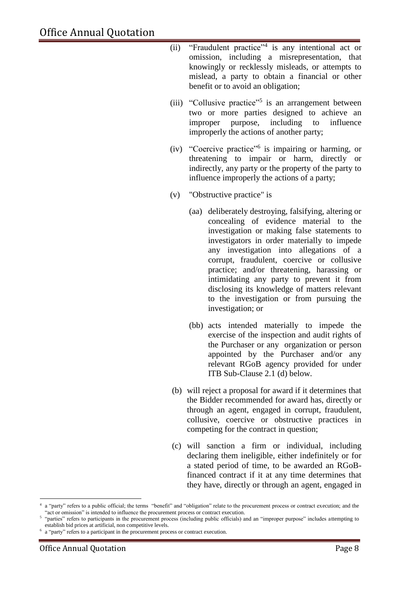- (ii) "Fraudulent practice"<sup>4</sup> is any intentional act or omission, including a misrepresentation, that knowingly or recklessly misleads, or attempts to mislead, a party to obtain a financial or other benefit or to avoid an obligation;
- (iii) "Collusive practice"<sup>5</sup> is an arrangement between two or more parties designed to achieve an improper purpose, including to influence improperly the actions of another party;
- (iv) "Coercive practice" 6 is impairing or harming, or threatening to impair or harm, directly or indirectly, any party or the property of the party to influence improperly the actions of a party;
- (v) "Obstructive practice" is
	- (aa) deliberately destroying, falsifying, altering or concealing of evidence material to the investigation or making false statements to investigators in order materially to impede any investigation into allegations of a corrupt, fraudulent, coercive or collusive practice; and/or threatening, harassing or intimidating any party to prevent it from disclosing its knowledge of matters relevant to the investigation or from pursuing the investigation; or
	- (bb) acts intended materially to impede the exercise of the inspection and audit rights of the Purchaser or any organization or person appointed by the Purchaser and/or any relevant RGoB agency provided for under ITB Sub-Clause 2.1 (d) below.
- (b) will reject a proposal for award if it determines that the Bidder recommended for award has, directly or through an agent, engaged in corrupt, fraudulent, collusive, coercive or obstructive practices in competing for the contract in question;
- (c) will sanction a firm or individual, including declaring them ineligible, either indefinitely or for a stated period of time, to be awarded an RGoBfinanced contract if it at any time determines that they have, directly or through an agent, engaged in

<sup>1</sup> 4 a "party" refers to a public official; the terms "benefit" and "obligation" relate to the procurement process or contract execution; and the "act or omission" is intended to influence the procurement process or contract execution.

<sup>&</sup>lt;sup>5</sup> "parties" refers to participants in the procurement process (including public officials) and an "improper purpose" includes attempting to establish bid prices at artificial, non competitive levels.

<sup>6</sup> a "party" refers to a participant in the procurement process or contract execution.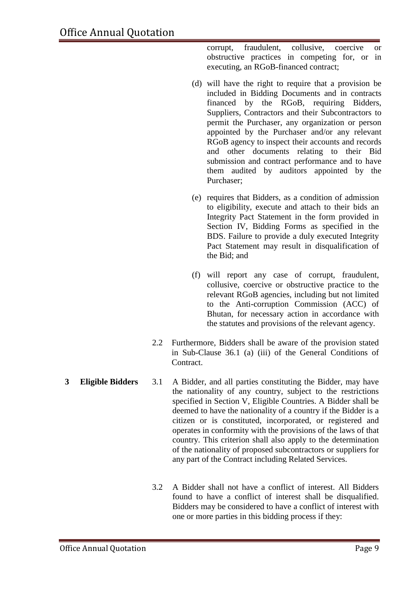corrupt, fraudulent, collusive, coercive or obstructive practices in competing for, or in executing, an RGoB-financed contract;

- (d) will have the right to require that a provision be included in Bidding Documents and in contracts financed by the RGoB, requiring Bidders, Suppliers, Contractors and their Subcontractors to permit the Purchaser, any organization or person appointed by the Purchaser and/or any relevant RGoB agency to inspect their accounts and records and other documents relating to their Bid submission and contract performance and to have them audited by auditors appointed by the Purchaser;
- (e) requires that Bidders, as a condition of admission to eligibility, execute and attach to their bids an Integrity Pact Statement in the form provided in Section IV, Bidding Forms as specified in the BDS. Failure to provide a duly executed Integrity Pact Statement may result in disqualification of the Bid; and
- (f) will report any case of corrupt, fraudulent, collusive, coercive or obstructive practice to the relevant RGoB agencies, including but not limited to the Anti-corruption Commission (ACC) of Bhutan, for necessary action in accordance with the statutes and provisions of the relevant agency.
- 2.2 Furthermore, Bidders shall be aware of the provision stated in Sub-Clause 36.1 (a) (iii) of the General Conditions of Contract.
- **3 Eligible Bidders** 3.1 A Bidder, and all parties constituting the Bidder, may have the nationality of any country, subject to the restrictions specified in Section V, Eligible Countries. A Bidder shall be deemed to have the nationality of a country if the Bidder is a citizen or is constituted, incorporated, or registered and operates in conformity with the provisions of the laws of that country. This criterion shall also apply to the determination of the nationality of proposed subcontractors or suppliers for any part of the Contract including Related Services.
	- 3.2 A Bidder shall not have a conflict of interest. All Bidders found to have a conflict of interest shall be disqualified. Bidders may be considered to have a conflict of interest with one or more parties in this bidding process if they: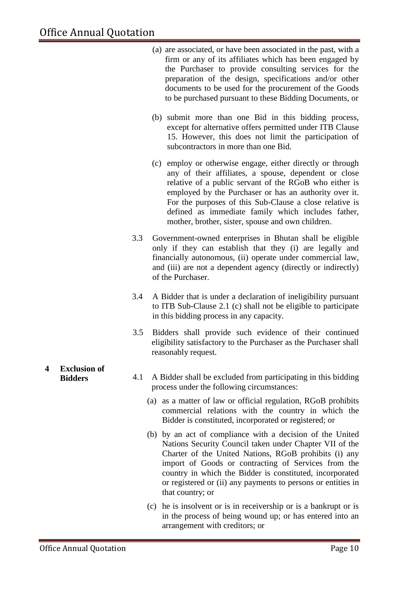- (a) are associated, or have been associated in the past, with a firm or any of its affiliates which has been engaged by the Purchaser to provide consulting services for the preparation of the design, specifications and/or other documents to be used for the procurement of the Goods to be purchased pursuant to these Bidding Documents, or
- (b) submit more than one Bid in this bidding process, except for alternative offers permitted under ITB Clause 15. However, this does not limit the participation of subcontractors in more than one Bid.
- (c) employ or otherwise engage, either directly or through any of their affiliates, a spouse, dependent or close relative of a public servant of the RGoB who either is employed by the Purchaser or has an authority over it. For the purposes of this Sub-Clause a close relative is defined as immediate family which includes father, mother, brother, sister, spouse and own children.
- 3.3 Government-owned enterprises in Bhutan shall be eligible only if they can establish that they (i) are legally and financially autonomous, (ii) operate under commercial law, and (iii) are not a dependent agency (directly or indirectly) of the Purchaser.
- 3.4 A Bidder that is under a declaration of ineligibility pursuant to ITB Sub-Clause 2.1 (c) shall not be eligible to participate in this bidding process in any capacity.
- 3.5 Bidders shall provide such evidence of their continued eligibility satisfactory to the Purchaser as the Purchaser shall reasonably request.
- **Bidders** 4.1 A Bidder shall be excluded from participating in this bidding process under the following circumstances:
	- (a) as a matter of law or official regulation, RGoB prohibits commercial relations with the country in which the Bidder is constituted, incorporated or registered; or
	- (b) by an act of compliance with a decision of the United Nations Security Council taken under Chapter VII of the Charter of the United Nations, RGoB prohibits (i) any import of Goods or contracting of Services from the country in which the Bidder is constituted, incorporated or registered or (ii) any payments to persons or entities in that country; or
	- (c) he is insolvent or is in receivership or is a bankrupt or is in the process of being wound up; or has entered into an arrangement with creditors; or

## **4 Exclusion of**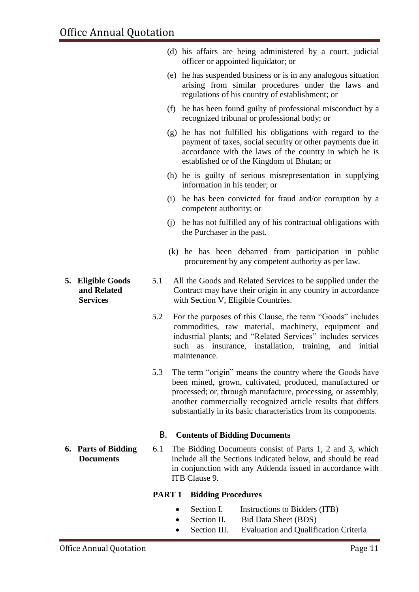|                                                     |     |                   | (d) his affairs are being administered by a court, judicial<br>officer or appointed liquidator; or                                                                                                                                                                                                                      |
|-----------------------------------------------------|-----|-------------------|-------------------------------------------------------------------------------------------------------------------------------------------------------------------------------------------------------------------------------------------------------------------------------------------------------------------------|
|                                                     |     |                   | (e) he has suspended business or is in any analogous situation<br>arising from similar procedures under the laws and<br>regulations of his country of establishment; or                                                                                                                                                 |
|                                                     |     |                   | (f) he has been found guilty of professional misconduct by a<br>recognized tribunal or professional body; or                                                                                                                                                                                                            |
|                                                     |     |                   | (g) he has not fulfilled his obligations with regard to the<br>payment of taxes, social security or other payments due in<br>accordance with the laws of the country in which he is<br>established or of the Kingdom of Bhutan; or                                                                                      |
|                                                     |     |                   | (h) he is guilty of serious misrepresentation in supplying<br>information in his tender; or                                                                                                                                                                                                                             |
|                                                     |     |                   | (i) he has been convicted for fraud and/or corruption by a<br>competent authority; or                                                                                                                                                                                                                                   |
|                                                     |     |                   | (j) he has not fulfilled any of his contractual obligations with<br>the Purchaser in the past.                                                                                                                                                                                                                          |
|                                                     |     |                   | (k) he has been debarred from participation in public<br>procurement by any competent authority as per law.                                                                                                                                                                                                             |
| 5. Eligible Goods<br>and Related<br><b>Services</b> | 5.1 |                   | All the Goods and Related Services to be supplied under the<br>Contract may have their origin in any country in accordance<br>with Section V, Eligible Countries.                                                                                                                                                       |
|                                                     | 5.2 |                   | For the purposes of this Clause, the term "Goods" includes<br>commodities, raw material, machinery, equipment and<br>industrial plants; and "Related Services" includes services<br>such as insurance, installation, training, and initial<br>maintenance.                                                              |
|                                                     | 5.3 |                   | The term "origin" means the country where the Goods have<br>been mined, grown, cultivated, produced, manufactured or<br>processed; or, through manufacture, processing, or assembly,<br>another commercially recognized article results that differs<br>substantially in its basic characteristics from its components. |
|                                                     | В.  |                   | <b>Contents of Bidding Documents</b>                                                                                                                                                                                                                                                                                    |
| <b>6. Parts of Bidding</b><br><b>Documents</b>      | 6.1 |                   | The Bidding Documents consist of Parts 1, 2 and 3, which<br>include all the Sections indicated below, and should be read<br>in conjunction with any Addenda issued in accordance with<br>ITB Clause 9.                                                                                                                  |
|                                                     |     | PART <sub>1</sub> | <b>Bidding Procedures</b>                                                                                                                                                                                                                                                                                               |
|                                                     |     |                   | Section I.<br>Instructions to Bidders (ITB)                                                                                                                                                                                                                                                                             |

- Section II. Bid Data Sheet (BDS)
- Section III. Evaluation and Qualification Criteria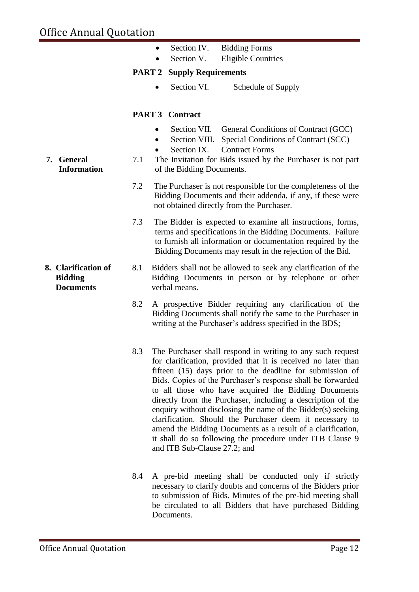- Section IV. Bidding Forms
- Section V. Eligible Countries

#### **PART 2 Supply Requirements**

Section VI. Schedule of Supply

#### **PART 3 Contract**

- Section VII. General Conditions of Contract (GCC)
- Section VIII. Special Conditions of Contract (SCC)
- Section IX. Contract Forms
- 7.1 The Invitation for Bids issued by the Purchaser is not part of the Bidding Documents.
- 7.2 The Purchaser is not responsible for the completeness of the Bidding Documents and their addenda, if any, if these were not obtained directly from the Purchaser.
- 7.3 The Bidder is expected to examine all instructions, forms, terms and specifications in the Bidding Documents. Failure to furnish all information or documentation required by the Bidding Documents may result in the rejection of the Bid.
- **8. Clarification of Bidding Documents** 8.1 Bidders shall not be allowed to seek any clarification of the Bidding Documents in person or by telephone or other verbal means.
	- 8.2 A prospective Bidder requiring any clarification of the Bidding Documents shall notify the same to the Purchaser in writing at the Purchaser's address specified in the BDS;
	- 8.3 The Purchaser shall respond in writing to any such request for clarification, provided that it is received no later than fifteen (15) days prior to the deadline for submission of Bids. Copies of the Purchaser's response shall be forwarded to all those who have acquired the Bidding Documents directly from the Purchaser, including a description of the enquiry without disclosing the name of the Bidder(s) seeking clarification. Should the Purchaser deem it necessary to amend the Bidding Documents as a result of a clarification, it shall do so following the procedure under ITB Clause 9 and ITB Sub-Clause 27.2; and
	- 8.4 A pre-bid meeting shall be conducted only if strictly necessary to clarify doubts and concerns of the Bidders prior to submission of Bids. Minutes of the pre-bid meeting shall be circulated to all Bidders that have purchased Bidding Documents.

#### **7. General Information**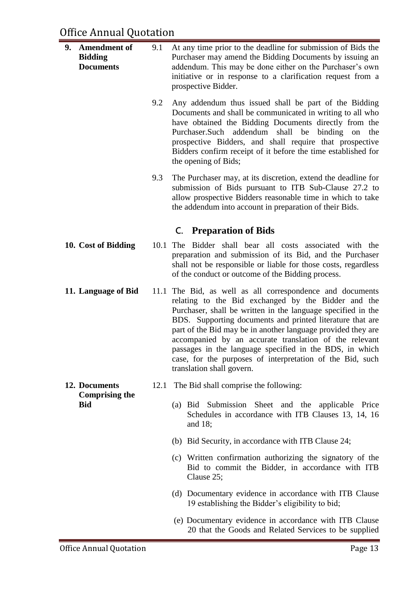| 9.<br><b>Amendment of</b><br><b>Bidding</b><br><b>Documents</b> |                                     | 9.1  | At any time prior to the deadline for submission of Bids the<br>Purchaser may amend the Bidding Documents by issuing an<br>addendum. This may be done either on the Purchaser's own<br>initiative or in response to a clarification request from a<br>prospective Bidder.                                                                                                                                                                                                                                               |
|-----------------------------------------------------------------|-------------------------------------|------|-------------------------------------------------------------------------------------------------------------------------------------------------------------------------------------------------------------------------------------------------------------------------------------------------------------------------------------------------------------------------------------------------------------------------------------------------------------------------------------------------------------------------|
|                                                                 |                                     | 9.2  | Any addendum thus issued shall be part of the Bidding<br>Documents and shall be communicated in writing to all who<br>have obtained the Bidding Documents directly from the<br>addendum shall be<br>binding on<br>Purchaser.Such<br>the<br>prospective Bidders, and shall require that prospective<br>Bidders confirm receipt of it before the time established for<br>the opening of Bids;                                                                                                                             |
|                                                                 |                                     | 9.3  | The Purchaser may, at its discretion, extend the deadline for<br>submission of Bids pursuant to ITB Sub-Clause 27.2 to<br>allow prospective Bidders reasonable time in which to take<br>the addendum into account in preparation of their Bids.                                                                                                                                                                                                                                                                         |
|                                                                 |                                     |      | <b>C.</b> Preparation of Bids                                                                                                                                                                                                                                                                                                                                                                                                                                                                                           |
|                                                                 | 10. Cost of Bidding                 |      | 10.1 The Bidder shall bear all costs associated with the<br>preparation and submission of its Bid, and the Purchaser<br>shall not be responsible or liable for those costs, regardless<br>of the conduct or outcome of the Bidding process.                                                                                                                                                                                                                                                                             |
|                                                                 | 11. Language of Bid                 | 11.1 | The Bid, as well as all correspondence and documents<br>relating to the Bid exchanged by the Bidder and the<br>Purchaser, shall be written in the language specified in the<br>BDS. Supporting documents and printed literature that are<br>part of the Bid may be in another language provided they are<br>accompanied by an accurate translation of the relevant<br>passages in the language specified in the BDS, in which<br>case, for the purposes of interpretation of the Bid, such<br>translation shall govern. |
|                                                                 | 12. Documents                       | 12.1 | The Bid shall comprise the following:                                                                                                                                                                                                                                                                                                                                                                                                                                                                                   |
|                                                                 | <b>Comprising the</b><br><b>Bid</b> |      | (a) Bid Submission Sheet and the applicable Price<br>Schedules in accordance with ITB Clauses 13, 14, 16<br>and $18$ ;                                                                                                                                                                                                                                                                                                                                                                                                  |
|                                                                 |                                     |      | (b) Bid Security, in accordance with ITB Clause 24;                                                                                                                                                                                                                                                                                                                                                                                                                                                                     |
|                                                                 |                                     |      | (c) Written confirmation authorizing the signatory of the<br>Bid to commit the Bidder, in accordance with ITB<br>Clause 25;                                                                                                                                                                                                                                                                                                                                                                                             |
|                                                                 |                                     |      | (d) Documentary evidence in accordance with ITB Clause<br>19 establishing the Bidder's eligibility to bid;                                                                                                                                                                                                                                                                                                                                                                                                              |
|                                                                 |                                     |      | (e) Documentary evidence in accordance with ITB Clause<br>20 that the Goods and Related Services to be supplied                                                                                                                                                                                                                                                                                                                                                                                                         |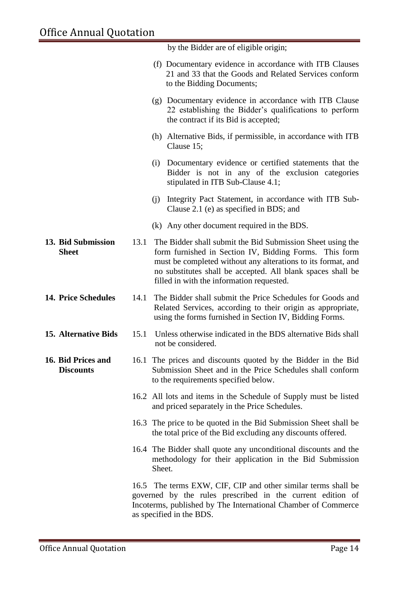|                                        |      | by the Bidder are of eligible origin;                                                                                                                                                                                                                                                            |
|----------------------------------------|------|--------------------------------------------------------------------------------------------------------------------------------------------------------------------------------------------------------------------------------------------------------------------------------------------------|
|                                        |      | (f) Documentary evidence in accordance with ITB Clauses<br>21 and 33 that the Goods and Related Services conform<br>to the Bidding Documents;                                                                                                                                                    |
|                                        |      | (g) Documentary evidence in accordance with ITB Clause<br>22 establishing the Bidder's qualifications to perform<br>the contract if its Bid is accepted;                                                                                                                                         |
|                                        |      | (h) Alternative Bids, if permissible, in accordance with ITB<br>Clause 15;                                                                                                                                                                                                                       |
|                                        |      | (i) Documentary evidence or certified statements that the<br>Bidder is not in any of the exclusion categories<br>stipulated in ITB Sub-Clause 4.1;                                                                                                                                               |
|                                        |      | Integrity Pact Statement, in accordance with ITB Sub-<br>(i)<br>Clause 2.1 (e) as specified in BDS; and                                                                                                                                                                                          |
|                                        |      | (k) Any other document required in the BDS.                                                                                                                                                                                                                                                      |
| 13. Bid Submission<br><b>Sheet</b>     | 13.1 | The Bidder shall submit the Bid Submission Sheet using the<br>form furnished in Section IV, Bidding Forms. This form<br>must be completed without any alterations to its format, and<br>no substitutes shall be accepted. All blank spaces shall be<br>filled in with the information requested. |
| <b>14. Price Schedules</b>             | 14.1 | The Bidder shall submit the Price Schedules for Goods and<br>Related Services, according to their origin as appropriate,<br>using the forms furnished in Section IV, Bidding Forms.                                                                                                              |
| <b>15. Alternative Bids</b>            | 15.1 | Unless otherwise indicated in the BDS alternative Bids shall<br>not be considered.                                                                                                                                                                                                               |
| 16. Bid Prices and<br><b>Discounts</b> |      | 16.1 The prices and discounts quoted by the Bidder in the Bid<br>Submission Sheet and in the Price Schedules shall conform<br>to the requirements specified below.                                                                                                                               |
|                                        |      | 16.2 All lots and items in the Schedule of Supply must be listed<br>and priced separately in the Price Schedules.                                                                                                                                                                                |
|                                        |      | 16.3 The price to be quoted in the Bid Submission Sheet shall be<br>the total price of the Bid excluding any discounts offered.                                                                                                                                                                  |
|                                        |      | 16.4 The Bidder shall quote any unconditional discounts and the<br>methodology for their application in the Bid Submission<br>Sheet.                                                                                                                                                             |
|                                        |      | 16.5 The terms EXW, CIF, CIP and other similar terms shall be<br>governed by the rules prescribed in the current edition of<br>Incoterms, published by The International Chamber of Commerce<br>as specified in the BDS.                                                                         |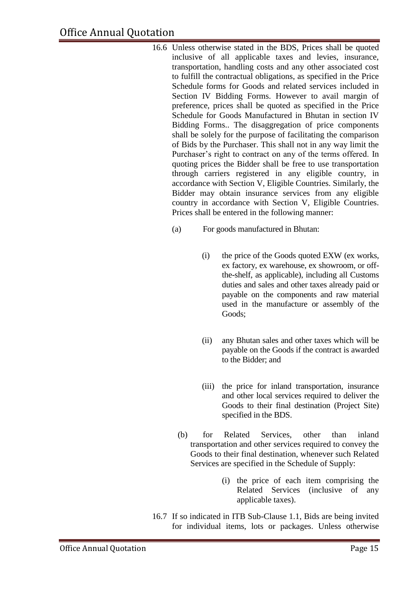- 16.6 Unless otherwise stated in the BDS, Prices shall be quoted inclusive of all applicable taxes and levies, insurance, transportation, handling costs and any other associated cost to fulfill the contractual obligations, as specified in the Price Schedule forms for Goods and related services included in Section IV Bidding Forms. However to avail margin of preference, prices shall be quoted as specified in the Price Schedule for Goods Manufactured in Bhutan in section IV Bidding Forms.. The disaggregation of price components shall be solely for the purpose of facilitating the comparison of Bids by the Purchaser. This shall not in any way limit the Purchaser's right to contract on any of the terms offered. In quoting prices the Bidder shall be free to use transportation through carriers registered in any eligible country, in accordance with Section V, Eligible Countries. Similarly, the Bidder may obtain insurance services from any eligible country in accordance with Section V, Eligible Countries. Prices shall be entered in the following manner:
	- (a) For goods manufactured in Bhutan:
		- (i) the price of the Goods quoted EXW (ex works, ex factory, ex warehouse, ex showroom, or offthe-shelf, as applicable), including all Customs duties and sales and other taxes already paid or payable on the components and raw material used in the manufacture or assembly of the Goods;
		- (ii) any Bhutan sales and other taxes which will be payable on the Goods if the contract is awarded to the Bidder; and
		- (iii) the price for inland transportation, insurance and other local services required to deliver the Goods to their final destination (Project Site) specified in the BDS.
		- (b) for Related Services, other than inland transportation and other services required to convey the Goods to their final destination, whenever such Related Services are specified in the Schedule of Supply:
			- (i) the price of each item comprising the Related Services (inclusive of any applicable taxes).
- 16.7 If so indicated in ITB Sub-Clause 1.1, Bids are being invited for individual items, lots or packages. Unless otherwise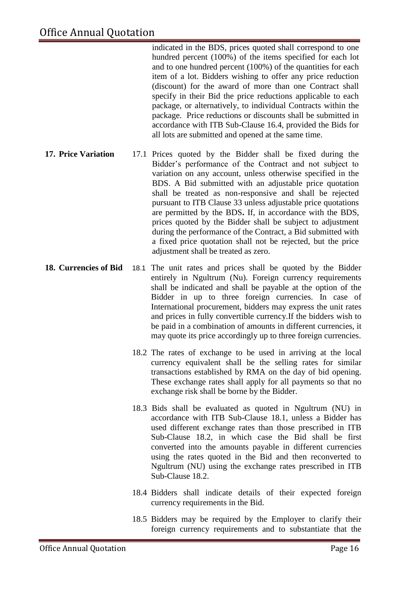indicated in the BDS, prices quoted shall correspond to one hundred percent (100%) of the items specified for each lot and to one hundred percent (100%) of the quantities for each item of a lot. Bidders wishing to offer any price reduction (discount) for the award of more than one Contract shall specify in their Bid the price reductions applicable to each package, or alternatively, to individual Contracts within the package. Price reductions or discounts shall be submitted in accordance with ITB Sub-Clause 16.4, provided the Bids for all lots are submitted and opened at the same time.

- **17. Price Variation** 17.1 Prices quoted by the Bidder shall be fixed during the Bidder's performance of the Contract and not subject to variation on any account, unless otherwise specified in the BDS. A Bid submitted with an adjustable price quotation shall be treated as non-responsive and shall be rejected pursuant to ITB Clause 33 unless adjustable price quotations are permitted by the BDS**.** If, in accordance with the BDS, prices quoted by the Bidder shall be subject to adjustment during the performance of the Contract, a Bid submitted with a fixed price quotation shall not be rejected, but the price adjustment shall be treated as zero.
- **18. Currencies of Bid** 18.1 The unit rates and prices shall be quoted by the Bidder entirely in Ngultrum (Nu). Foreign currency requirements shall be indicated and shall be payable at the option of the Bidder in up to three foreign currencies. In case of International procurement, bidders may express the unit rates and prices in fully convertible currency.If the bidders wish to be paid in a combination of amounts in different currencies, it may quote its price accordingly up to three foreign currencies.
	- 18.2 The rates of exchange to be used in arriving at the local currency equivalent shall be the selling rates for similar transactions established by RMA on the day of bid opening. These exchange rates shall apply for all payments so that no exchange risk shall be borne by the Bidder.
	- 18.3 Bids shall be evaluated as quoted in Ngultrum (NU) in accordance with ITB Sub-Clause 18.1, unless a Bidder has used different exchange rates than those prescribed in ITB Sub-Clause 18.2, in which case the Bid shall be first converted into the amounts payable in different currencies using the rates quoted in the Bid and then reconverted to Ngultrum (NU) using the exchange rates prescribed in ITB Sub-Clause 18.2.
	- 18.4 Bidders shall indicate details of their expected foreign currency requirements in the Bid.
	- 18.5 Bidders may be required by the Employer to clarify their foreign currency requirements and to substantiate that the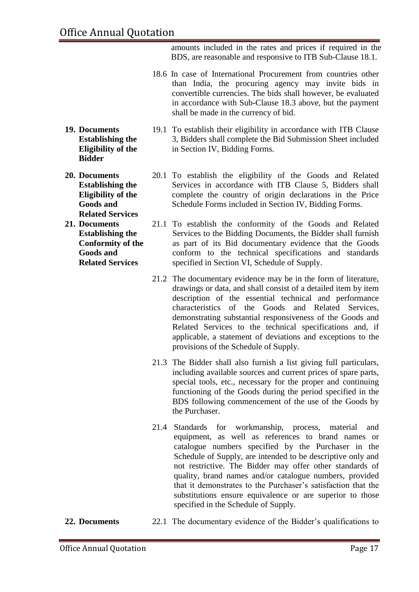amounts included in the rates and prices if required in the BDS, are reasonable and responsive to ITB Sub-Clause 18.1.

- 18.6 In case of International Procurement from countries other than India, the procuring agency may invite bids in convertible currencies. The bids shall however, be evaluated in accordance with Sub-Clause 18.3 above, but the payment shall be made in the currency of bid.
- **19. Documents Establishing the Eligibility of the Bidder**
- **20. Documents Establishing the Eligibility of the Goods and Related Services**
- **21. Documents Establishing the Conformity of the Goods and Related Services**
- 19.1 To establish their eligibility in accordance with ITB Clause 3, Bidders shall complete the Bid Submission Sheet included in Section IV, Bidding Forms.
- 20.1 To establish the eligibility of the Goods and Related Services in accordance with ITB Clause 5, Bidders shall complete the country of origin declarations in the Price Schedule Forms included in Section IV, Bidding Forms.
- 21.1 To establish the conformity of the Goods and Related Services to the Bidding Documents, the Bidder shall furnish as part of its Bid documentary evidence that the Goods conform to the technical specifications and standards specified in Section VI, Schedule of Supply.
- 21.2 The documentary evidence may be in the form of literature, drawings or data, and shall consist of a detailed item by item description of the essential technical and performance characteristics of the Goods and Related Services, demonstrating substantial responsiveness of the Goods and Related Services to the technical specifications and, if applicable, a statement of deviations and exceptions to the provisions of the Schedule of Supply.
- 21.3 The Bidder shall also furnish a list giving full particulars, including available sources and current prices of spare parts, special tools, etc., necessary for the proper and continuing functioning of the Goods during the period specified in the BDS following commencement of the use of the Goods by the Purchaser.
- 21.4 Standards for workmanship, process, material and equipment, as well as references to brand names or catalogue numbers specified by the Purchaser in the Schedule of Supply, are intended to be descriptive only and not restrictive. The Bidder may offer other standards of quality, brand names and/or catalogue numbers, provided that it demonstrates to the Purchaser's satisfaction that the substitutions ensure equivalence or are superior to those specified in the Schedule of Supply.
- **22. Documents** 22.1 The documentary evidence of the Bidder's qualifications to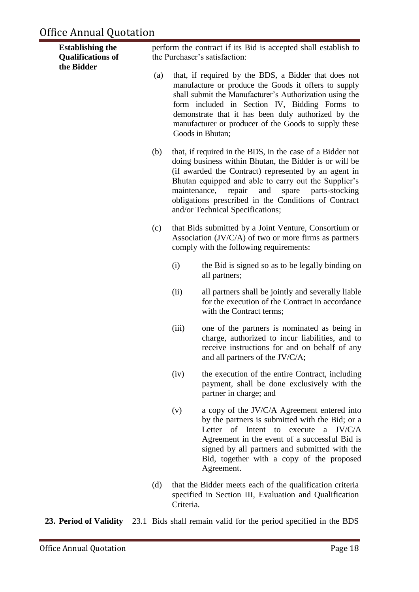## Office Annual Quotation

| <b>Establishing the</b><br><b>Qualifications of</b><br>the Bidder |     |           | perform the contract if its Bid is accepted shall establish to<br>the Purchaser's satisfaction:                                                                                                                                                                                                                                                                                       |
|-------------------------------------------------------------------|-----|-----------|---------------------------------------------------------------------------------------------------------------------------------------------------------------------------------------------------------------------------------------------------------------------------------------------------------------------------------------------------------------------------------------|
|                                                                   | (a) |           | that, if required by the BDS, a Bidder that does not<br>manufacture or produce the Goods it offers to supply<br>shall submit the Manufacturer's Authorization using the<br>form included in Section IV, Bidding Forms to<br>demonstrate that it has been duly authorized by the<br>manufacturer or producer of the Goods to supply these<br>Goods in Bhutan;                          |
|                                                                   | (b) |           | that, if required in the BDS, in the case of a Bidder not<br>doing business within Bhutan, the Bidder is or will be<br>(if awarded the Contract) represented by an agent in<br>Bhutan equipped and able to carry out the Supplier's<br>maintenance, repair<br>and<br>spare parts-stocking<br>obligations prescribed in the Conditions of Contract<br>and/or Technical Specifications; |
|                                                                   | (c) |           | that Bids submitted by a Joint Venture, Consortium or<br>Association $(JV/C/A)$ of two or more firms as partners<br>comply with the following requirements:                                                                                                                                                                                                                           |
|                                                                   |     | (i)       | the Bid is signed so as to be legally binding on<br>all partners;                                                                                                                                                                                                                                                                                                                     |
|                                                                   |     | (ii)      | all partners shall be jointly and severally liable<br>for the execution of the Contract in accordance<br>with the Contract terms;                                                                                                                                                                                                                                                     |
|                                                                   |     | (iii)     | one of the partners is nominated as being in<br>charge, authorized to incur liabilities, and to<br>receive instructions for and on behalf of any<br>and all partners of the JV/C/A;                                                                                                                                                                                                   |
|                                                                   |     | (iv)      | the execution of the entire Contract, including<br>payment, shall be done exclusively with the<br>partner in charge; and                                                                                                                                                                                                                                                              |
|                                                                   |     | (v)       | a copy of the JV/C/A Agreement entered into<br>by the partners is submitted with the Bid; or a<br>Intent<br>Letter of<br>a $JV/C/A$<br>to<br>execute<br>Agreement in the event of a successful Bid is<br>signed by all partners and submitted with the<br>Bid, together with a copy of the proposed<br>Agreement.                                                                     |
|                                                                   | (d) | Criteria. | that the Bidder meets each of the qualification criteria<br>specified in Section III, Evaluation and Qualification                                                                                                                                                                                                                                                                    |

**23. Period of Validity** 23.1 Bids shall remain valid for the period specified in the BDS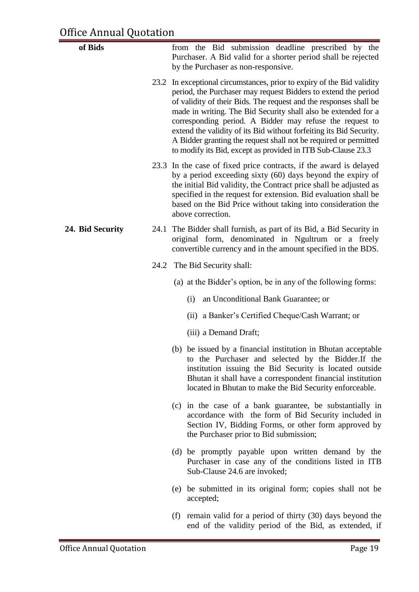| of Bids          | from the Bid submission deadline prescribed by the<br>Purchaser. A Bid valid for a shorter period shall be rejected<br>by the Purchaser as non-responsive.                                                                                                                                                                                                                                                                                                                                                                                             |
|------------------|--------------------------------------------------------------------------------------------------------------------------------------------------------------------------------------------------------------------------------------------------------------------------------------------------------------------------------------------------------------------------------------------------------------------------------------------------------------------------------------------------------------------------------------------------------|
|                  | 23.2 In exceptional circumstances, prior to expiry of the Bid validity<br>period, the Purchaser may request Bidders to extend the period<br>of validity of their Bids. The request and the responses shall be<br>made in writing. The Bid Security shall also be extended for a<br>corresponding period. A Bidder may refuse the request to<br>extend the validity of its Bid without forfeiting its Bid Security.<br>A Bidder granting the request shall not be required or permitted<br>to modify its Bid, except as provided in ITB Sub-Clause 23.3 |
|                  | 23.3 In the case of fixed price contracts, if the award is delayed<br>by a period exceeding sixty (60) days beyond the expiry of<br>the initial Bid validity, the Contract price shall be adjusted as<br>specified in the request for extension. Bid evaluation shall be<br>based on the Bid Price without taking into consideration the<br>above correction.                                                                                                                                                                                          |
| 24. Bid Security | 24.1 The Bidder shall furnish, as part of its Bid, a Bid Security in<br>original form, denominated in Ngultrum or a freely<br>convertible currency and in the amount specified in the BDS.                                                                                                                                                                                                                                                                                                                                                             |
|                  | 24.2 The Bid Security shall:                                                                                                                                                                                                                                                                                                                                                                                                                                                                                                                           |
|                  | (a) at the Bidder's option, be in any of the following forms:                                                                                                                                                                                                                                                                                                                                                                                                                                                                                          |
|                  | an Unconditional Bank Guarantee; or<br>(i)                                                                                                                                                                                                                                                                                                                                                                                                                                                                                                             |
|                  | (ii) a Banker's Certified Cheque/Cash Warrant; or                                                                                                                                                                                                                                                                                                                                                                                                                                                                                                      |
|                  | (iii) a Demand Draft;                                                                                                                                                                                                                                                                                                                                                                                                                                                                                                                                  |
|                  | (b) be issued by a financial institution in Bhutan acceptable<br>to the Purchaser and selected by the Bidder. If the<br>institution issuing the Bid Security is located outside<br>Bhutan it shall have a correspondent financial institution<br>located in Bhutan to make the Bid Security enforceable.                                                                                                                                                                                                                                               |
|                  | (c) in the case of a bank guarantee, be substantially in<br>accordance with the form of Bid Security included in<br>Section IV, Bidding Forms, or other form approved by<br>the Purchaser prior to Bid submission;                                                                                                                                                                                                                                                                                                                                     |
|                  | (d) be promptly payable upon written demand by the<br>Purchaser in case any of the conditions listed in ITB<br>Sub-Clause 24.6 are invoked;                                                                                                                                                                                                                                                                                                                                                                                                            |
|                  | (e) be submitted in its original form; copies shall not be<br>accepted;                                                                                                                                                                                                                                                                                                                                                                                                                                                                                |
|                  | (f) remain valid for a period of thirty $(30)$ days beyond the<br>end of the validity period of the Bid, as extended, if                                                                                                                                                                                                                                                                                                                                                                                                                               |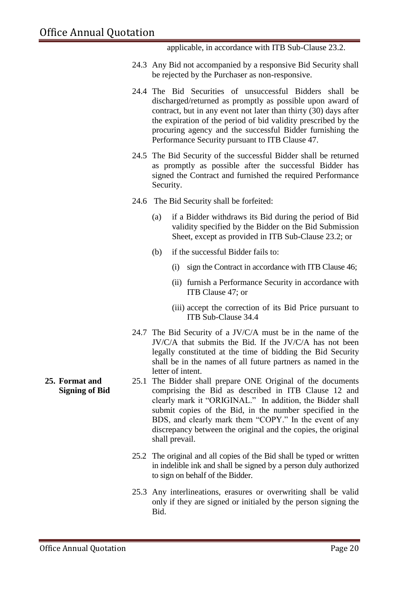applicable, in accordance with ITB Sub-Clause 23.2.

- 24.3 Any Bid not accompanied by a responsive Bid Security shall be rejected by the Purchaser as non-responsive.
- 24.4 The Bid Securities of unsuccessful Bidders shall be discharged/returned as promptly as possible upon award of contract, but in any event not later than thirty (30) days after the expiration of the period of bid validity prescribed by the procuring agency and the successful Bidder furnishing the Performance Security pursuant to ITB Clause 47.
- 24.5 The Bid Security of the successful Bidder shall be returned as promptly as possible after the successful Bidder has signed the Contract and furnished the required Performance Security.
- 24.6 The Bid Security shall be forfeited:
	- (a) if a Bidder withdraws its Bid during the period of Bid validity specified by the Bidder on the Bid Submission Sheet, except as provided in ITB Sub-Clause 23.2; or
	- (b) if the successful Bidder fails to:
		- (i) sign the Contract in accordance with ITB Clause 46;
		- (ii) furnish a Performance Security in accordance with ITB Clause 47; or
		- (iii) accept the correction of its Bid Price pursuant to ITB Sub-Clause 34.4
- 24.7 The Bid Security of a JV/C/A must be in the name of the JV/C/A that submits the Bid. If the JV/C/A has not been legally constituted at the time of bidding the Bid Security shall be in the names of all future partners as named in the letter of intent.
- 25.1 The Bidder shall prepare ONE Original of the documents comprising the Bid as described in ITB Clause 12 and clearly mark it "ORIGINAL." In addition, the Bidder shall submit copies of the Bid, in the number specified in the BDS, and clearly mark them "COPY." In the event of any discrepancy between the original and the copies, the original shall prevail.
- 25.2 The original and all copies of the Bid shall be typed or written in indelible ink and shall be signed by a person duly authorized to sign on behalf of the Bidder.
- 25.3 Any interlineations, erasures or overwriting shall be valid only if they are signed or initialed by the person signing the Bid.

**25. Format and Signing of Bid**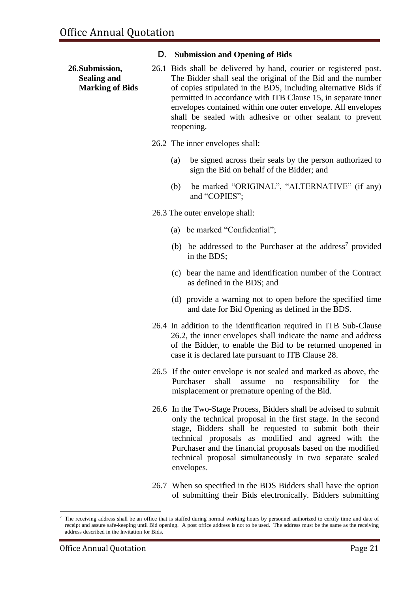#### **D. Submission and Opening of Bids**

- **26.Submission, Sealing and Marking of Bids** 26.1 Bids shall be delivered by hand, courier or registered post. The Bidder shall seal the original of the Bid and the number of copies stipulated in the BDS, including alternative Bids if permitted in accordance with ITB Clause 15, in separate inner envelopes contained within one outer envelope. All envelopes shall be sealed with adhesive or other sealant to prevent reopening.
	- 26.2 The inner envelopes shall:
		- (a) be signed across their seals by the person authorized to sign the Bid on behalf of the Bidder; and
		- (b) be marked "ORIGINAL", "ALTERNATIVE" (if any) and "COPIES";
	- 26.3 The outer envelope shall:
		- (a) be marked "Confidential";
		- (b) be addressed to the Purchaser at the address<sup>7</sup> provided in the BDS;
		- (c) bear the name and identification number of the Contract as defined in the BDS; and
		- (d) provide a warning not to open before the specified time and date for Bid Opening as defined in the BDS.
	- 26.4 In addition to the identification required in ITB Sub-Clause 26.2, the inner envelopes shall indicate the name and address of the Bidder, to enable the Bid to be returned unopened in case it is declared late pursuant to ITB Clause 28.
	- 26.5 If the outer envelope is not sealed and marked as above, the Purchaser shall assume no responsibility for the misplacement or premature opening of the Bid.
	- 26.6 In the Two-Stage Process, Bidders shall be advised to submit only the technical proposal in the first stage. In the second stage, Bidders shall be requested to submit both their technical proposals as modified and agreed with the Purchaser and the financial proposals based on the modified technical proposal simultaneously in two separate sealed envelopes.
	- 26.7 When so specified in the BDS Bidders shall have the option of submitting their Bids electronically. Bidders submitting

<sup>&</sup>lt;u>.</u> <sup>7</sup> The receiving address shall be an office that is staffed during normal working hours by personnel authorized to certify time and date of receipt and assure safe-keeping until Bid opening. A post office address is not to be used. The address must be the same as the receiving address described in the Invitation for Bids.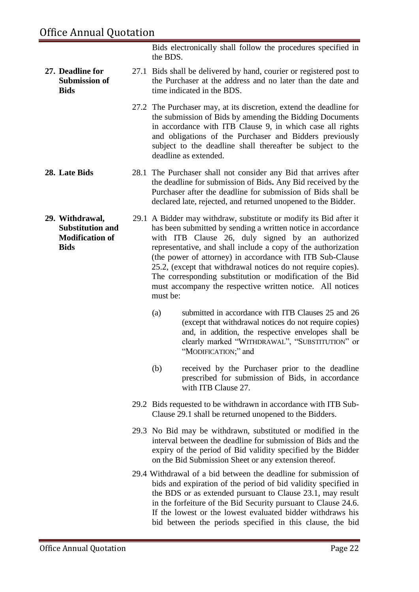**27. Deadline for** 

**Bids**

Bids electronically shall follow the procedures specified in the BDS.

- **Submission of**  27.1 Bids shall be delivered by hand, courier or registered post to the Purchaser at the address and no later than the date and time indicated in the BDS.
	- 27.2 The Purchaser may, at its discretion, extend the deadline for the submission of Bids by amending the Bidding Documents in accordance with ITB Clause 9, in which case all rights and obligations of the Purchaser and Bidders previously subject to the deadline shall thereafter be subject to the deadline as extended.
- **28. Late Bids** 28.1 The Purchaser shall not consider any Bid that arrives after the deadline for submission of Bids**.** Any Bid received by the Purchaser after the deadline for submission of Bids shall be declared late, rejected, and returned unopened to the Bidder.
- **29. Withdrawal, Substitution and Modification of Bids**  29.1 A Bidder may withdraw, substitute or modify its Bid after it has been submitted by sending a written notice in accordance with ITB Clause 26, duly signed by an authorized representative, and shall include a copy of the authorization (the power of attorney) in accordance with ITB Sub-Clause 25.2, (except that withdrawal notices do not require copies). The corresponding substitution or modification of the Bid must accompany the respective written notice. All notices must be:
	- (a) submitted in accordance with ITB Clauses 25 and 26 (except that withdrawal notices do not require copies) and, in addition, the respective envelopes shall be clearly marked "WITHDRAWAL", "SUBSTITUTION" or "MODIFICATION;" and
	- (b) received by the Purchaser prior to the deadline prescribed for submission of Bids, in accordance with ITB Clause 27.
	- 29.2 Bids requested to be withdrawn in accordance with ITB Sub-Clause 29.1 shall be returned unopened to the Bidders.
	- 29.3 No Bid may be withdrawn, substituted or modified in the interval between the deadline for submission of Bids and the expiry of the period of Bid validity specified by the Bidder on the Bid Submission Sheet or any extension thereof.
	- 29.4 Withdrawal of a bid between the deadline for submission of bids and expiration of the period of bid validity specified in the BDS or as extended pursuant to Clause 23.1, may result in the forfeiture of the Bid Security pursuant to Clause 24.6. If the lowest or the lowest evaluated bidder withdraws his bid between the periods specified in this clause, the bid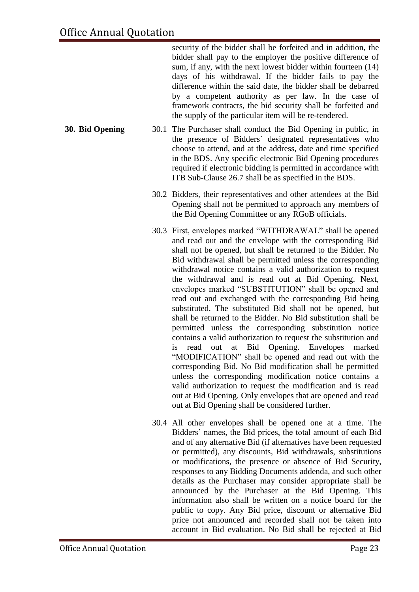security of the bidder shall be forfeited and in addition, the bidder shall pay to the employer the positive difference of sum, if any, with the next lowest bidder within fourteen (14) days of his withdrawal. If the bidder fails to pay the difference within the said date, the bidder shall be debarred by a competent authority as per law. In the case of framework contracts, the bid security shall be forfeited and the supply of the particular item will be re-tendered.

- **30. Bid Opening** 30.1 The Purchaser shall conduct the Bid Opening in public, in the presence of Bidders` designated representatives who choose to attend, and at the address, date and time specified in the BDS. Any specific electronic Bid Opening procedures required if electronic bidding is permitted in accordance with ITB Sub-Clause 26.7 shall be as specified in the BDS.
	- 30.2 Bidders, their representatives and other attendees at the Bid Opening shall not be permitted to approach any members of the Bid Opening Committee or any RGoB officials.
	- 30.3 First, envelopes marked "WITHDRAWAL" shall be opened and read out and the envelope with the corresponding Bid shall not be opened, but shall be returned to the Bidder. No Bid withdrawal shall be permitted unless the corresponding withdrawal notice contains a valid authorization to request the withdrawal and is read out at Bid Opening. Next, envelopes marked "SUBSTITUTION" shall be opened and read out and exchanged with the corresponding Bid being substituted. The substituted Bid shall not be opened, but shall be returned to the Bidder. No Bid substitution shall be permitted unless the corresponding substitution notice contains a valid authorization to request the substitution and is read out at Bid Opening. Envelopes marked "MODIFICATION" shall be opened and read out with the corresponding Bid. No Bid modification shall be permitted unless the corresponding modification notice contains a valid authorization to request the modification and is read out at Bid Opening. Only envelopes that are opened and read out at Bid Opening shall be considered further.
	- 30.4 All other envelopes shall be opened one at a time. The Bidders' names, the Bid prices, the total amount of each Bid and of any alternative Bid (if alternatives have been requested or permitted), any discounts, Bid withdrawals, substitutions or modifications, the presence or absence of Bid Security, responses to any Bidding Documents addenda, and such other details as the Purchaser may consider appropriate shall be announced by the Purchaser at the Bid Opening. This information also shall be written on a notice board for the public to copy. Any Bid price, discount or alternative Bid price not announced and recorded shall not be taken into account in Bid evaluation. No Bid shall be rejected at Bid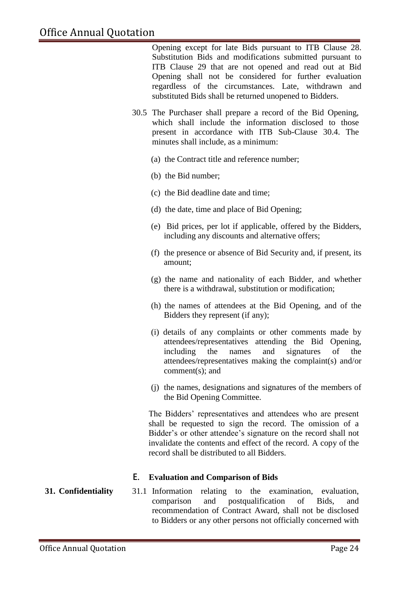Opening except for late Bids pursuant to ITB Clause 28. Substitution Bids and modifications submitted pursuant to ITB Clause 29 that are not opened and read out at Bid Opening shall not be considered for further evaluation regardless of the circumstances. Late, withdrawn and substituted Bids shall be returned unopened to Bidders.

- 30.5 The Purchaser shall prepare a record of the Bid Opening, which shall include the information disclosed to those present in accordance with ITB Sub-Clause 30.4. The minutes shall include, as a minimum:
	- (a) the Contract title and reference number;
	- (b) the Bid number;
	- (c) the Bid deadline date and time;
	- (d) the date, time and place of Bid Opening;
	- (e) Bid prices, per lot if applicable, offered by the Bidders, including any discounts and alternative offers;
	- (f) the presence or absence of Bid Security and, if present, its amount;
	- (g) the name and nationality of each Bidder, and whether there is a withdrawal, substitution or modification;
	- (h) the names of attendees at the Bid Opening, and of the Bidders they represent (if any);
	- (i) details of any complaints or other comments made by attendees/representatives attending the Bid Opening, including the names and signatures of the attendees/representatives making the complaint(s) and/or comment(s); and
	- (j) the names, designations and signatures of the members of the Bid Opening Committee.

The Bidders' representatives and attendees who are present shall be requested to sign the record. The omission of a Bidder's or other attendee's signature on the record shall not invalidate the contents and effect of the record. A copy of the record shall be distributed to all Bidders.

#### **E. Evaluation and Comparison of Bids**

#### **31. Confidentiality** 31.1 Information relating to the examination, evaluation, comparison and postqualification of Bids, and recommendation of Contract Award, shall not be disclosed to Bidders or any other persons not officially concerned with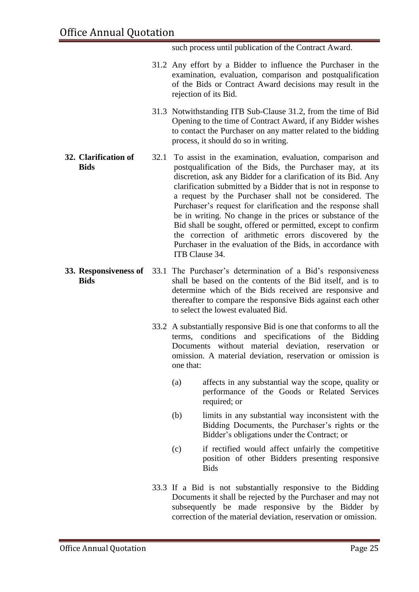such process until publication of the Contract Award.

- 31.2 Any effort by a Bidder to influence the Purchaser in the examination, evaluation, comparison and postqualification of the Bids or Contract Award decisions may result in the rejection of its Bid.
- 31.3 Notwithstanding ITB Sub-Clause 31.2, from the time of Bid Opening to the time of Contract Award, if any Bidder wishes to contact the Purchaser on any matter related to the bidding process, it should do so in writing.
- **32. Clarification of Bids** 32.1 To assist in the examination, evaluation, comparison and postqualification of the Bids, the Purchaser may, at its discretion, ask any Bidder for a clarification of its Bid. Any clarification submitted by a Bidder that is not in response to a request by the Purchaser shall not be considered. The Purchaser's request for clarification and the response shall be in writing. No change in the prices or substance of the Bid shall be sought, offered or permitted, except to confirm the correction of arithmetic errors discovered by the Purchaser in the evaluation of the Bids, in accordance with ITB Clause 34.
- **33. Responsiveness of**  33.1 The Purchaser's determination of a Bid's responsiveness **Bids** shall be based on the contents of the Bid itself, and is to determine which of the Bids received are responsive and thereafter to compare the responsive Bids against each other to select the lowest evaluated Bid.
	- 33.2 A substantially responsive Bid is one that conforms to all the terms, conditions and specifications of the Bidding Documents without material deviation, reservation or omission. A material deviation, reservation or omission is one that:
		- (a) affects in any substantial way the scope, quality or performance of the Goods or Related Services required; or
		- (b) limits in any substantial way inconsistent with the Bidding Documents, the Purchaser's rights or the Bidder's obligations under the Contract; or
		- (c) if rectified would affect unfairly the competitive position of other Bidders presenting responsive **Bids**
	- 33.3 If a Bid is not substantially responsive to the Bidding Documents it shall be rejected by the Purchaser and may not subsequently be made responsive by the Bidder by correction of the material deviation, reservation or omission.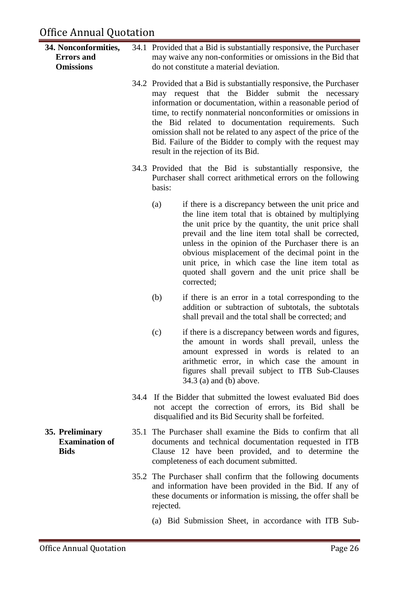- **34. Nonconformities, Errors and Omissions** 34.1 Provided that a Bid is substantially responsive, the Purchaser may waive any non-conformities or omissions in the Bid that do not constitute a material deviation.
	- 34.2 Provided that a Bid is substantially responsive, the Purchaser may request that the Bidder submit the necessary information or documentation, within a reasonable period of time, to rectify nonmaterial nonconformities or omissions in the Bid related to documentation requirements. Such omission shall not be related to any aspect of the price of the Bid. Failure of the Bidder to comply with the request may result in the rejection of its Bid.
	- 34.3 Provided that the Bid is substantially responsive, the Purchaser shall correct arithmetical errors on the following basis:
		- (a) if there is a discrepancy between the unit price and the line item total that is obtained by multiplying the unit price by the quantity, the unit price shall prevail and the line item total shall be corrected, unless in the opinion of the Purchaser there is an obvious misplacement of the decimal point in the unit price, in which case the line item total as quoted shall govern and the unit price shall be corrected;
		- (b) if there is an error in a total corresponding to the addition or subtraction of subtotals, the subtotals shall prevail and the total shall be corrected; and
		- (c) if there is a discrepancy between words and figures, the amount in words shall prevail, unless the amount expressed in words is related to an arithmetic error, in which case the amount in figures shall prevail subject to ITB Sub-Clauses 34.3 (a) and (b) above.
	- 34.4 If the Bidder that submitted the lowest evaluated Bid does not accept the correction of errors, its Bid shall be disqualified and its Bid Security shall be forfeited.
	- 35.1 The Purchaser shall examine the Bids to confirm that all documents and technical documentation requested in ITB Clause 12 have been provided, and to determine the completeness of each document submitted.
		- 35.2 The Purchaser shall confirm that the following documents and information have been provided in the Bid. If any of these documents or information is missing, the offer shall be rejected.
			- (a) Bid Submission Sheet, in accordance with ITB Sub-

**35. Preliminary Examination of Bids**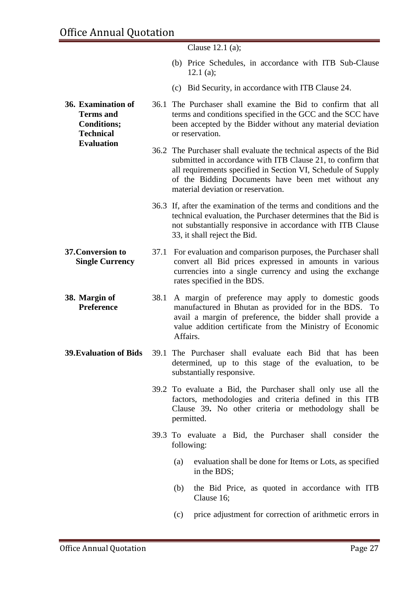|                                                                                  |      | Clause $12.1$ (a);                                                                                                                                                                                                                                                                            |
|----------------------------------------------------------------------------------|------|-----------------------------------------------------------------------------------------------------------------------------------------------------------------------------------------------------------------------------------------------------------------------------------------------|
|                                                                                  |      | (b) Price Schedules, in accordance with ITB Sub-Clause<br>12.1 $(a)$ ;                                                                                                                                                                                                                        |
|                                                                                  |      | (c) Bid Security, in accordance with ITB Clause 24.                                                                                                                                                                                                                                           |
| 36. Examination of<br><b>Terms</b> and<br><b>Conditions;</b><br><b>Technical</b> |      | 36.1 The Purchaser shall examine the Bid to confirm that all<br>terms and conditions specified in the GCC and the SCC have<br>been accepted by the Bidder without any material deviation<br>or reservation.                                                                                   |
| <b>Evaluation</b>                                                                |      | 36.2 The Purchaser shall evaluate the technical aspects of the Bid<br>submitted in accordance with ITB Clause 21, to confirm that<br>all requirements specified in Section VI, Schedule of Supply<br>of the Bidding Documents have been met without any<br>material deviation or reservation. |
|                                                                                  |      | 36.3 If, after the examination of the terms and conditions and the<br>technical evaluation, the Purchaser determines that the Bid is<br>not substantially responsive in accordance with ITB Clause<br>33, it shall reject the Bid.                                                            |
| 37. Conversion to<br><b>Single Currency</b>                                      | 37.1 | For evaluation and comparison purposes, the Purchaser shall<br>convert all Bid prices expressed in amounts in various<br>currencies into a single currency and using the exchange<br>rates specified in the BDS.                                                                              |
| 38. Margin of<br>Preference                                                      | 38.1 | A margin of preference may apply to domestic goods<br>manufactured in Bhutan as provided for in the BDS. To<br>avail a margin of preference, the bidder shall provide a<br>value addition certificate from the Ministry of Economic<br>Affairs.                                               |
| <b>39. Evaluation of Bids</b>                                                    |      | 39.1 The Purchaser shall evaluate each Bid that has been<br>determined, up to this stage of the evaluation, to be<br>substantially responsive.                                                                                                                                                |
|                                                                                  |      | 39.2 To evaluate a Bid, the Purchaser shall only use all the<br>factors, methodologies and criteria defined in this ITB<br>Clause 39. No other criteria or methodology shall be<br>permitted.                                                                                                 |
|                                                                                  |      | 39.3 To evaluate a Bid, the Purchaser shall consider the<br>following:                                                                                                                                                                                                                        |
|                                                                                  |      | evaluation shall be done for Items or Lots, as specified<br>(a)<br>in the BDS;                                                                                                                                                                                                                |
|                                                                                  |      | the Bid Price, as quoted in accordance with ITB<br>(b)<br>Clause 16;                                                                                                                                                                                                                          |
|                                                                                  |      | price adjustment for correction of arithmetic errors in<br>(c)                                                                                                                                                                                                                                |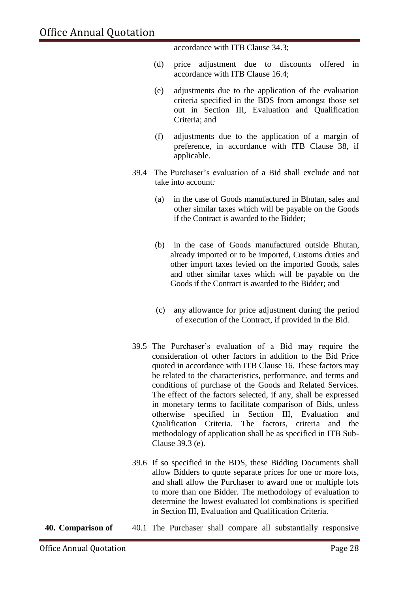accordance with ITB Clause 34.3;

- (d) price adjustment due to discounts offered in accordance with ITB Clause 16.4;
- (e) adjustments due to the application of the evaluation criteria specified in the BDS from amongst those set out in Section III, Evaluation and Qualification Criteria; and
- (f) adjustments due to the application of a margin of preference, in accordance with ITB Clause 38, if applicable*.*
- 39.4 The Purchaser's evaluation of a Bid shall exclude and not take into account*:* 
	- (a) in the case of Goods manufactured in Bhutan, sales and other similar taxes which will be payable on the Goods if the Contract is awarded to the Bidder;
	- (b) in the case of Goods manufactured outside Bhutan, already imported or to be imported, Customs duties and other import taxes levied on the imported Goods, sales and other similar taxes which will be payable on the Goods if the Contract is awarded to the Bidder; and
	- (c) any allowance for price adjustment during the period of execution of the Contract, if provided in the Bid*.*
- 39.5 The Purchaser's evaluation of a Bid may require the consideration of other factors in addition to the Bid Price quoted in accordance with ITB Clause 16. These factors may be related to the characteristics, performance, and terms and conditions of purchase of the Goods and Related Services. The effect of the factors selected, if any, shall be expressed in monetary terms to facilitate comparison of Bids, unless otherwise specified in Section III, Evaluation and Qualification Criteria. The factors, criteria and the methodology of application shall be as specified in ITB Sub-Clause 39.3 (e).
- 39.6 If so specified in the BDS, these Bidding Documents shall allow Bidders to quote separate prices for one or more lots, and shall allow the Purchaser to award one or multiple lots to more than one Bidder. The methodology of evaluation to determine the lowest evaluated lot combinations is specified in Section III, Evaluation and Qualification Criteria.
- **40. Comparison of** 40.1 The Purchaser shall compare all substantially responsive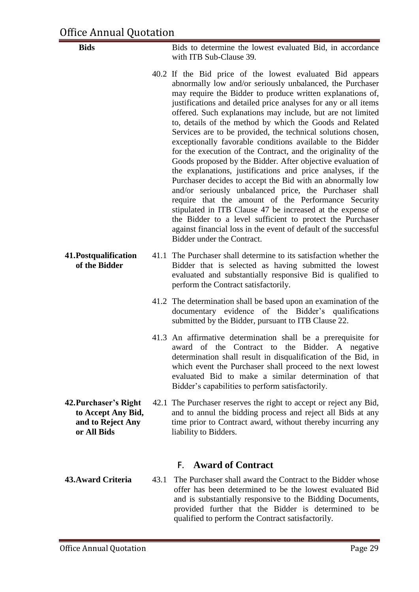**Bids** Bids to determine the lowest evaluated Bid, in accordance with ITB Sub-Clause 39.

- 40.2 If the Bid price of the lowest evaluated Bid appears abnormally low and/or seriously unbalanced, the Purchaser may require the Bidder to produce written explanations of, justifications and detailed price analyses for any or all items offered. Such explanations may include, but are not limited to, details of the method by which the Goods and Related Services are to be provided, the technical solutions chosen, exceptionally favorable conditions available to the Bidder for the execution of the Contract, and the originality of the Goods proposed by the Bidder. After objective evaluation of the explanations, justifications and price analyses, if the Purchaser decides to accept the Bid with an abnormally low and/or seriously unbalanced price, the Purchaser shall require that the amount of the Performance Security stipulated in ITB Clause 47 be increased at the expense of the Bidder to a level sufficient to protect the Purchaser against financial loss in the event of default of the successful Bidder under the Contract.
- **41.Postqualification of the Bidder** 41.1 The Purchaser shall determine to its satisfaction whether the Bidder that is selected as having submitted the lowest evaluated and substantially responsive Bid is qualified to perform the Contract satisfactorily.
	- 41.2 The determination shall be based upon an examination of the documentary evidence of the Bidder's qualifications submitted by the Bidder, pursuant to ITB Clause 22.
	- 41.3 An affirmative determination shall be a prerequisite for award of the Contract to the Bidder. A negative determination shall result in disqualification of the Bid, in which event the Purchaser shall proceed to the next lowest evaluated Bid to make a similar determination of that Bidder's capabilities to perform satisfactorily.
- **42.Purchaser's Right to Accept Any Bid, and to Reject Any or All Bids** 42.1 The Purchaser reserves the right to accept or reject any Bid, and to annul the bidding process and reject all Bids at any time prior to Contract award, without thereby incurring any liability to Bidders.

#### **F. Award of Contract**

**43.Award Criteria** 43.1 The Purchaser shall award the Contract to the Bidder whose offer has been determined to be the lowest evaluated Bid and is substantially responsive to the Bidding Documents, provided further that the Bidder is determined to be qualified to perform the Contract satisfactorily.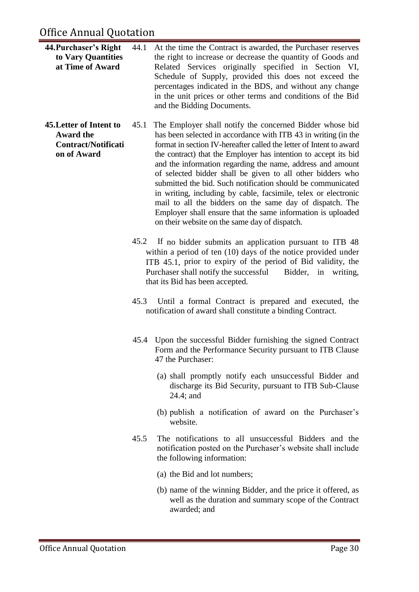#### Office Annual Quotation

- **44.Purchaser's Right to Vary Quantities at Time of Award** 44.1 At the time the Contract is awarded, the Purchaser reserves the right to increase or decrease the quantity of Goods and Related Services originally specified in Section VI, Schedule of Supply, provided this does not exceed the percentages indicated in the BDS, and without any change in the unit prices or other terms and conditions of the Bid and the Bidding Documents.
- **45.Letter of Intent to Award the Contract/Notificati on of Award** 45.1 The Employer shall notify the concerned Bidder whose bid has been selected in accordance with ITB 43 in writing (in the format in section IV-hereafter called the letter of Intent to award the contract) that the Employer has intention to accept its bid and the information regarding the name, address and amount of selected bidder shall be given to all other bidders who submitted the bid. Such notification should be communicated in writing, including by cable, facsimile, telex or electronic mail to all the bidders on the same day of dispatch. The Employer shall ensure that the same information is uploaded on their website on the same day of dispatch.
	- 45.2 If no bidder submits an application pursuant to ITB 48 within a period of ten (10) days of the notice provided under ITB 45.1, prior to expiry of the period of Bid validity, the Purchaser shall notify the successful Bidder, in writing, that its Bid has been accepted.
	- 45.3 Until a formal Contract is prepared and executed, the notification of award shall constitute a binding Contract.
	- 45.4 Upon the successful Bidder furnishing the signed Contract Form and the Performance Security pursuant to ITB Clause 47 the Purchaser:
		- (a) shall promptly notify each unsuccessful Bidder and discharge its Bid Security, pursuant to ITB Sub-Clause 24.4; and
		- (b) publish a notification of award on the Purchaser's website.
	- 45.5 The notifications to all unsuccessful Bidders and the notification posted on the Purchaser's website shall include the following information:
		- (a) the Bid and lot numbers;
		- (b) name of the winning Bidder, and the price it offered, as well as the duration and summary scope of the Contract awarded; and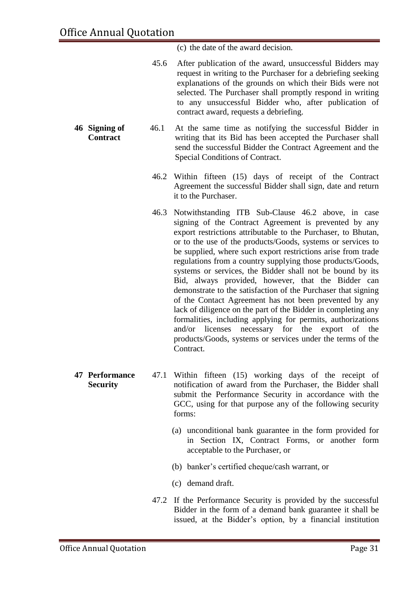(c) the date of the award decision.

- 45.6 After publication of the award, unsuccessful Bidders may request in writing to the Purchaser for a debriefing seeking explanations of the grounds on which their Bids were not selected. The Purchaser shall promptly respond in writing to any unsuccessful Bidder who, after publication of contract award, requests a debriefing.
- **46 Signing of Contract** 46.1 At the same time as notifying the successful Bidder in writing that its Bid has been accepted the Purchaser shall send the successful Bidder the Contract Agreement and the Special Conditions of Contract.
	- 46.2 Within fifteen (15) days of receipt of the Contract Agreement the successful Bidder shall sign, date and return it to the Purchaser.
	- 46.3 Notwithstanding ITB Sub-Clause 46.2 above, in case signing of the Contract Agreement is prevented by any export restrictions attributable to the Purchaser, to Bhutan, or to the use of the products/Goods, systems or services to be supplied, where such export restrictions arise from trade regulations from a country supplying those products/Goods, systems or services, the Bidder shall not be bound by its Bid, always provided, however, that the Bidder can demonstrate to the satisfaction of the Purchaser that signing of the Contact Agreement has not been prevented by any lack of diligence on the part of the Bidder in completing any formalities, including applying for permits, authorizations and/or licenses necessary for the export of the products/Goods, systems or services under the terms of the Contract.
- **47 Performance Security** 47.1 Within fifteen (15) working days of the receipt of notification of award from the Purchaser, the Bidder shall submit the Performance Security in accordance with the GCC, using for that purpose any of the following security forms:
	- (a) unconditional bank guarantee in the form provided for in Section IX, Contract Forms, or another form acceptable to the Purchaser, or
	- (b) banker's certified cheque/cash warrant, or
	- (c) demand draft.
	- 47.2 If the Performance Security is provided by the successful Bidder in the form of a demand bank guarantee it shall be issued, at the Bidder's option, by a financial institution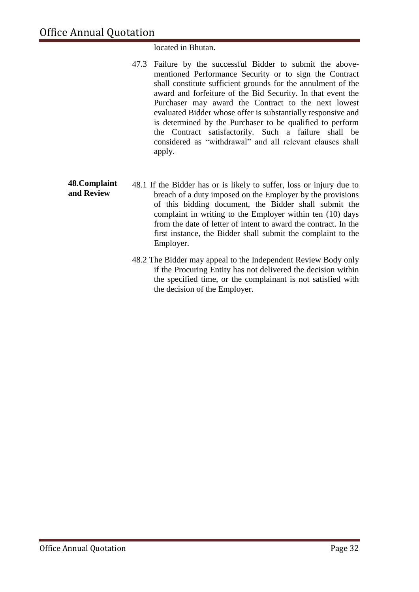#### located in Bhutan.

- 47.3 Failure by the successful Bidder to submit the abovementioned Performance Security or to sign the Contract shall constitute sufficient grounds for the annulment of the award and forfeiture of the Bid Security. In that event the Purchaser may award the Contract to the next lowest evaluated Bidder whose offer is substantially responsive and is determined by the Purchaser to be qualified to perform the Contract satisfactorily. Such a failure shall be considered as "withdrawal" and all relevant clauses shall apply.
- **48.Complaint and Review** 48.1 If the Bidder has or is likely to suffer, loss or injury due to breach of a duty imposed on the Employer by the provisions of this bidding document, the Bidder shall submit the complaint in writing to the Employer within ten (10) days from the date of letter of intent to award the contract. In the first instance, the Bidder shall submit the complaint to the Employer.
	- 48.2 The Bidder may appeal to the Independent Review Body only if the Procuring Entity has not delivered the decision within the specified time, or the complainant is not satisfied with the decision of the Employer.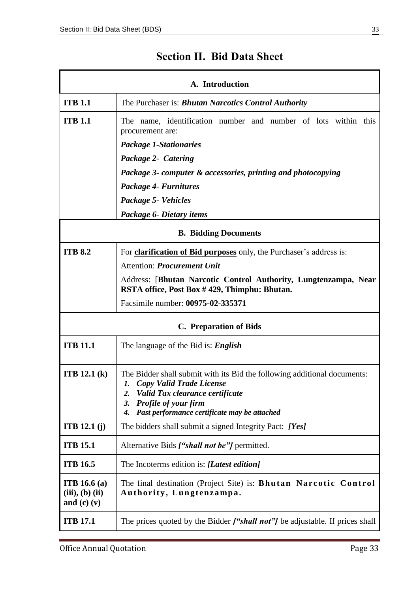<span id="page-32-0"></span>

| A. Introduction                                           |                                                                                                                                                                                                                                      |  |  |  |
|-----------------------------------------------------------|--------------------------------------------------------------------------------------------------------------------------------------------------------------------------------------------------------------------------------------|--|--|--|
| <b>ITB 1.1</b>                                            | The Purchaser is: <b>Bhutan Narcotics Control Authority</b>                                                                                                                                                                          |  |  |  |
| <b>ITB 1.1</b>                                            | The name, identification number and number of lots within this<br>procurement are:                                                                                                                                                   |  |  |  |
|                                                           | Package 1-Stationaries                                                                                                                                                                                                               |  |  |  |
|                                                           | Package 2- Catering                                                                                                                                                                                                                  |  |  |  |
|                                                           | Package 3- computer & accessories, printing and photocopying                                                                                                                                                                         |  |  |  |
|                                                           | Package 4- Furnitures                                                                                                                                                                                                                |  |  |  |
|                                                           | Package 5- Vehicles                                                                                                                                                                                                                  |  |  |  |
|                                                           | Package 6- Dietary items                                                                                                                                                                                                             |  |  |  |
|                                                           | <b>B.</b> Bidding Documents                                                                                                                                                                                                          |  |  |  |
| <b>ITB 8.2</b>                                            | For <b>clarification of Bid purposes</b> only, the Purchaser's address is:                                                                                                                                                           |  |  |  |
|                                                           | <b>Attention: Procurement Unit</b>                                                                                                                                                                                                   |  |  |  |
|                                                           | Address: [Bhutan Narcotic Control Authority, Lungtenzampa, Near<br>RSTA office, Post Box #429, Thimphu: Bhutan.                                                                                                                      |  |  |  |
|                                                           | Facsimile number: 00975-02-335371                                                                                                                                                                                                    |  |  |  |
|                                                           | <b>C.</b> Preparation of Bids                                                                                                                                                                                                        |  |  |  |
| <b>ITB 11.1</b>                                           | The language of the Bid is: <i>English</i>                                                                                                                                                                                           |  |  |  |
| <b>ITB</b> 12.1 $(k)$                                     | The Bidder shall submit with its Bid the following additional documents:<br>1. Copy Valid Trade License<br>Valid Tax clearance certificate<br>2.<br>Profile of your firm<br>3.<br>Past performance certificate may be attached<br>4. |  |  |  |
| <b>ITB</b> 12.1 $(i)$                                     | The bidders shall submit a signed Integrity Pact: [Yes]                                                                                                                                                                              |  |  |  |
| <b>ITB 15.1</b>                                           | Alternative Bids ["shall not be"] permitted.                                                                                                                                                                                         |  |  |  |
| <b>ITB 16.5</b>                                           | The Incoterms edition is: [Latest edition]                                                                                                                                                                                           |  |  |  |
| <b>ITB</b> 16.6 (a)<br>(iii), (b) (ii)<br>and $(c)$ $(v)$ | The final destination (Project Site) is: <b>Bhutan Narcotic Control</b><br>Authority, Lungtenzampa.                                                                                                                                  |  |  |  |
| <b>ITB 17.1</b>                                           | The prices quoted by the Bidder <b><i>["shall not"]</i></b> be adjustable. If prices shall                                                                                                                                           |  |  |  |

### **Section II. Bid Data Sheet**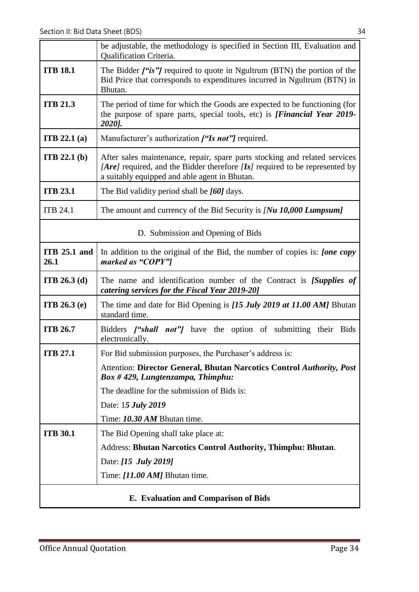|                                   | be adjustable, the methodology is specified in Section III, Evaluation and<br>Qualification Criteria.                                                                                                      |  |
|-----------------------------------|------------------------------------------------------------------------------------------------------------------------------------------------------------------------------------------------------------|--|
| <b>ITB 18.1</b>                   | The Bidder $f''$ is"/required to quote in Ngultrum (BTN) the portion of the<br>Bid Price that corresponds to expenditures incurred in Ngultrum (BTN) in<br>Bhutan.                                         |  |
| <b>ITB 21.3</b>                   | The period of time for which the Goods are expected to be functioning (for<br>the purpose of spare parts, special tools, etc) is [Financial Year 2019-<br>2020].                                           |  |
| <b>ITB</b> 22.1 $(a)$             | Manufacturer's authorization ["Is not"] required.                                                                                                                                                          |  |
| <b>ITB</b> 22.1 $(b)$             | After sales maintenance, repair, spare parts stocking and related services<br>[Are] required, and the Bidder therefore [Is] required to be represented by<br>a suitably equipped and able agent in Bhutan. |  |
| <b>ITB 23.1</b>                   | The Bid validity period shall be [60] days.                                                                                                                                                                |  |
| <b>ITB 24.1</b>                   | The amount and currency of the Bid Security is $Nu$ 10,000 Lumpsum]                                                                                                                                        |  |
| D. Submission and Opening of Bids |                                                                                                                                                                                                            |  |
| <b>ITB 25.1 and</b><br>26.1       | In addition to the original of the Bid, the number of copies is: <i>[one copy</i><br>marked as "COPY"]                                                                                                     |  |
| <b>ITB</b> 26.3 (d)               | The name and identification number of the Contract is <i>[Supplies of</i><br>catering services for the Fiscal Year 2019-20]                                                                                |  |
| <b>ITB</b> 26.3 $(e)$             | The time and date for Bid Opening is [15 July 2019 at 11.00 AM] Bhutan<br>standard time.                                                                                                                   |  |
| <b>ITB 26.7</b>                   | Bidders <i>["shall not"]</i> have the option of submitting their Bids<br>electronically.                                                                                                                   |  |
| <b>ITB 27.1</b>                   | For Bid submission purposes, the Purchaser's address is:                                                                                                                                                   |  |
|                                   | Attention: Director General, Bhutan Narcotics Control Authority, Post<br>$Box # 429$ , Lungtenzampa, Thimphu:                                                                                              |  |
|                                   | The deadline for the submission of Bids is:                                                                                                                                                                |  |
|                                   | Date: 15 <i>July</i> 2019                                                                                                                                                                                  |  |
|                                   | Time: 10.30 AM Bhutan time.                                                                                                                                                                                |  |
| <b>ITB 30.1</b>                   | The Bid Opening shall take place at:                                                                                                                                                                       |  |
|                                   | Address: Bhutan Narcotics Control Authority, Thimphu: Bhutan.                                                                                                                                              |  |
|                                   | Date: [15 July 2019]                                                                                                                                                                                       |  |
|                                   | Time: [11.00 AM] Bhutan time.                                                                                                                                                                              |  |
|                                   | E. Evaluation and Comparison of Bids                                                                                                                                                                       |  |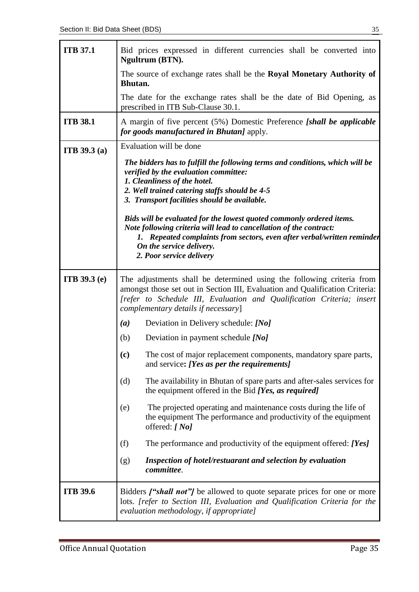| <b>ITB 37.1</b>     | Bid prices expressed in different currencies shall be converted into<br>Ngultrum (BTN).                                                                                                                                                                                       |  |  |  |  |  |  |
|---------------------|-------------------------------------------------------------------------------------------------------------------------------------------------------------------------------------------------------------------------------------------------------------------------------|--|--|--|--|--|--|
|                     | The source of exchange rates shall be the Royal Monetary Authority of<br>Bhutan.                                                                                                                                                                                              |  |  |  |  |  |  |
|                     | The date for the exchange rates shall be the date of Bid Opening, as<br>prescribed in ITB Sub-Clause 30.1.                                                                                                                                                                    |  |  |  |  |  |  |
| <b>ITB 38.1</b>     | A margin of five percent (5%) Domestic Preference [shall be applicable<br><i>for goods manufactured in Bhutan]</i> apply.                                                                                                                                                     |  |  |  |  |  |  |
| <b>ITB</b> 39.3 (a) | Evaluation will be done                                                                                                                                                                                                                                                       |  |  |  |  |  |  |
|                     | The bidders has to fulfill the following terms and conditions, which will be<br>verified by the evaluation committee:<br>1. Cleanliness of the hotel.<br>2. Well trained catering staffs should be 4-5<br>3. Transport facilities should be available.                        |  |  |  |  |  |  |
|                     | Bids will be evaluated for the lowest quoted commonly ordered items.<br>Note following criteria will lead to cancellation of the contract:<br>1. Repeated complaints from sectors, even after verbal/written reminder<br>On the service delivery.<br>2. Poor service delivery |  |  |  |  |  |  |
| <b>ITB</b> 39.3 (e) | The adjustments shall be determined using the following criteria from<br>amongst those set out in Section III, Evaluation and Qualification Criteria:<br>[refer to Schedule III, Evaluation and Qualification Criteria; insert<br>complementary details if necessary]         |  |  |  |  |  |  |
|                     | Deviation in Delivery schedule: [No]<br>(a)                                                                                                                                                                                                                                   |  |  |  |  |  |  |
|                     | (b)<br>Deviation in payment schedule [No]                                                                                                                                                                                                                                     |  |  |  |  |  |  |
|                     | (c)<br>The cost of major replacement components, mandatory spare parts,<br>and service: [Yes as per the requirements]                                                                                                                                                         |  |  |  |  |  |  |
|                     | The availability in Bhutan of spare parts and after-sales services for<br>(d)<br>the equipment offered in the Bid [Yes, as required]                                                                                                                                          |  |  |  |  |  |  |
|                     | The projected operating and maintenance costs during the life of<br>(e)<br>the equipment The performance and productivity of the equipment<br>offered: [No]                                                                                                                   |  |  |  |  |  |  |
|                     | The performance and productivity of the equipment offered: [Yes]<br>(f)                                                                                                                                                                                                       |  |  |  |  |  |  |
|                     | Inspection of hotel/restuarant and selection by evaluation<br>(g)<br>committee.                                                                                                                                                                                               |  |  |  |  |  |  |
| <b>ITB 39.6</b>     | Bidders <i>["shall not"]</i> be allowed to quote separate prices for one or more<br>lots. [refer to Section III, Evaluation and Qualification Criteria for the<br>evaluation methodology, if appropriate]                                                                     |  |  |  |  |  |  |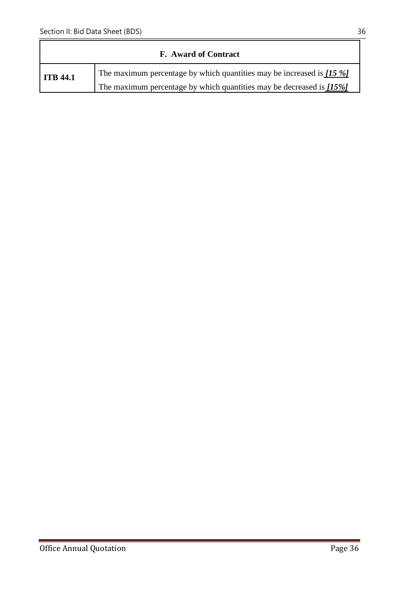| <b>F.</b> Award of Contract |                                                                             |
|-----------------------------|-----------------------------------------------------------------------------|
| <b>ITB</b> 44.1             | The maximum percentage by which quantities may be increased is $[15 \, \%]$ |
|                             | The maximum percentage by which quantities may be decreased is $[15\%]$     |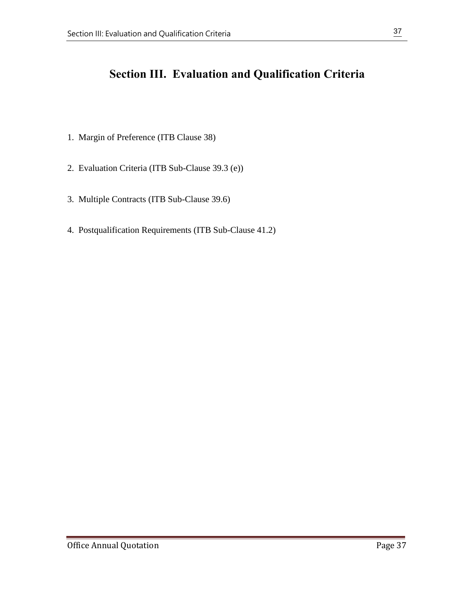# **Section III. Evaluation and Qualification Criteria**

- 1. Margin of Preference (ITB Clause 38)
- 2. Evaluation Criteria (ITB Sub-Clause 39.3 (e))
- 3. Multiple Contracts (ITB Sub-Clause 39.6)
- 4. Postqualification Requirements (ITB Sub-Clause 41.2)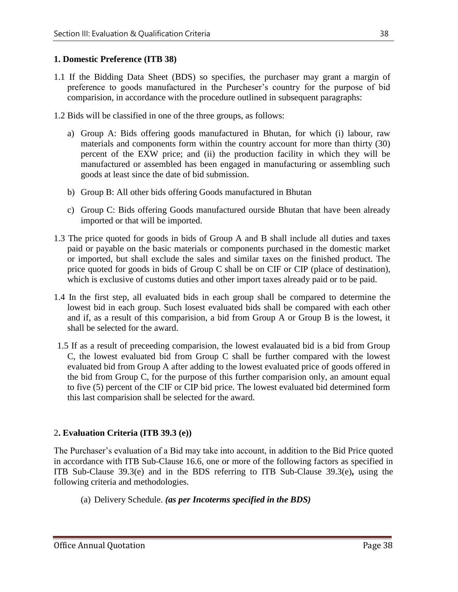#### **1. Domestic Preference (ITB 38)**

- 1.1 If the Bidding Data Sheet (BDS) so specifies, the purchaser may grant a margin of preference to goods manufactured in the Purcheser's country for the purpose of bid comparision, in accordance with the procedure outlined in subsequent paragraphs:
- 1.2 Bids will be classified in one of the three groups, as follows:
	- a) Group A: Bids offering goods manufactured in Bhutan, for which (i) labour, raw materials and components form within the country account for more than thirty (30) percent of the EXW price; and (ii) the production facility in which they will be manufactured or assembled has been engaged in manufacturing or assembling such goods at least since the date of bid submission.
	- b) Group B: All other bids offering Goods manufactured in Bhutan
	- c) Group C: Bids offering Goods manufactured ourside Bhutan that have been already imported or that will be imported.
- 1.3 The price quoted for goods in bids of Group A and B shall include all duties and taxes paid or payable on the basic materials or components purchased in the domestic market or imported, but shall exclude the sales and similar taxes on the finished product. The price quoted for goods in bids of Group C shall be on CIF or CIP (place of destination), which is exclusive of customs duties and other import taxes already paid or to be paid.
- 1.4 In the first step, all evaluated bids in each group shall be compared to determine the lowest bid in each group. Such losest evaluated bids shall be compared with each other and if, as a result of this comparision, a bid from Group A or Group B is the lowest, it shall be selected for the award.
- 1.5 If as a result of preceeding comparision, the lowest evalauated bid is a bid from Group C, the lowest evaluated bid from Group C shall be further compared with the lowest evaluated bid from Group A after adding to the lowest evaluated price of goods offered in the bid from Group C, for the purpose of this further comparision only, an amount equal to five (5) percent of the CIF or CIP bid price. The lowest evaluated bid determined form this last comparision shall be selected for the award.

#### 2**. Evaluation Criteria (ITB 39.3 (e))**

The Purchaser's evaluation of a Bid may take into account, in addition to the Bid Price quoted in accordance with ITB Sub-Clause 16.6, one or more of the following factors as specified in ITB Sub-Clause 39.3(e) and in the BDS referring to ITB Sub-Clause 39.3(e)**,** using the following criteria and methodologies.

(a) Delivery Schedule. *(as per Incoterms specified in the BDS)*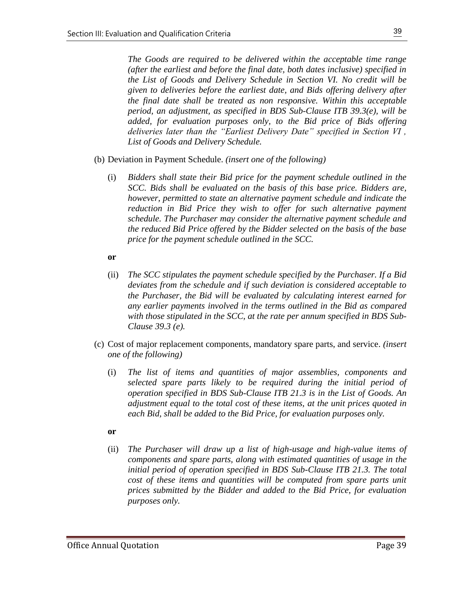*The Goods are required to be delivered within the acceptable time range (after the earliest and before the final date, both dates inclusive) specified in the List of Goods and Delivery Schedule in Section VI. No credit will be given to deliveries before the earliest date, and Bids offering delivery after the final date shall be treated as non responsive. Within this acceptable period, an adjustment, as specified in BDS Sub-Clause ITB 39.3(e), will be added, for evaluation purposes only, to the Bid price of Bids offering deliveries later than the "Earliest Delivery Date" specified in Section VI , List of Goods and Delivery Schedule.*

- (b) Deviation in Payment Schedule. *(insert one of the following)*
	- (i) *Bidders shall state their Bid price for the payment schedule outlined in the SCC. Bids shall be evaluated on the basis of this base price. Bidders are, however, permitted to state an alternative payment schedule and indicate the reduction in Bid Price they wish to offer for such alternative payment schedule. The Purchaser may consider the alternative payment schedule and the reduced Bid Price offered by the Bidder selected on the basis of the base price for the payment schedule outlined in the SCC.*

#### **or**

- (ii) *The SCC stipulates the payment schedule specified by the Purchaser. If a Bid deviates from the schedule and if such deviation is considered acceptable to the Purchaser, the Bid will be evaluated by calculating interest earned for any earlier payments involved in the terms outlined in the Bid as compared with those stipulated in the SCC, at the rate per annum specified in BDS Sub-Clause 39.3 (e).*
- (c) Cost of major replacement components, mandatory spare parts, and service. *(insert one of the following)*
	- (i) *The list of items and quantities of major assemblies, components and selected spare parts likely to be required during the initial period of operation specified in BDS Sub-Clause ITB 21.3 is in the List of Goods. An adjustment equal to the total cost of these items, at the unit prices quoted in each Bid, shall be added to the Bid Price, for evaluation purposes only.*

#### **or**

(ii) *The Purchaser will draw up a list of high-usage and high-value items of components and spare parts, along with estimated quantities of usage in the initial period of operation specified in BDS Sub-Clause ITB 21.3. The total*  cost of these items and quantities will be computed from spare parts unit *prices submitted by the Bidder and added to the Bid Price, for evaluation purposes only.*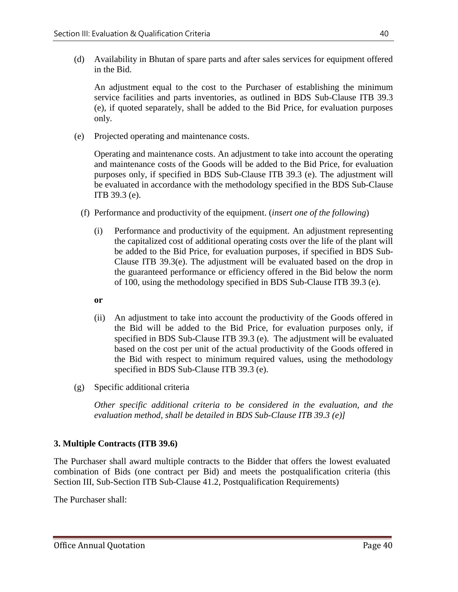(d) Availability in Bhutan of spare parts and after sales services for equipment offered in the Bid.

An adjustment equal to the cost to the Purchaser of establishing the minimum service facilities and parts inventories, as outlined in BDS Sub-Clause ITB 39.3 (e), if quoted separately, shall be added to the Bid Price, for evaluation purposes only*.*

(e) Projected operating and maintenance costs.

Operating and maintenance costs. An adjustment to take into account the operating and maintenance costs of the Goods will be added to the Bid Price, for evaluation purposes only, if specified in BDS Sub-Clause ITB 39.3 (e). The adjustment will be evaluated in accordance with the methodology specified in the BDS Sub-Clause ITB 39.3 (e).

- (f) Performance and productivity of the equipment. (*insert one of the following*)
	- (i) Performance and productivity of the equipment. An adjustment representing the capitalized cost of additional operating costs over the life of the plant will be added to the Bid Price, for evaluation purposes, if specified in BDS Sub-Clause ITB 39.3(e). The adjustment will be evaluated based on the drop in the guaranteed performance or efficiency offered in the Bid below the norm of 100, using the methodology specified in BDS Sub-Clause ITB 39.3 (e).
	- **or**
	- (ii) An adjustment to take into account the productivity of the Goods offered in the Bid will be added to the Bid Price, for evaluation purposes only, if specified in BDS Sub-Clause ITB 39.3 (e). The adjustment will be evaluated based on the cost per unit of the actual productivity of the Goods offered in the Bid with respect to minimum required values, using the methodology specified in BDS Sub-Clause ITB 39.3 (e).
- (g) Specific additional criteria

*Other specific additional criteria to be considered in the evaluation, and the evaluation method, shall be detailed in BDS Sub-Clause ITB 39.3 (e)]*

#### **3. Multiple Contracts (ITB 39.6)**

The Purchaser shall award multiple contracts to the Bidder that offers the lowest evaluated combination of Bids (one contract per Bid) and meets the postqualification criteria (this Section III, Sub-Section ITB Sub-Clause 41.2, Postqualification Requirements)

The Purchaser shall: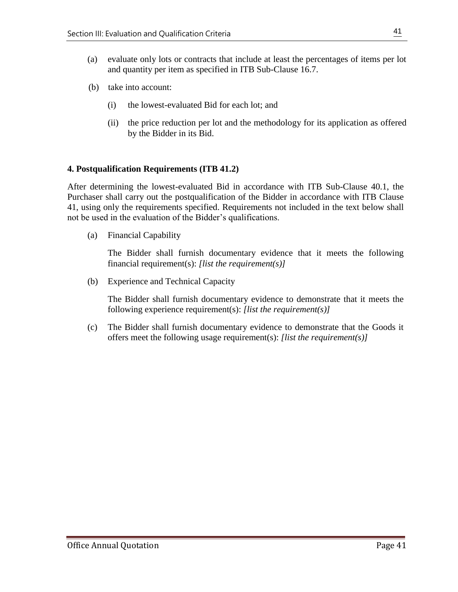- (a) evaluate only lots or contracts that include at least the percentages of items per lot and quantity per item as specified in ITB Sub-Clause 16.7.
- (b) take into account:
	- (i) the lowest-evaluated Bid for each lot; and
	- (ii) the price reduction per lot and the methodology for its application as offered by the Bidder in its Bid.

#### **4. Postqualification Requirements (ITB 41.2)**

After determining the lowest-evaluated Bid in accordance with ITB Sub-Clause 40.1, the Purchaser shall carry out the postqualification of the Bidder in accordance with ITB Clause 41, using only the requirements specified. Requirements not included in the text below shall not be used in the evaluation of the Bidder's qualifications.

(a) Financial Capability

The Bidder shall furnish documentary evidence that it meets the following financial requirement(s): *[list the requirement(s)]*

(b) Experience and Technical Capacity

The Bidder shall furnish documentary evidence to demonstrate that it meets the following experience requirement(s): *[list the requirement(s)]*

(c) The Bidder shall furnish documentary evidence to demonstrate that the Goods it offers meet the following usage requirement(s): *[list the requirement(s)]*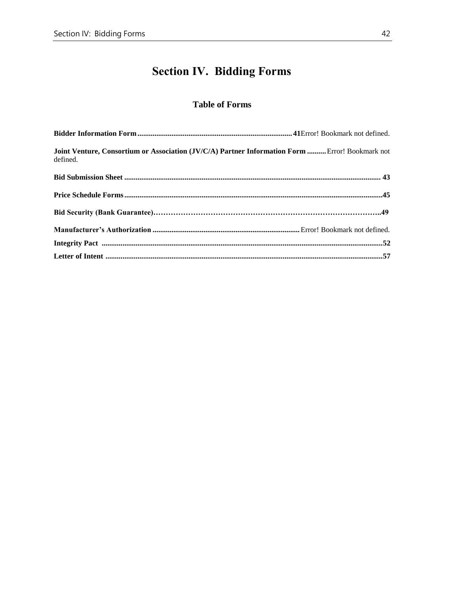# **Section IV. Bidding Forms**

### **Table of Forms**

| Joint Venture, Consortium or Association (JV/C/A) Partner Information Form  Error! Bookmark not<br>defined. |  |
|-------------------------------------------------------------------------------------------------------------|--|
|                                                                                                             |  |
|                                                                                                             |  |
|                                                                                                             |  |
|                                                                                                             |  |
|                                                                                                             |  |
|                                                                                                             |  |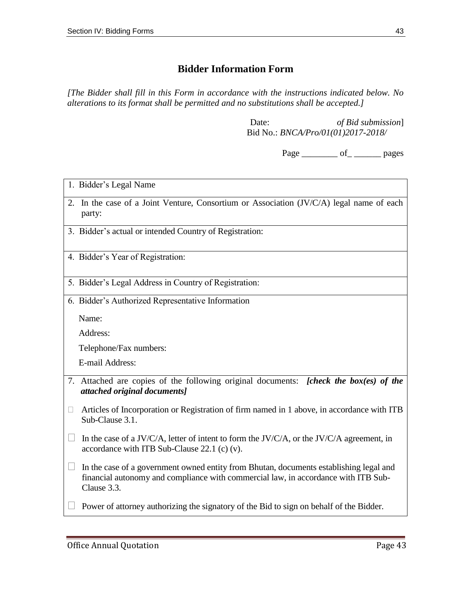# **Bidder Information Form**

*[The Bidder shall fill in this Form in accordance with the instructions indicated below. No alterations to its format shall be permitted and no substitutions shall be accepted.]*

> Date: *of Bid submission*] Bid No.: *BNCA/Pro/01(01)2017-2018/*

> > Page \_\_\_\_\_\_\_\_\_ of \_\_\_\_\_\_\_\_\_ pages

|        | 1. Bidder's Legal Name                                                                                                                                                                      |
|--------|---------------------------------------------------------------------------------------------------------------------------------------------------------------------------------------------|
|        | 2. In the case of a Joint Venture, Consortium or Association (JV/C/A) legal name of each<br>party:                                                                                          |
|        | 3. Bidder's actual or intended Country of Registration:                                                                                                                                     |
|        | 4. Bidder's Year of Registration:                                                                                                                                                           |
|        | 5. Bidder's Legal Address in Country of Registration:                                                                                                                                       |
|        | 6. Bidder's Authorized Representative Information                                                                                                                                           |
|        | Name:                                                                                                                                                                                       |
|        | Address:                                                                                                                                                                                    |
|        | Telephone/Fax numbers:                                                                                                                                                                      |
|        | E-mail Address:                                                                                                                                                                             |
|        | 7. Attached are copies of the following original documents: [check the box(es) of the<br>attached original documents]                                                                       |
| $\Box$ | Articles of Incorporation or Registration of firm named in 1 above, in accordance with ITB<br>Sub-Clause 3.1.                                                                               |
|        | In the case of a JV/C/A, letter of intent to form the JV/C/A, or the JV/C/A agreement, in<br>accordance with ITB Sub-Clause $22.1$ (c) (v).                                                 |
|        | In the case of a government owned entity from Bhutan, documents establishing legal and<br>financial autonomy and compliance with commercial law, in accordance with ITB Sub-<br>Clause 3.3. |
|        | Power of attorney authorizing the signatory of the Bid to sign on behalf of the Bidder.                                                                                                     |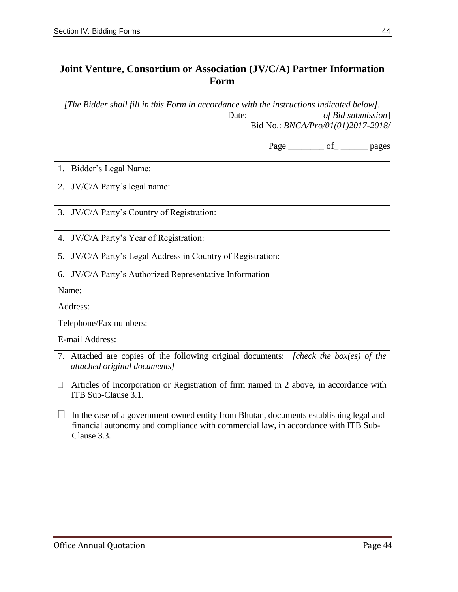# **Joint Venture, Consortium or Association (JV/C/A) Partner Information Form**

*[The Bidder shall fill in this Form in accordance with the instructions indicated below].* Date: *of Bid submission*] Bid No.: *BNCA/Pro/01(01)2017-2018/*

Page \_\_\_\_\_\_\_\_\_ of \_\_\_\_\_\_\_\_ pages

| 1. Bidder's Legal Name:                                                                                                                                                                     |
|---------------------------------------------------------------------------------------------------------------------------------------------------------------------------------------------|
| 2. JV/C/A Party's legal name:                                                                                                                                                               |
| 3. JV/C/A Party's Country of Registration:                                                                                                                                                  |
| JV/C/A Party's Year of Registration:<br>4.                                                                                                                                                  |
| JV/C/A Party's Legal Address in Country of Registration:<br>5.                                                                                                                              |
| 6. JV/C/A Party's Authorized Representative Information                                                                                                                                     |
| Name:                                                                                                                                                                                       |
| Address:                                                                                                                                                                                    |
| Telephone/Fax numbers:                                                                                                                                                                      |
| E-mail Address:                                                                                                                                                                             |
| 7. Attached are copies of the following original documents: [check the box(es) of the<br>attached original documents]                                                                       |
| Articles of Incorporation or Registration of firm named in 2 above, in accordance with<br>Ш<br>ITB Sub-Clause 3.1.                                                                          |
| In the case of a government owned entity from Bhutan, documents establishing legal and<br>financial autonomy and compliance with commercial law, in accordance with ITB Sub-<br>Clause 3.3. |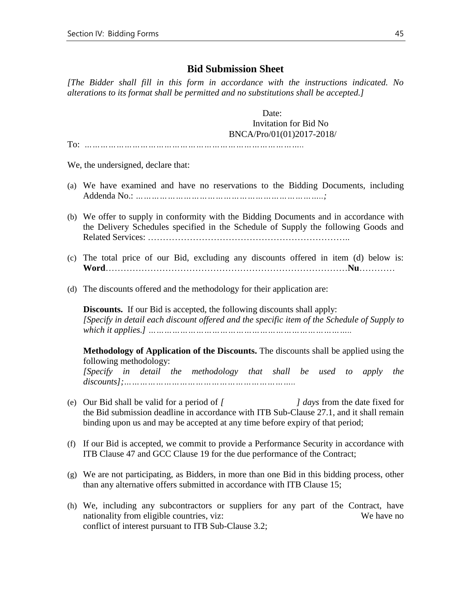#### **Bid Submission Sheet**

*[The Bidder shall fill in this form in accordance with the instructions indicated. No alterations to its format shall be permitted and no substitutions shall be accepted.]*

Date: Invitation for Bid No BNCA/Pro/01(01)2017-2018/

To: *………………………………………………………………………..*

We, the undersigned, declare that:

- (a) We have examined and have no reservations to the Bidding Documents, including Addenda No.: *……………………………………………………………..;*
- (b) We offer to supply in conformity with the Bidding Documents and in accordance with the Delivery Schedules specified in the Schedule of Supply the following Goods and Related Services: …………………………………………………………..
- (c) The total price of our Bid, excluding any discounts offered in item (d) below is: **Word**………………………………………………………………………**Nu**…………
- (d) The discounts offered and the methodology for their application are:

**Discounts.** If our Bid is accepted, the following discounts shall apply: *[Specify in detail each discount offered and the specific item of the Schedule of Supply to which it applies.] …………………………………………………………………..*

**Methodology of Application of the Discounts.** The discounts shall be applied using the following methodology:

*[Specify in detail the methodology that shall be used to apply the discounts];………………………………………………………..*

- (e) Our Bid shall be valid for a period of *[ ] days* from the date fixed for the Bid submission deadline in accordance with ITB Sub-Clause 27.1, and it shall remain binding upon us and may be accepted at any time before expiry of that period;
- (f) If our Bid is accepted, we commit to provide a Performance Security in accordance with ITB Clause 47 and GCC Clause 19 for the due performance of the Contract;
- (g) We are not participating, as Bidders, in more than one Bid in this bidding process, other than any alternative offers submitted in accordance with ITB Clause 15;
- (h) We, including any subcontractors or suppliers for any part of the Contract, have nationality from eligible countries, viz: We have no conflict of interest pursuant to ITB Sub-Clause 3.2;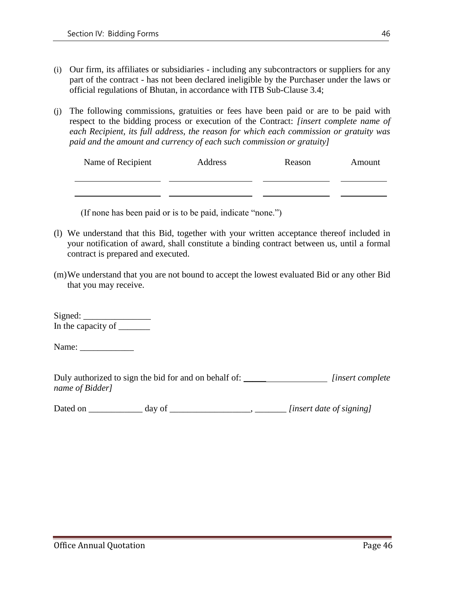- (i) Our firm, its affiliates or subsidiaries including any subcontractors or suppliers for any part of the contract - has not been declared ineligible by the Purchaser under the laws or official regulations of Bhutan, in accordance with ITB Sub-Clause 3.4;
- (j) The following commissions, gratuities or fees have been paid or are to be paid with respect to the bidding process or execution of the Contract: *[insert complete name of each Recipient, its full address, the reason for which each commission or gratuity was paid and the amount and currency of each such commission or gratuity]*

| Name of Recipient | Address | Reason | Amount |  |
|-------------------|---------|--------|--------|--|
|                   |         |        |        |  |
|                   |         |        |        |  |

(If none has been paid or is to be paid, indicate "none.")

- (l) We understand that this Bid, together with your written acceptance thereof included in your notification of award, shall constitute a binding contract between us, until a formal contract is prepared and executed.
- (m)We understand that you are not bound to accept the lowest evaluated Bid or any other Bid that you may receive.

Signed: \_\_\_\_\_\_\_\_\_\_\_\_\_\_\_ In the capacity of  $\frac{1}{\sqrt{1-\frac{1}{\sqrt{1-\frac{1}{\sqrt{1-\frac{1}{\sqrt{1-\frac{1}{\sqrt{1-\frac{1}{\sqrt{1-\frac{1}{\sqrt{1-\frac{1}{\sqrt{1-\frac{1}{\sqrt{1-\frac{1}{\sqrt{1-\frac{1}{\sqrt{1-\frac{1}{\sqrt{1-\frac{1}{\sqrt{1-\frac{1}{\sqrt{1-\frac{1}{\sqrt{1-\frac{1}{\sqrt{1-\frac{1}{\sqrt{1-\frac{1}{\sqrt{1-\frac{1}{\sqrt{1-\frac{1}{\sqrt{1-\frac{1}{\sqrt{1-\frac{1}{\sqrt{1-\frac{$ 

Name: \_\_\_\_\_\_\_\_\_\_\_\_

| Duly authorized to sign the bid for and on behalf of: | <i>linsert complete</i> |
|-------------------------------------------------------|-------------------------|
| name of Bidder]                                       |                         |

Dated on \_\_\_\_\_\_\_\_\_\_\_\_ day of \_\_\_\_\_\_\_\_\_\_\_\_\_\_\_\_\_\_, \_\_\_\_\_\_\_ *[insert date of signing]*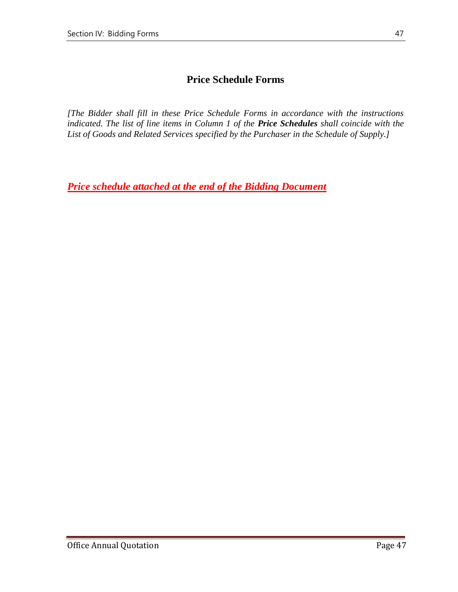# **Price Schedule Forms**

*[The Bidder shall fill in these Price Schedule Forms in accordance with the instructions indicated. The list of line items in Column 1 of the Price Schedules shall coincide with the List of Goods and Related Services specified by the Purchaser in the Schedule of Supply.]*

*Price schedule attached at the end of the Bidding Document*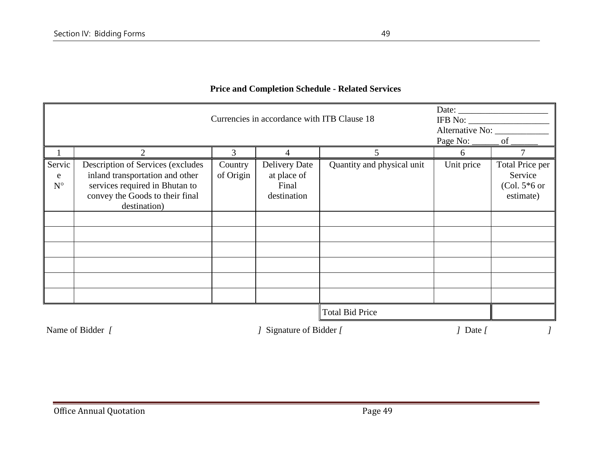|                            | Date: $\qquad \qquad$<br>Currencies in accordance with ITB Clause 18<br>Alternative No:<br>Page No: _______ of ________                                   |                      |                                                             |                            |            |                                                           |
|----------------------------|-----------------------------------------------------------------------------------------------------------------------------------------------------------|----------------------|-------------------------------------------------------------|----------------------------|------------|-----------------------------------------------------------|
|                            | 2                                                                                                                                                         | 3                    | 4                                                           | 5                          | 6          |                                                           |
| Servic<br>e<br>$N^{\circ}$ | Description of Services (excludes<br>inland transportation and other<br>services required in Bhutan to<br>convey the Goods to their final<br>destination) | Country<br>of Origin | <b>Delivery Date</b><br>at place of<br>Final<br>destination | Quantity and physical unit | Unit price | Total Price per<br>Service<br>(Col. $5*6$ or<br>estimate) |
|                            |                                                                                                                                                           |                      |                                                             |                            |            |                                                           |
|                            |                                                                                                                                                           |                      |                                                             |                            |            |                                                           |
|                            |                                                                                                                                                           |                      |                                                             |                            |            |                                                           |
|                            |                                                                                                                                                           |                      |                                                             |                            |            |                                                           |
|                            |                                                                                                                                                           |                      |                                                             |                            |            |                                                           |
|                            |                                                                                                                                                           |                      |                                                             |                            |            |                                                           |
|                            |                                                                                                                                                           |                      |                                                             | <b>Total Bid Price</b>     |            |                                                           |

#### **Price and Completion Schedule - Related Services**

Name of Bidder *[ ]* Signature of Bidder *[ ]*  $\qquad$  *]* Date *[ ]*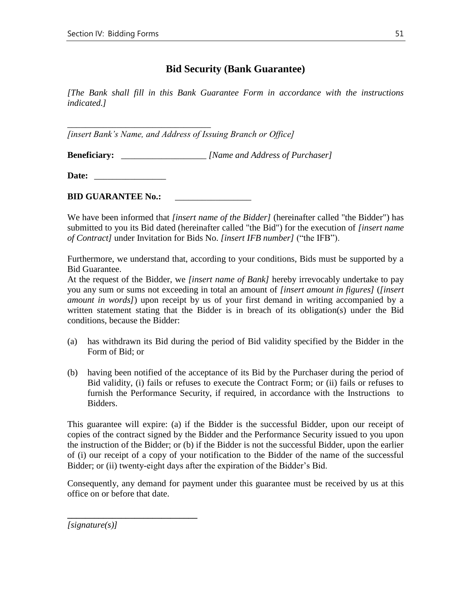### **Bid Security (Bank Guarantee)**

*[The Bank shall fill in this Bank Guarantee Form in accordance with the instructions indicated.]*

*[insert Bank's Name, and Address of Issuing Branch or Office]*

**Beneficiary:** \_\_\_\_\_\_\_\_\_\_\_\_\_\_\_\_\_\_\_ *[Name and Address of Purchaser]*

**Date:** \_\_\_\_\_\_\_\_\_\_\_\_\_\_\_\_

*\_\_\_\_\_\_\_\_\_\_\_\_\_\_\_\_\_\_\_\_\_\_\_\_\_\_\_\_\_\_\_\_*

**BID GUARANTEE No.:** 

We have been informed that *[insert name of the Bidder]* (hereinafter called "the Bidder") has submitted to you its Bid dated (hereinafter called "the Bid") for the execution of *[insert name of Contract]* under Invitation for Bids No. *[insert IFB number]* ("the IFB").

Furthermore, we understand that, according to your conditions, Bids must be supported by a Bid Guarantee.

At the request of the Bidder, we *[insert name of Bank]* hereby irrevocably undertake to pay you any sum or sums not exceeding in total an amount of *[insert amount in figures]* (*[insert amount in words]*) upon receipt by us of your first demand in writing accompanied by a written statement stating that the Bidder is in breach of its obligation(s) under the Bid conditions, because the Bidder:

- (a) has withdrawn its Bid during the period of Bid validity specified by the Bidder in the Form of Bid; or
- (b) having been notified of the acceptance of its Bid by the Purchaser during the period of Bid validity, (i) fails or refuses to execute the Contract Form; or (ii) fails or refuses to furnish the Performance Security, if required, in accordance with the Instructions to Bidders.

This guarantee will expire: (a) if the Bidder is the successful Bidder, upon our receipt of copies of the contract signed by the Bidder and the Performance Security issued to you upon the instruction of the Bidder; or (b) if the Bidder is not the successful Bidder, upon the earlier of (i) our receipt of a copy of your notification to the Bidder of the name of the successful Bidder; or (ii) twenty-eight days after the expiration of the Bidder's Bid.

Consequently, any demand for payment under this guarantee must be received by us at this office on or before that date.

*[signature(s)]*

**\_\_\_\_\_\_\_\_\_\_\_\_\_\_\_\_\_\_\_\_\_\_\_\_\_\_\_\_\_**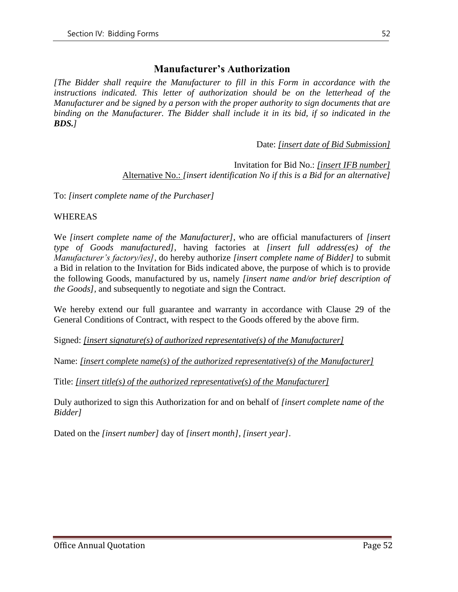### **Manufacturer's Authorization**

*[The Bidder shall require the Manufacturer to fill in this Form in accordance with the instructions indicated. This letter of authorization should be on the letterhead of the Manufacturer and be signed by a person with the proper authority to sign documents that are binding on the Manufacturer. The Bidder shall include it in its bid, if so indicated in the BDS.]*

Date: *[insert date of Bid Submission]*

#### Invitation for Bid No.: *[insert IFB number]* Alternative No.: *[insert identification No if this is a Bid for an alternative]*

To: *[insert complete name of the Purchaser]*

#### WHEREAS

We *[insert complete name of the Manufacturer]*, who are official manufacturers of *[insert type of Goods manufactured]*, having factories at *[insert full address(es) of the Manufacturer's factory/ies]*, do hereby authorize *[insert complete name of Bidder]* to submit a Bid in relation to the Invitation for Bids indicated above, the purpose of which is to provide the following Goods, manufactured by us, namely *[insert name and/or brief description of the Goods],* and subsequently to negotiate and sign the Contract.

We hereby extend our full guarantee and warranty in accordance with Clause 29 of the General Conditions of Contract, with respect to the Goods offered by the above firm.

Signed: *[insert signature(s) of authorized representative(s) of the Manufacturer]*

Name: *[insert complete name(s) of the authorized representative(s) of the Manufacturer]*

Title: *[insert title(s) of the authorized representative(s) of the Manufacturer]*

Duly authorized to sign this Authorization for and on behalf of *[insert complete name of the Bidder]*

Dated on the *[insert number]* day of *[insert month], [insert year]*.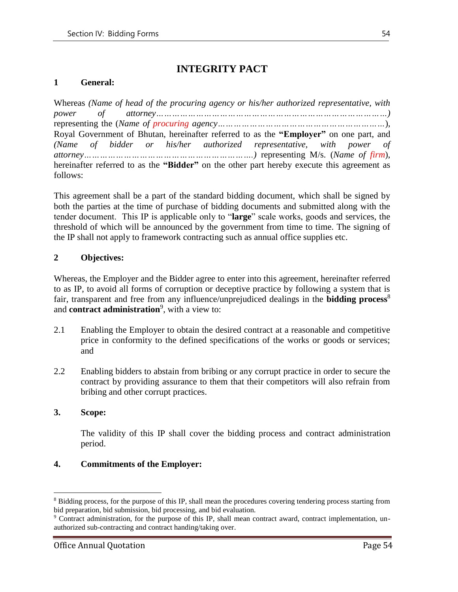# **INTEGRITY PACT**

#### **1 General:**

|          |  |  | Whereas (Name of head of the procuring agency or his/her authorized representative, with   |  |  |
|----------|--|--|--------------------------------------------------------------------------------------------|--|--|
|          |  |  |                                                                                            |  |  |
|          |  |  |                                                                                            |  |  |
|          |  |  | Royal Government of Bhutan, hereinafter referred to as the "Employer" on one part, and     |  |  |
|          |  |  | (Name of bidder or his/her authorized representative, with power of                        |  |  |
|          |  |  |                                                                                            |  |  |
|          |  |  | hereinafter referred to as the "Bidder" on the other part hereby execute this agreement as |  |  |
| follows: |  |  |                                                                                            |  |  |

This agreement shall be a part of the standard bidding document, which shall be signed by both the parties at the time of purchase of bidding documents and submitted along with the tender document. This IP is applicable only to "**large**" scale works, goods and services, the threshold of which will be announced by the government from time to time. The signing of the IP shall not apply to framework contracting such as annual office supplies etc.

#### **2 Objectives:**

Whereas, the Employer and the Bidder agree to enter into this agreement, hereinafter referred to as IP, to avoid all forms of corruption or deceptive practice by following a system that is fair, transparent and free from any influence/unprejudiced dealings in the **bidding process**<sup>8</sup> and **contract administration**<sup>9</sup> , with a view to:

- 2.1 Enabling the Employer to obtain the desired contract at a reasonable and competitive price in conformity to the defined specifications of the works or goods or services; and
- 2.2 Enabling bidders to abstain from bribing or any corrupt practice in order to secure the contract by providing assurance to them that their competitors will also refrain from bribing and other corrupt practices.

#### **3. Scope:**

 $\overline{a}$ 

The validity of this IP shall cover the bidding process and contract administration period.

#### **4. Commitments of the Employer:**

<sup>8</sup> Bidding process, for the purpose of this IP, shall mean the procedures covering tendering process starting from bid preparation, bid submission, bid processing, and bid evaluation.

<sup>9</sup> Contract administration, for the purpose of this IP, shall mean contract award, contract implementation, unauthorized sub-contracting and contract handing/taking over.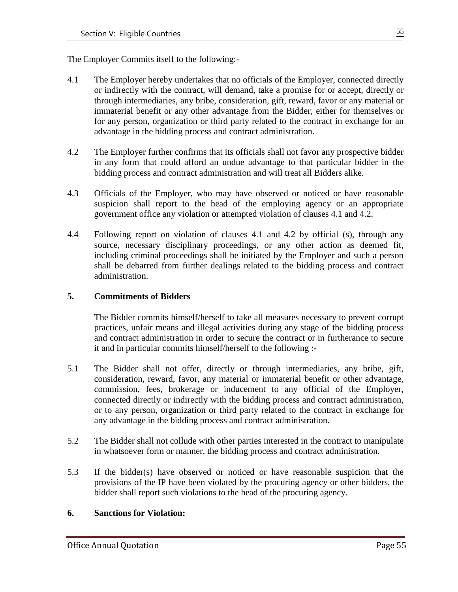The Employer Commits itself to the following:-

- 4.1 The Employer hereby undertakes that no officials of the Employer, connected directly or indirectly with the contract, will demand, take a promise for or accept, directly or through intermediaries, any bribe, consideration, gift, reward, favor or any material or immaterial benefit or any other advantage from the Bidder, either for themselves or for any person, organization or third party related to the contract in exchange for an advantage in the bidding process and contract administration.
- 4.2 The Employer further confirms that its officials shall not favor any prospective bidder in any form that could afford an undue advantage to that particular bidder in the bidding process and contract administration and will treat all Bidders alike.
- 4.3 Officials of the Employer, who may have observed or noticed or have reasonable suspicion shall report to the head of the employing agency or an appropriate government office any violation or attempted violation of clauses 4.1 and 4.2.
- 4.4 Following report on violation of clauses 4.1 and 4.2 by official (s), through any source, necessary disciplinary proceedings, or any other action as deemed fit, including criminal proceedings shall be initiated by the Employer and such a person shall be debarred from further dealings related to the bidding process and contract administration.

#### **5. Commitments of Bidders**

The Bidder commits himself/herself to take all measures necessary to prevent corrupt practices, unfair means and illegal activities during any stage of the bidding process and contract administration in order to secure the contract or in furtherance to secure it and in particular commits himself/herself to the following :-

- 5.1 The Bidder shall not offer, directly or through intermediaries, any bribe, gift, consideration, reward, favor, any material or immaterial benefit or other advantage, commission, fees, brokerage or inducement to any official of the Employer, connected directly or indirectly with the bidding process and contract administration, or to any person, organization or third party related to the contract in exchange for any advantage in the bidding process and contract administration.
- 5.2 The Bidder shall not collude with other parties interested in the contract to manipulate in whatsoever form or manner, the bidding process and contract administration.
- 5.3 If the bidder(s) have observed or noticed or have reasonable suspicion that the provisions of the IP have been violated by the procuring agency or other bidders, the bidder shall report such violations to the head of the procuring agency.

#### **6. Sanctions for Violation:**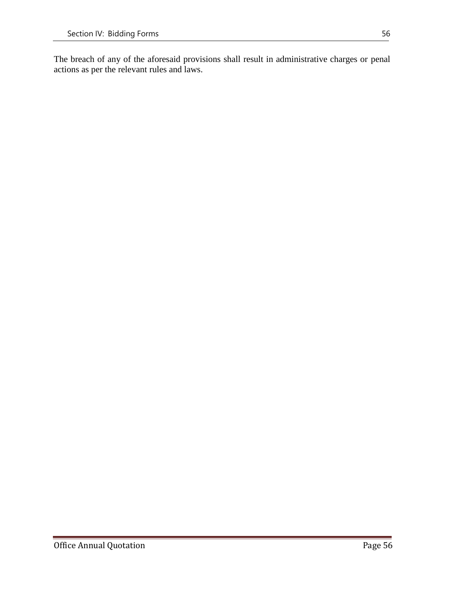The breach of any of the aforesaid provisions shall result in administrative charges or penal actions as per the relevant rules and laws.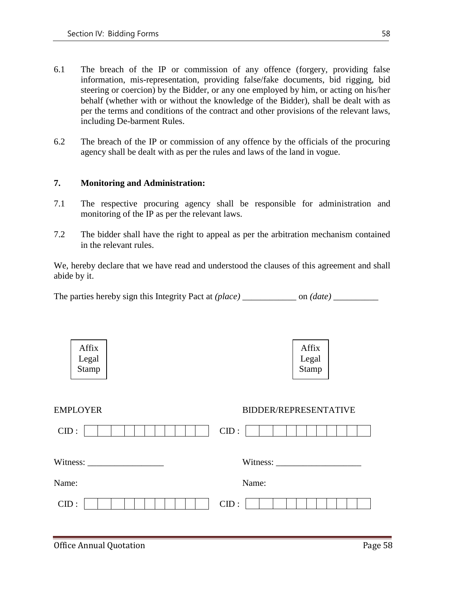- 6.1 The breach of the IP or commission of any offence (forgery, providing false information, mis-representation, providing false/fake documents, bid rigging, bid steering or coercion) by the Bidder, or any one employed by him, or acting on his/her behalf (whether with or without the knowledge of the Bidder), shall be dealt with as per the terms and conditions of the contract and other provisions of the relevant laws, including De-barment Rules.
- 6.2 The breach of the IP or commission of any offence by the officials of the procuring agency shall be dealt with as per the rules and laws of the land in vogue.

#### **7. Monitoring and Administration:**

- 7.1 The respective procuring agency shall be responsible for administration and monitoring of the IP as per the relevant laws.
- 7.2 The bidder shall have the right to appeal as per the arbitration mechanism contained in the relevant rules.

We, hereby declare that we have read and understood the clauses of this agreement and shall abide by it.

|  | The parties hereby sign this Integrity Pact at (place) |  | on <i>(date)</i> |
|--|--------------------------------------------------------|--|------------------|
|  |                                                        |  |                  |
|  |                                                        |  |                  |

| Affix<br>Legal<br>Stamp | Affix<br>Legal<br>Stamp |
|-------------------------|-------------------------|
| <b>EMPLOYER</b>         | BIDDER/REPRESENTATIVE   |
| CID:                    | CID:                    |
|                         |                         |
| Name:                   | Name:                   |
| CID:                    | CID:                    |

#### Office Annual Quotation **Page 58**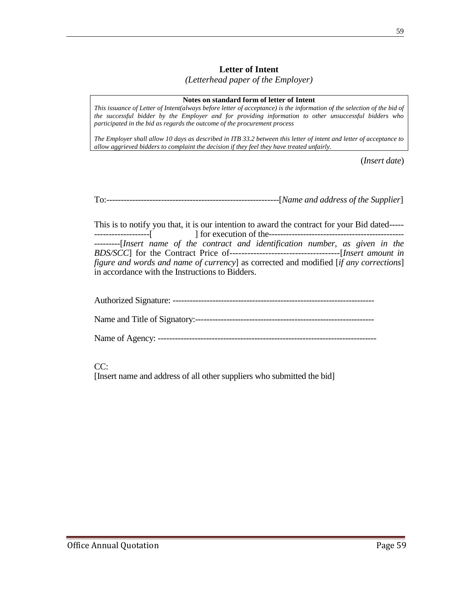#### **Letter of Intent**

*(Letterhead paper of the Employer)*

#### **Notes on standard form of letter of Intent**

*This issuance of Letter of Intent(always before letter of acceptance) is the information of the selection of the bid of the successful bidder by the Employer and for providing information to other unsuccessful bidders who participated in the bid as regards the outcome of the procurement process*

*The Employer shall allow 10 days as described in ITB 33.2 between this letter of intent and letter of acceptance to allow aggrieved bidders to complaint the decision if they feel they have treated unfairly.*

(*Insert date*)

To:------------------------------------------------------------[*Name and address of the Supplier*]

This is to notify you that, it is our intention to award the contract for your Bid dated----- -------------------[] for execution of the----------------------------------------------- ---------[*Insert name of the contract and identification number, as given in the BDS/SCC*] for the Contract Price of-------------------------------------[*Insert amount in figure and words and name of currency*] as corrected and modified [*if any corrections*] in accordance with the Instructions to Bidders.

#### CC:

[Insert name and address of all other suppliers who submitted the bid]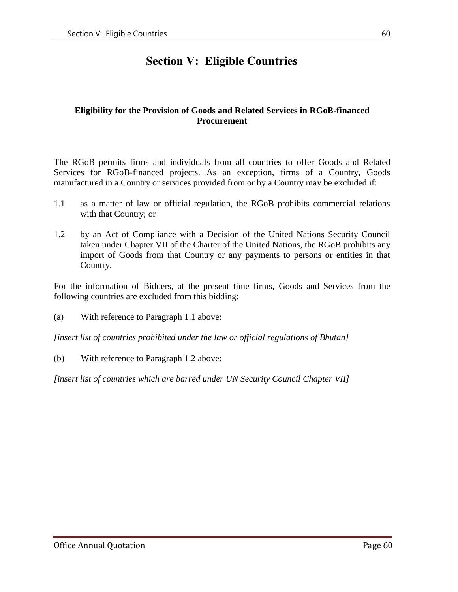# **Section V: Eligible Countries**

#### **Eligibility for the Provision of Goods and Related Services in RGoB-financed Procurement**

The RGoB permits firms and individuals from all countries to offer Goods and Related Services for RGoB-financed projects. As an exception, firms of a Country, Goods manufactured in a Country or services provided from or by a Country may be excluded if:

- 1.1 as a matter of law or official regulation, the RGoB prohibits commercial relations with that Country; or
- 1.2 by an Act of Compliance with a Decision of the United Nations Security Council taken under Chapter VII of the Charter of the United Nations, the RGoB prohibits any import of Goods from that Country or any payments to persons or entities in that Country.

For the information of Bidders, at the present time firms, Goods and Services from the following countries are excluded from this bidding:

(a) With reference to Paragraph 1.1 above:

*[insert list of countries prohibited under the law or official regulations of Bhutan]*

(b) With reference to Paragraph 1.2 above:

*[insert list of countries which are barred under UN Security Council Chapter VII]*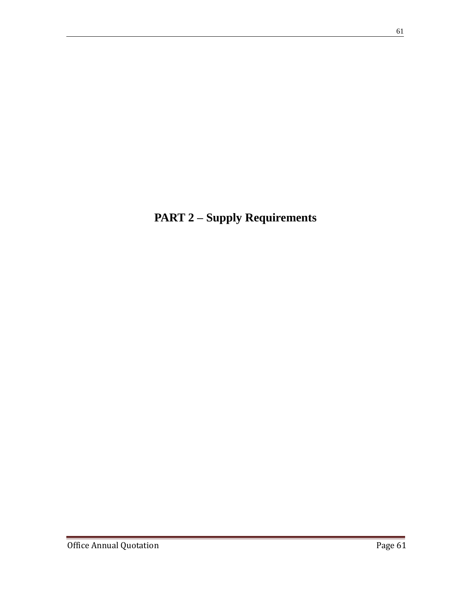**PART 2 – Supply Requirements**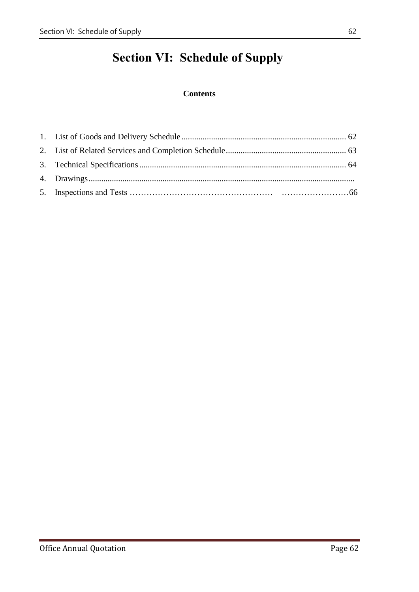# **Section VI: Schedule of Supply**

### **Contents**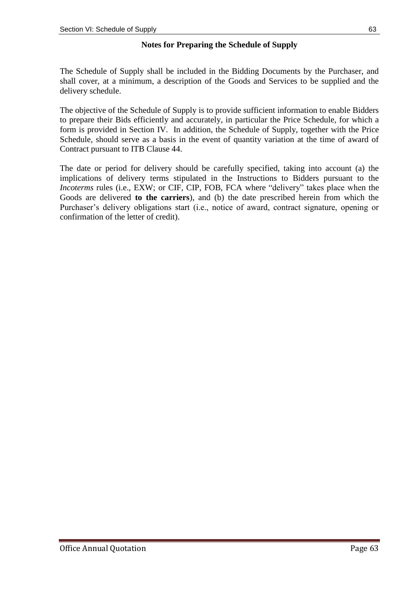#### **Notes for Preparing the Schedule of Supply**

The Schedule of Supply shall be included in the Bidding Documents by the Purchaser, and shall cover, at a minimum, a description of the Goods and Services to be supplied and the delivery schedule.

The objective of the Schedule of Supply is to provide sufficient information to enable Bidders to prepare their Bids efficiently and accurately, in particular the Price Schedule, for which a form is provided in Section IV. In addition, the Schedule of Supply, together with the Price Schedule, should serve as a basis in the event of quantity variation at the time of award of Contract pursuant to ITB Clause 44.

The date or period for delivery should be carefully specified, taking into account (a) the implications of delivery terms stipulated in the Instructions to Bidders pursuant to the *Incoterms* rules (i.e., EXW; or CIF, CIP, FOB, FCA where "delivery" takes place when the Goods are delivered **to the carriers**), and (b) the date prescribed herein from which the Purchaser's delivery obligations start (i.e., notice of award, contract signature, opening or confirmation of the letter of credit).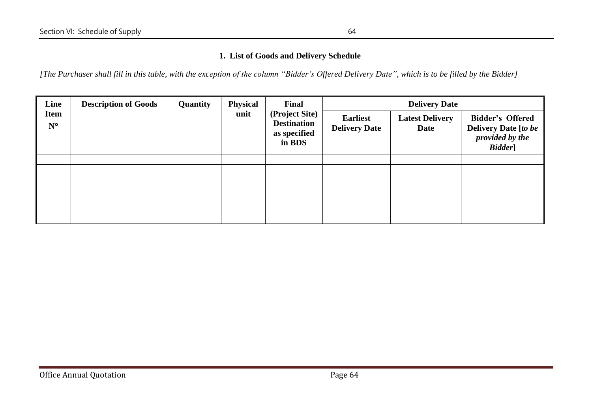#### **1. List of Goods and Delivery Schedule**

*[The Purchaser shall fill in this table, with the exception of the column "Bidder's Offered Delivery Date", which is to be filled by the Bidder]*

| Line                       | <b>Physical</b><br><b>Description of Goods</b><br>Quantity<br>Final<br>(Project Site)<br>unit<br><b>Destination</b><br>as specified<br>in BDS |  | <b>Delivery Date</b>                    |                                |                                                                                      |  |
|----------------------------|-----------------------------------------------------------------------------------------------------------------------------------------------|--|-----------------------------------------|--------------------------------|--------------------------------------------------------------------------------------|--|
| <b>Item</b><br>$N^{\circ}$ |                                                                                                                                               |  | <b>Earliest</b><br><b>Delivery Date</b> | <b>Latest Delivery</b><br>Date | <b>Bidder's Offered</b><br><b>Delivery Date [to be</b><br>provided by the<br>Bidder] |  |
|                            |                                                                                                                                               |  |                                         |                                |                                                                                      |  |
|                            |                                                                                                                                               |  |                                         |                                |                                                                                      |  |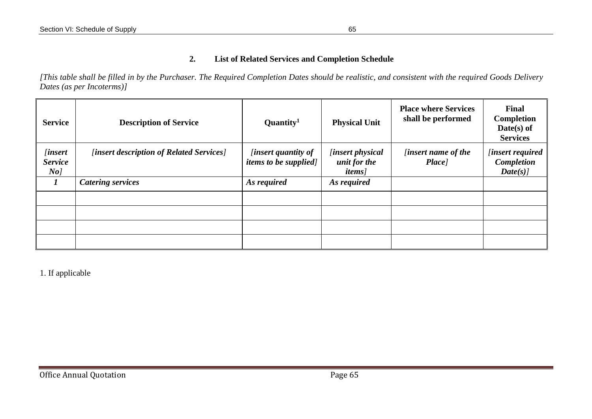#### **2. List of Related Services and Completion Schedule**

*[This table shall be filled in by the Purchaser. The Required Completion Dates should be realistic, and consistent with the required Goods Delivery Dates (as per Incoterms)]* 

| <b>Service</b>                                           | <b>Description of Service</b>            | Quantity <sup>1</sup>                                      | <b>Physical Unit</b>                                    | <b>Place where Services</b><br>shall be performed | Final<br>Completion<br>$Date(s)$ of<br><b>Services</b>  |
|----------------------------------------------------------|------------------------------------------|------------------------------------------------------------|---------------------------------------------------------|---------------------------------------------------|---------------------------------------------------------|
| <i>linsert</i><br><b>Service</b><br>$N$ o $\overline{a}$ | [insert description of Related Services] | <i>linsert quantity of</i><br><i>items to be supplied]</i> | <i>linsert physical</i><br>unit for the<br><i>items</i> | <i>linsert name of the</i><br>Place]              | <i>linsert required</i><br><b>Completion</b><br>Date(s) |
|                                                          | <b>Catering services</b>                 | As required                                                | As required                                             |                                                   |                                                         |
|                                                          |                                          |                                                            |                                                         |                                                   |                                                         |
|                                                          |                                          |                                                            |                                                         |                                                   |                                                         |
|                                                          |                                          |                                                            |                                                         |                                                   |                                                         |
|                                                          |                                          |                                                            |                                                         |                                                   |                                                         |

1. If applicable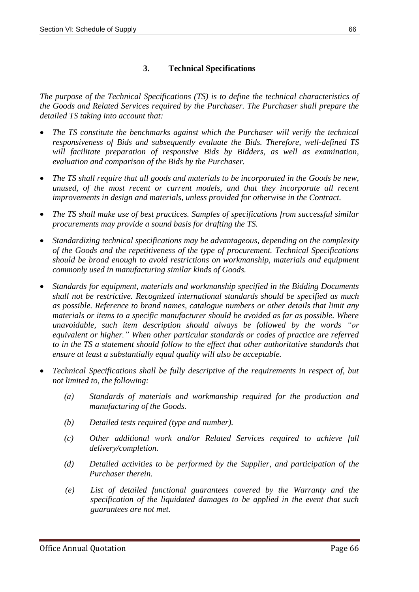#### **3. Technical Specifications**

*The purpose of the Technical Specifications (TS) is to define the technical characteristics of the Goods and Related Services required by the Purchaser. The Purchaser shall prepare the detailed TS taking into account that:* 

- *The TS constitute the benchmarks against which the Purchaser will verify the technical responsiveness of Bids and subsequently evaluate the Bids. Therefore, well-defined TS will facilitate preparation of responsive Bids by Bidders, as well as examination, evaluation and comparison of the Bids by the Purchaser.*
- *The TS shall require that all goods and materials to be incorporated in the Goods be new, unused, of the most recent or current models, and that they incorporate all recent improvements in design and materials, unless provided for otherwise in the Contract.*
- *The TS shall make use of best practices. Samples of specifications from successful similar procurements may provide a sound basis for drafting the TS.*
- *Standardizing technical specifications may be advantageous, depending on the complexity of the Goods and the repetitiveness of the type of procurement. Technical Specifications should be broad enough to avoid restrictions on workmanship, materials and equipment commonly used in manufacturing similar kinds of Goods.*
- *Standards for equipment, materials and workmanship specified in the Bidding Documents shall not be restrictive. Recognized international standards should be specified as much as possible. Reference to brand names, catalogue numbers or other details that limit any materials or items to a specific manufacturer should be avoided as far as possible. Where unavoidable, such item description should always be followed by the words "or equivalent or higher." When other particular standards or codes of practice are referred to in the TS a statement should follow to the effect that other authoritative standards that ensure at least a substantially equal quality will also be acceptable.*
- *Technical Specifications shall be fully descriptive of the requirements in respect of, but not limited to, the following:*
	- *(a) Standards of materials and workmanship required for the production and manufacturing of the Goods.*
	- *(b) Detailed tests required (type and number).*
	- *(c) Other additional work and/or Related Services required to achieve full delivery/completion.*
	- *(d) Detailed activities to be performed by the Supplier, and participation of the Purchaser therein.*
	- *(e) List of detailed functional guarantees covered by the Warranty and the specification of the liquidated damages to be applied in the event that such guarantees are not met.*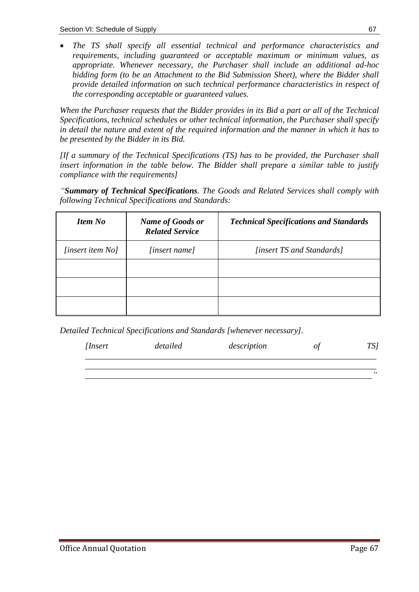• *The TS shall specify all essential technical and performance characteristics and requirements, including guaranteed or acceptable maximum or minimum values, as appropriate. Whenever necessary, the Purchaser shall include an additional ad-hoc bidding form (to be an Attachment to the Bid Submission Sheet), where the Bidder shall provide detailed information on such technical performance characteristics in respect of the corresponding acceptable or guaranteed values.*

*When the Purchaser requests that the Bidder provides in its Bid a part or all of the Technical Specifications, technical schedules or other technical information, the Purchaser shall specify in detail the nature and extent of the required information and the manner in which it has to be presented by the Bidder in its Bid.*

*[If a summary of the Technical Specifications (TS) has to be provided, the Purchaser shall insert information in the table below. The Bidder shall prepare a similar table to justify compliance with the requirements]* 

*"Summary of Technical Specifications. The Goods and Related Services shall comply with following Technical Specifications and Standards:* 

| <b>Item No</b>   | <b>Name of Goods or</b><br><b>Related Service</b> | <b>Technical Specifications and Standards</b> |
|------------------|---------------------------------------------------|-----------------------------------------------|
| [insert item No] | [insert name]                                     | [insert TS and Standards]                     |
|                  |                                                   |                                               |
|                  |                                                   |                                               |
|                  |                                                   |                                               |

*Detailed Technical Specifications and Standards [whenever necessary].* 

| [Insert | <i>detailed</i> | description |  |
|---------|-----------------|-------------|--|
|         |                 |             |  |

*\_\_\_\_\_\_\_\_\_\_\_\_\_\_\_\_\_\_\_\_\_\_\_\_\_\_\_\_\_\_\_\_\_\_\_\_\_\_\_\_\_\_\_\_\_\_\_\_\_\_\_\_\_\_\_\_\_\_\_\_\_\_\_\_\_\_\_\_"*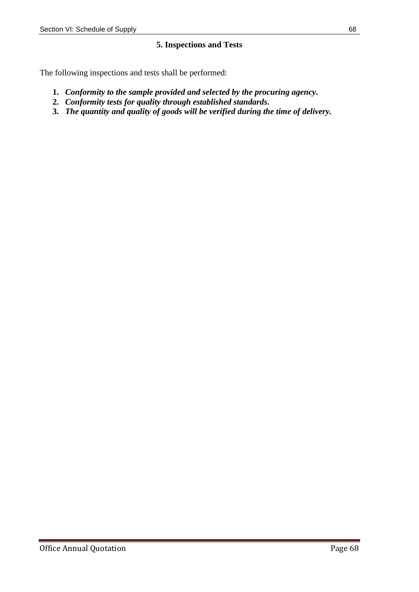#### **5. Inspections and Tests**

The following inspections and tests shall be performed:

- **1.** *Conformity to the sample provided and selected by the procuring agency.*
- **2.** *Conformity tests for quality through established standards.*
- **3.** *The quantity and quality of goods will be verified during the time of delivery.*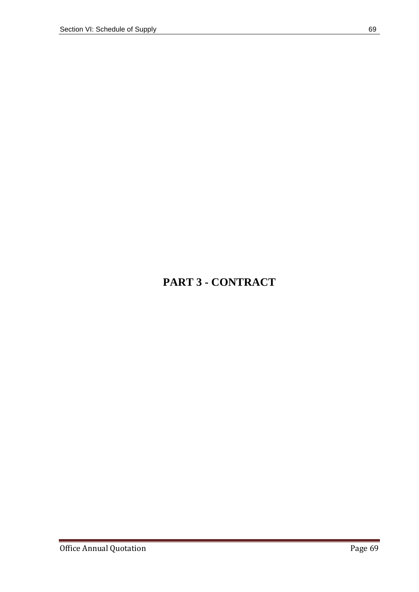# **PART 3 - CONTRACT**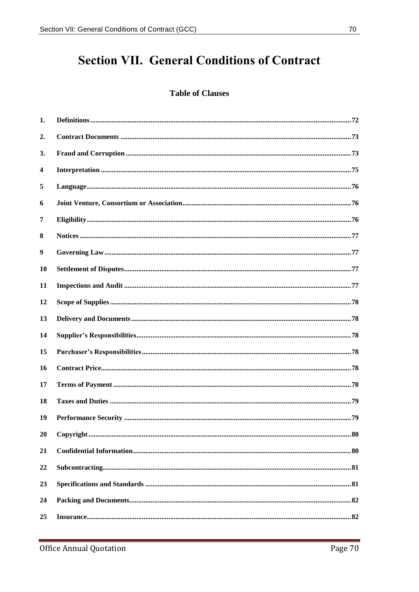# **Section VII. General Conditions of Contract**

#### **Table of Clauses**

| 1.        |  |
|-----------|--|
| 2.        |  |
| 3.        |  |
| 4         |  |
| 5         |  |
| 6         |  |
| 7         |  |
| 8         |  |
| 9         |  |
| <b>10</b> |  |
| 11        |  |
| 12        |  |
| 13        |  |
| 14        |  |
| 15        |  |
| 16        |  |
| 17        |  |
| 18        |  |
| 19        |  |
| 20        |  |
| 21        |  |
| 22        |  |
| 23        |  |
| 24        |  |
| 25        |  |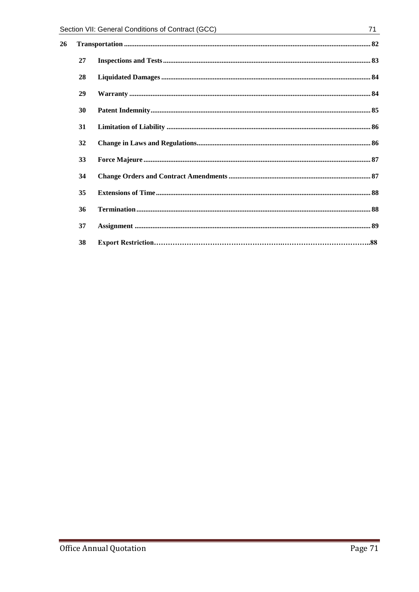| Section VII: General Conditions of Contract (GCC) |    | 71                                                     |  |
|---------------------------------------------------|----|--------------------------------------------------------|--|
| 26                                                |    |                                                        |  |
|                                                   | 27 |                                                        |  |
|                                                   | 28 |                                                        |  |
|                                                   | 29 |                                                        |  |
|                                                   | 30 |                                                        |  |
|                                                   | 31 | ${\bf Limitation~of~Liability~} \\ \hspace*{2.5cm} 86$ |  |
|                                                   | 32 |                                                        |  |
|                                                   | 33 |                                                        |  |
|                                                   | 34 |                                                        |  |
|                                                   | 35 |                                                        |  |
|                                                   | 36 |                                                        |  |
|                                                   | 37 |                                                        |  |
|                                                   | 38 |                                                        |  |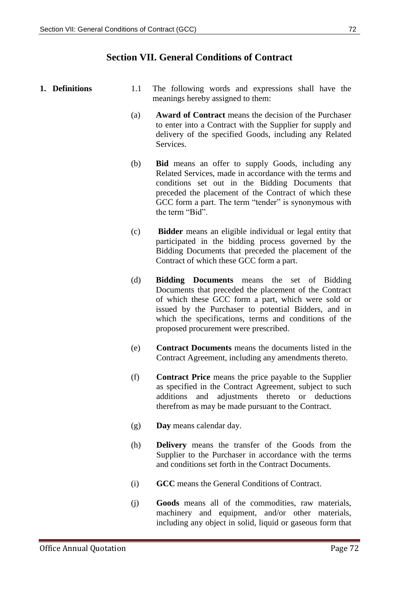#### **Section VII. General Conditions of Contract**

- **1. Definitions** 1.1 The following words and expressions shall have the meanings hereby assigned to them:
	- (a) **Award of Contract** means the decision of the Purchaser to enter into a Contract with the Supplier for supply and delivery of the specified Goods, including any Related Services.
	- (b) **Bid** means an offer to supply Goods, including any Related Services, made in accordance with the terms and conditions set out in the Bidding Documents that preceded the placement of the Contract of which these GCC form a part. The term "tender" is synonymous with the term "Bid".
	- (c) **Bidder** means an eligible individual or legal entity that participated in the bidding process governed by the Bidding Documents that preceded the placement of the Contract of which these GCC form a part.
	- (d) **Bidding Documents** means the set of Bidding Documents that preceded the placement of the Contract of which these GCC form a part, which were sold or issued by the Purchaser to potential Bidders, and in which the specifications, terms and conditions of the proposed procurement were prescribed.
	- (e) **Contract Documents** means the documents listed in the Contract Agreement, including any amendments thereto.
	- (f) **Contract Price** means the price payable to the Supplier as specified in the Contract Agreement, subject to such additions and adjustments thereto or deductions therefrom as may be made pursuant to the Contract.
	- (g) **Day** means calendar day.
	- (h) **Delivery** means the transfer of the Goods from the Supplier to the Purchaser in accordance with the terms and conditions set forth in the Contract Documents.
	- (i) **GCC** means the General Conditions of Contract.
	- (j) **Goods** means all of the commodities, raw materials, machinery and equipment, and/or other materials, including any object in solid, liquid or gaseous form that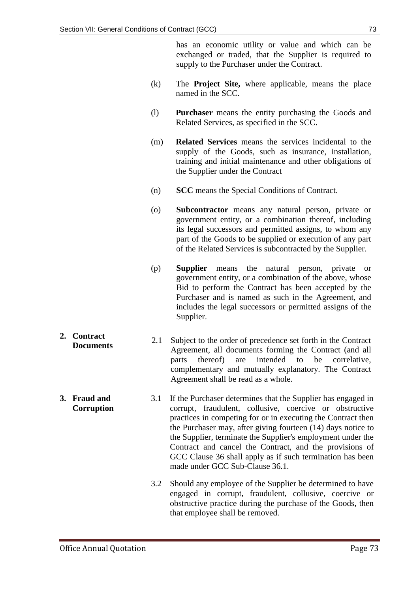has an economic utility or value and which can be exchanged or traded, that the Supplier is required to supply to the Purchaser under the Contract.

- (k) The **Project Site,** where applicable, means the place named in the SCC.
- (l) **Purchaser** means the entity purchasing the Goods and Related Services, as specified in the SCC.
- (m) **Related Services** means the services incidental to the supply of the Goods, such as insurance, installation, training and initial maintenance and other obligations of the Supplier under the Contract
- (n) **SCC** means the Special Conditions of Contract.
- (o) **Subcontractor** means any natural person, private or government entity, or a combination thereof, including its legal successors and permitted assigns, to whom any part of the Goods to be supplied or execution of any part of the Related Services is subcontracted by the Supplier.
- (p) **Supplier** means the natural person, private or government entity, or a combination of the above, whose Bid to perform the Contract has been accepted by the Purchaser and is named as such in the Agreement, and includes the legal successors or permitted assigns of the Supplier.
- **2. Contract Documents** 2.1 Subject to the order of precedence set forth in the Contract Documents Agreement, all documents forming the Contract (and all parts thereof) are intended to be correlative, complementary and mutually explanatory. The Contract Agreement shall be read as a whole.
	- 3.1 If the Purchaser determines that the Supplier has engaged in corrupt, fraudulent, collusive, coercive or obstructive practices in competing for or in executing the Contract then the Purchaser may, after giving fourteen (14) days notice to the Supplier, terminate the Supplier's employment under the Contract and cancel the Contract, and the provisions of GCC Clause 36 shall apply as if such termination has been made under GCC Sub-Clause 36.1.
		- 3.2 Should any employee of the Supplier be determined to have engaged in corrupt, fraudulent, collusive, coercive or obstructive practice during the purchase of the Goods, then that employee shall be removed.

**3. Fraud and Corruption**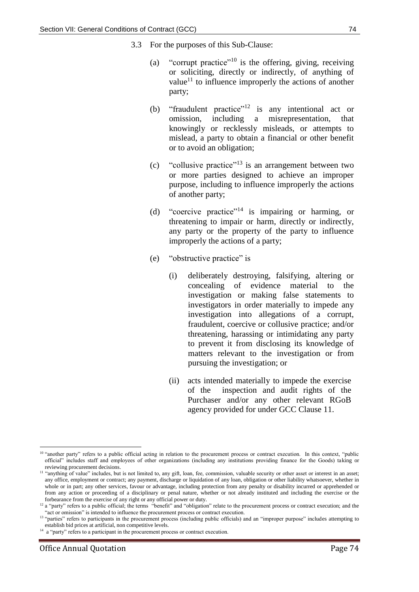- 3.3 For the purposes of this Sub-Clause:
	- (a) "corrupt practice"<sup>10</sup> is the offering, giving, receiving or soliciting, directly or indirectly, of anything of value<sup>11</sup> to influence improperly the actions of another party;
	- (b) "fraudulent practice"<sup>12</sup> is any intentional act or omission, including a misrepresentation, that knowingly or recklessly misleads, or attempts to mislead, a party to obtain a financial or other benefit or to avoid an obligation;
	- (c) "collusive practice"<sup>13</sup> is an arrangement between two or more parties designed to achieve an improper purpose, including to influence improperly the actions of another party;
	- (d) "coercive practice"<sup>14</sup> is impairing or harming, or threatening to impair or harm, directly or indirectly, any party or the property of the party to influence improperly the actions of a party;
	- (e) "obstructive practice" is
		- (i) deliberately destroying, falsifying, altering or concealing of evidence material to the investigation or making false statements to investigators in order materially to impede any investigation into allegations of a corrupt, fraudulent, coercive or collusive practice; and/or threatening, harassing or intimidating any party to prevent it from disclosing its knowledge of matters relevant to the investigation or from pursuing the investigation; or
		- (ii) acts intended materially to impede the exercise of the inspection and audit rights of the Purchaser and/or any other relevant RGoB agency provided for under GCC Clause 11.

<sup>1</sup> <sup>10</sup> "another party" refers to a public official acting in relation to the procurement process or contract execution. In this context, "public official" includes staff and employees of other organizations (including any institutions providing finance for the Goods) taking or reviewing procurement decisions.

<sup>&</sup>lt;sup>11</sup> "anything of value" includes, but is not limited to, any gift, loan, fee, commission, valuable security or other asset or interest in an asset; any office, employment or contract; any payment, discharge or liquidation of any loan, obligation or other liability whatsoever, whether in whole or in part; any other services, favour or advantage, including protection from any penalty or disability incurred or apprehended or from any action or proceeding of a disciplinary or penal nature, whether or not already instituted and including the exercise or the forbearance from the exercise of any right or any official power or duty.

 $12$  a "party" refers to a public official; the terms "benefit" and "obligation" relate to the procurement process or contract execution; and the "act or omission" is intended to influence the procurement process or contract execution.

<sup>&</sup>lt;sup>13</sup> "parties" refers to participants in the procurement process (including public officials) and an "improper purpose" includes attempting to establish bid prices at artificial, non competitive levels.

<sup>&</sup>lt;sup>14</sup> a "party" refers to a participant in the procurement process or contract execution.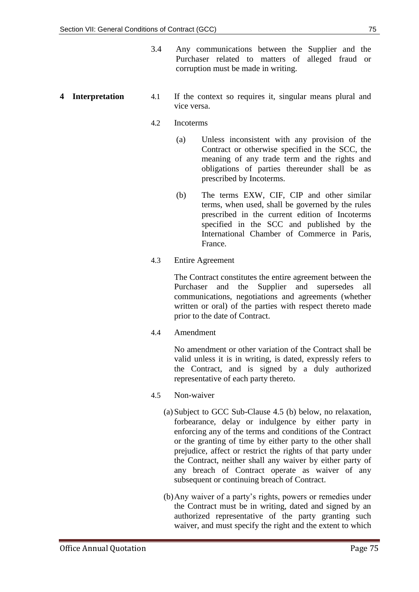- 3.4 Any communications between the Supplier and the Purchaser related to matters of alleged fraud or corruption must be made in writing.
- **4 Interpretation** 4.1 If the context so requires it, singular means plural and vice versa.
	- 4.2 Incoterms
		- (a) Unless inconsistent with any provision of the Contract or otherwise specified in the SCC, the meaning of any trade term and the rights and obligations of parties thereunder shall be as prescribed by Incoterms.
		- (b) The terms EXW, CIF, CIP and other similar terms, when used, shall be governed by the rules prescribed in the current edition of Incoterms specified in the SCC and published by the International Chamber of Commerce in Paris, France.
	- 4.3 Entire Agreement

The Contract constitutes the entire agreement between the Purchaser and the Supplier and supersedes all communications, negotiations and agreements (whether written or oral) of the parties with respect thereto made prior to the date of Contract.

4.4 Amendment

No amendment or other variation of the Contract shall be valid unless it is in writing, is dated, expressly refers to the Contract, and is signed by a duly authorized representative of each party thereto.

- 4.5 Non-waiver
	- (a) Subject to GCC Sub-Clause 4.5 (b) below, no relaxation, forbearance, delay or indulgence by either party in enforcing any of the terms and conditions of the Contract or the granting of time by either party to the other shall prejudice, affect or restrict the rights of that party under the Contract, neither shall any waiver by either party of any breach of Contract operate as waiver of any subsequent or continuing breach of Contract.
	- (b)Any waiver of a party's rights, powers or remedies under the Contract must be in writing, dated and signed by an authorized representative of the party granting such waiver, and must specify the right and the extent to which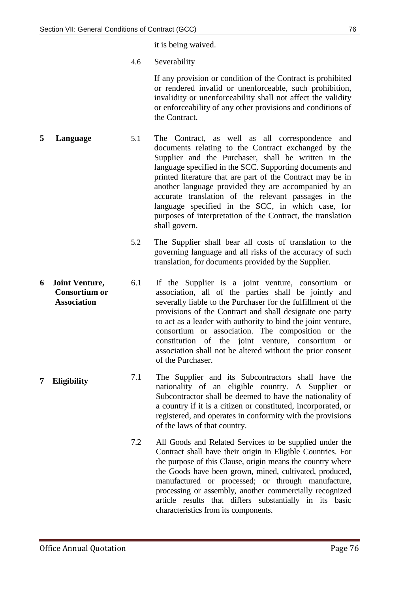it is being waived.

4.6 Severability

If any provision or condition of the Contract is prohibited or rendered invalid or unenforceable, such prohibition, invalidity or unenforceability shall not affect the validity or enforceability of any other provisions and conditions of the Contract.

- **5 Language** 5.1 The Contract, as well as all correspondence and documents relating to the Contract exchanged by the Supplier and the Purchaser, shall be written in the language specified in the SCC. Supporting documents and printed literature that are part of the Contract may be in another language provided they are accompanied by an accurate translation of the relevant passages in the language specified in the SCC, in which case, for purposes of interpretation of the Contract, the translation shall govern.
	- 5.2 The Supplier shall bear all costs of translation to the governing language and all risks of the accuracy of such translation, for documents provided by the Supplier.
- **6 Joint Venture, Consortium or Association** 6.1 If the Supplier is a joint venture, consortium or association, all of the parties shall be jointly and severally liable to the Purchaser for the fulfillment of the provisions of the Contract and shall designate one party to act as a leader with authority to bind the joint venture, consortium or association. The composition or the constitution of the joint venture, consortium or association shall not be altered without the prior consent of the Purchaser.
- **<sup>7</sup> Eligibility** 7.1 The Supplier and its Subcontractors shall have the nationality of an eligible country. A Supplier or Subcontractor shall be deemed to have the nationality of a country if it is a citizen or constituted, incorporated, or registered, and operates in conformity with the provisions of the laws of that country.
	- 7.2 All Goods and Related Services to be supplied under the Contract shall have their origin in Eligible Countries. For the purpose of this Clause, origin means the country where the Goods have been grown, mined, cultivated, produced, manufactured or processed; or through manufacture, processing or assembly, another commercially recognized article results that differs substantially in its basic characteristics from its components.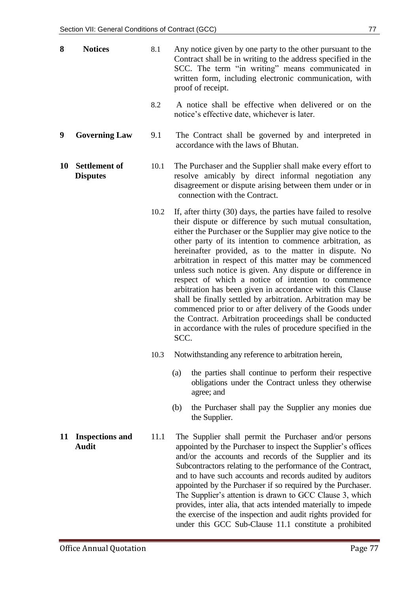- **8 Notices** 8.1 Any notice given by one party to the other pursuant to the Contract shall be in writing to the address specified in the SCC. The term "in writing" means communicated in written form, including electronic communication, with proof of receipt.
	- 8.2 A notice shall be effective when delivered or on the notice's effective date, whichever is later.
- **9 Governing Law** 9.1 The Contract shall be governed by and interpreted in accordance with the laws of Bhutan.
- **10 Settlement of Disputes** 10.1 The Purchaser and the Supplier shall make every effort to resolve amicably by direct informal negotiation any disagreement or dispute arising between them under or in connection with the Contract.
	- 10.2 If, after thirty (30) days, the parties have failed to resolve their dispute or difference by such mutual consultation, either the Purchaser or the Supplier may give notice to the other party of its intention to commence arbitration, as hereinafter provided, as to the matter in dispute. No arbitration in respect of this matter may be commenced unless such notice is given. Any dispute or difference in respect of which a notice of intention to commence arbitration has been given in accordance with this Clause shall be finally settled by arbitration. Arbitration may be commenced prior to or after delivery of the Goods under the Contract. Arbitration proceedings shall be conducted in accordance with the rules of procedure specified in the SCC.
	- 10.3 Notwithstanding any reference to arbitration herein,
		- (a) the parties shall continue to perform their respective obligations under the Contract unless they otherwise agree; and
		- (b) the Purchaser shall pay the Supplier any monies due the Supplier.
	- 11.1 The Supplier shall permit the Purchaser and/or persons appointed by the Purchaser to inspect the Supplier's offices and/or the accounts and records of the Supplier and its Subcontractors relating to the performance of the Contract, and to have such accounts and records audited by auditors appointed by the Purchaser if so required by the Purchaser. The Supplier's attention is drawn to GCC Clause 3, which provides, inter alia, that acts intended materially to impede the exercise of the inspection and audit rights provided for under this GCC Sub-Clause 11.1 constitute a prohibited
- **11 Inspections and Audit**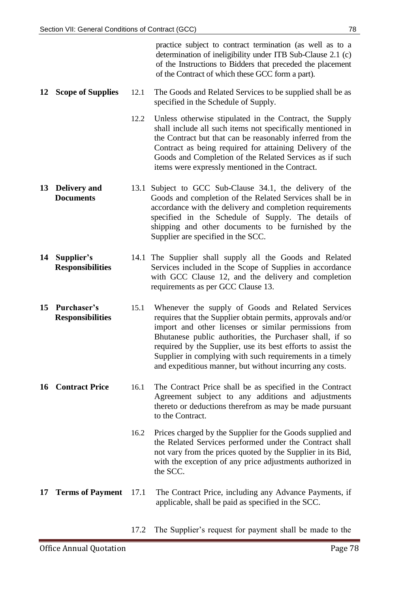|    |                                         |      | practice subject to contract termination (as well as to a<br>determination of ineligibility under ITB Sub-Clause 2.1 (c)<br>of the Instructions to Bidders that preceded the placement<br>of the Contract of which these GCC form a part).                                                                                                                                                                                    |
|----|-----------------------------------------|------|-------------------------------------------------------------------------------------------------------------------------------------------------------------------------------------------------------------------------------------------------------------------------------------------------------------------------------------------------------------------------------------------------------------------------------|
| 12 | <b>Scope of Supplies</b>                | 12.1 | The Goods and Related Services to be supplied shall be as<br>specified in the Schedule of Supply.                                                                                                                                                                                                                                                                                                                             |
|    |                                         | 12.2 | Unless otherwise stipulated in the Contract, the Supply<br>shall include all such items not specifically mentioned in<br>the Contract but that can be reasonably inferred from the<br>Contract as being required for attaining Delivery of the<br>Goods and Completion of the Related Services as if such<br>items were expressly mentioned in the Contract.                                                                  |
| 13 | <b>Delivery and</b><br><b>Documents</b> |      | 13.1 Subject to GCC Sub-Clause 34.1, the delivery of the<br>Goods and completion of the Related Services shall be in<br>accordance with the delivery and completion requirements<br>specified in the Schedule of Supply. The details of<br>shipping and other documents to be furnished by the<br>Supplier are specified in the SCC.                                                                                          |
| 14 | Supplier's<br><b>Responsibilities</b>   |      | 14.1 The Supplier shall supply all the Goods and Related<br>Services included in the Scope of Supplies in accordance<br>with GCC Clause 12, and the delivery and completion<br>requirements as per GCC Clause 13.                                                                                                                                                                                                             |
| 15 | Purchaser's<br><b>Responsibilities</b>  | 15.1 | Whenever the supply of Goods and Related Services<br>requires that the Supplier obtain permits, approvals and/or<br>import and other licenses or similar permissions from<br>Bhutanese public authorities, the Purchaser shall, if so<br>required by the Supplier, use its best efforts to assist the<br>Supplier in complying with such requirements in a timely<br>and expeditious manner, but without incurring any costs. |
| 16 | <b>Contract Price</b>                   | 16.1 | The Contract Price shall be as specified in the Contract<br>Agreement subject to any additions and adjustments<br>thereto or deductions therefrom as may be made pursuant<br>to the Contract.                                                                                                                                                                                                                                 |
|    |                                         | 16.2 | Prices charged by the Supplier for the Goods supplied and<br>the Related Services performed under the Contract shall<br>not vary from the prices quoted by the Supplier in its Bid,<br>with the exception of any price adjustments authorized in<br>the SCC.                                                                                                                                                                  |
| 17 | <b>Terms of Payment</b>                 | 17.1 | The Contract Price, including any Advance Payments, if<br>applicable, shall be paid as specified in the SCC.                                                                                                                                                                                                                                                                                                                  |

17.2 The Supplier's request for payment shall be made to the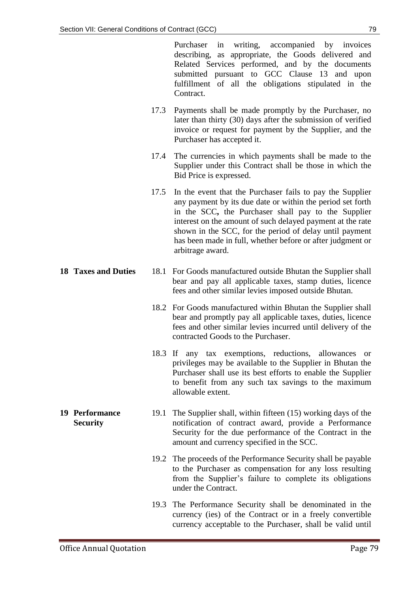Purchaser in writing, accompanied by invoices describing, as appropriate, the Goods delivered and Related Services performed, and by the documents submitted pursuant to GCC Clause 13 and upon fulfillment of all the obligations stipulated in the Contract.

- 17.3 Payments shall be made promptly by the Purchaser, no later than thirty (30) days after the submission of verified invoice or request for payment by the Supplier, and the Purchaser has accepted it.
- 17.4 The currencies in which payments shall be made to the Supplier under this Contract shall be those in which the Bid Price is expressed.
- 17.5 In the event that the Purchaser fails to pay the Supplier any payment by its due date or within the period set forth in the SCC**,** the Purchaser shall pay to the Supplier interest on the amount of such delayed payment at the rate shown in the SCC, for the period of delay until payment has been made in full, whether before or after judgment or arbitrage award.
- **18 Taxes and Duties** 18.1 For Goods manufactured outside Bhutan the Supplier shall bear and pay all applicable taxes, stamp duties, licence fees and other similar levies imposed outside Bhutan.
	- 18.2 For Goods manufactured within Bhutan the Supplier shall bear and promptly pay all applicable taxes, duties, licence fees and other similar levies incurred until delivery of the contracted Goods to the Purchaser.
	- 18.3 If any tax exemptions, reductions, allowances or privileges may be available to the Supplier in Bhutan the Purchaser shall use its best efforts to enable the Supplier to benefit from any such tax savings to the maximum allowable extent.
- **19 Performance Security** 19.1 The Supplier shall, within fifteen (15) working days of the notification of contract award, provide a Performance Security for the due performance of the Contract in the amount and currency specified in the SCC.
	- 19.2 The proceeds of the Performance Security shall be payable to the Purchaser as compensation for any loss resulting from the Supplier's failure to complete its obligations under the Contract.
	- 19.3 The Performance Security shall be denominated in the currency (ies) of the Contract or in a freely convertible currency acceptable to the Purchaser, shall be valid until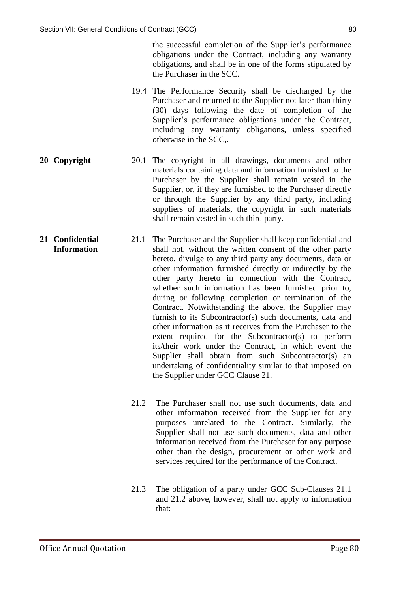the successful completion of the Supplier's performance obligations under the Contract, including any warranty obligations, and shall be in one of the forms stipulated by the Purchaser in the SCC.

- 19.4 The Performance Security shall be discharged by the Purchaser and returned to the Supplier not later than thirty (30) days following the date of completion of the Supplier's performance obligations under the Contract, including any warranty obligations, unless specified otherwise in the SCC,.
- **20 Copyright** 20.1 The copyright in all drawings, documents and other materials containing data and information furnished to the Purchaser by the Supplier shall remain vested in the Supplier, or, if they are furnished to the Purchaser directly or through the Supplier by any third party, including suppliers of materials, the copyright in such materials shall remain vested in such third party.
- **21 Confidential Information** 21.1 The Purchaser and the Supplier shall keep confidential and shall not, without the written consent of the other party hereto, divulge to any third party any documents, data or other information furnished directly or indirectly by the other party hereto in connection with the Contract, whether such information has been furnished prior to, during or following completion or termination of the Contract. Notwithstanding the above, the Supplier may furnish to its Subcontractor(s) such documents, data and other information as it receives from the Purchaser to the extent required for the Subcontractor(s) to perform its/their work under the Contract, in which event the Supplier shall obtain from such Subcontractor(s) an undertaking of confidentiality similar to that imposed on the Supplier under GCC Clause 21.
	- 21.2 The Purchaser shall not use such documents, data and other information received from the Supplier for any purposes unrelated to the Contract. Similarly, the Supplier shall not use such documents, data and other information received from the Purchaser for any purpose other than the design, procurement or other work and services required for the performance of the Contract.
	- 21.3 The obligation of a party under GCC Sub-Clauses 21.1 and 21.2 above, however, shall not apply to information that: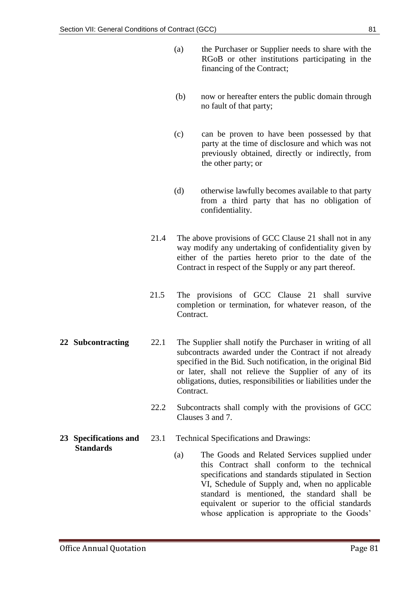- (a) the Purchaser or Supplier needs to share with the RGoB or other institutions participating in the financing of the Contract;
- (b) now or hereafter enters the public domain through no fault of that party;
- (c) can be proven to have been possessed by that party at the time of disclosure and which was not previously obtained, directly or indirectly, from the other party; or
- (d) otherwise lawfully becomes available to that party from a third party that has no obligation of confidentiality.
- 21.4 The above provisions of GCC Clause 21 shall not in any way modify any undertaking of confidentiality given by either of the parties hereto prior to the date of the Contract in respect of the Supply or any part thereof.
- 21.5 The provisions of GCC Clause 21 shall survive completion or termination, for whatever reason, of the Contract.
- **22 Subcontracting** 22.1 The Supplier shall notify the Purchaser in writing of all subcontracts awarded under the Contract if not already specified in the Bid. Such notification, in the original Bid or later, shall not relieve the Supplier of any of its obligations, duties, responsibilities or liabilities under the Contract.
	- 22.2 Subcontracts shall comply with the provisions of GCC Clauses 3 and 7.
	- 23.1 Technical Specifications and Drawings:
		- (a) The Goods and Related Services supplied under this Contract shall conform to the technical specifications and standards stipulated in Section VI, Schedule of Supply and, when no applicable standard is mentioned, the standard shall be equivalent or superior to the official standards whose application is appropriate to the Goods'
- **23 Specifications and Standards**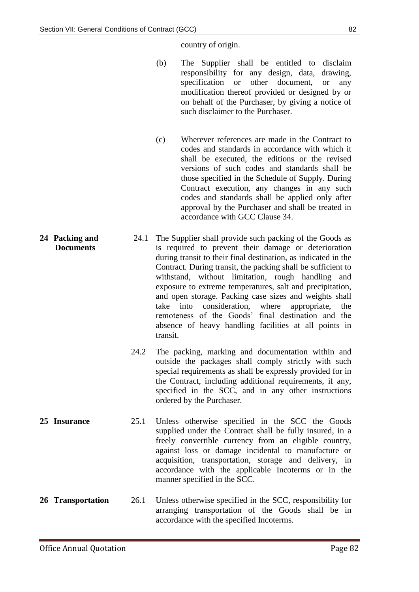country of origin.

- (b) The Supplier shall be entitled to disclaim responsibility for any design, data, drawing, specification or other document, or any modification thereof provided or designed by or on behalf of the Purchaser, by giving a notice of such disclaimer to the Purchaser.
- (c) Wherever references are made in the Contract to codes and standards in accordance with which it shall be executed, the editions or the revised versions of such codes and standards shall be those specified in the Schedule of Supply. During Contract execution, any changes in any such codes and standards shall be applied only after approval by the Purchaser and shall be treated in accordance with GCC Clause 34.
- **24 Packing and Documents** 24.1 The Supplier shall provide such packing of the Goods as is required to prevent their damage or deterioration during transit to their final destination, as indicated in the Contract. During transit, the packing shall be sufficient to withstand, without limitation, rough handling and exposure to extreme temperatures, salt and precipitation, and open storage. Packing case sizes and weights shall take into consideration, where appropriate, the remoteness of the Goods' final destination and the absence of heavy handling facilities at all points in transit.
	- 24.2 The packing, marking and documentation within and outside the packages shall comply strictly with such special requirements as shall be expressly provided for in the Contract, including additional requirements, if any, specified in the SCC, and in any other instructions ordered by the Purchaser.
- **25 Insurance** 25.1 Unless otherwise specified in the SCC the Goods supplied under the Contract shall be fully insured, in a freely convertible currency from an eligible country, against loss or damage incidental to manufacture or acquisition, transportation, storage and delivery, in accordance with the applicable Incoterms or in the manner specified in the SCC.
- **26 Transportation** 26.1 Unless otherwise specified in the SCC, responsibility for arranging transportation of the Goods shall be in accordance with the specified Incoterms.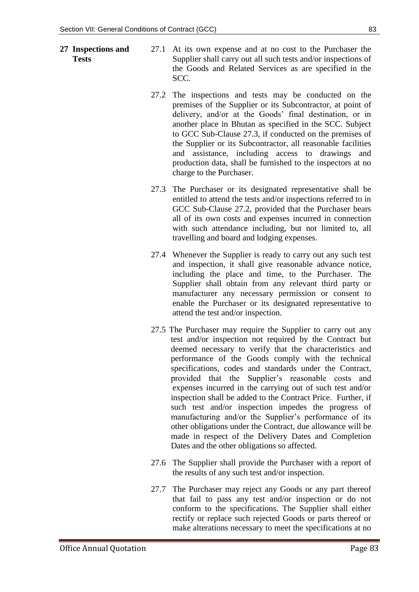- **27 Inspections and Tests**
- 27.1 At its own expense and at no cost to the Purchaser the Supplier shall carry out all such tests and/or inspections of the Goods and Related Services as are specified in the SCC.
- 27.2 The inspections and tests may be conducted on the premises of the Supplier or its Subcontractor, at point of delivery, and/or at the Goods' final destination, or in another place in Bhutan as specified in the SCC. Subject to GCC Sub-Clause 27.3, if conducted on the premises of the Supplier or its Subcontractor, all reasonable facilities and assistance, including access to drawings and production data, shall be furnished to the inspectors at no charge to the Purchaser.
- 27.3 The Purchaser or its designated representative shall be entitled to attend the tests and/or inspections referred to in GCC Sub-Clause 27.2, provided that the Purchaser bears all of its own costs and expenses incurred in connection with such attendance including, but not limited to, all travelling and board and lodging expenses.
- 27.4 Whenever the Supplier is ready to carry out any such test and inspection, it shall give reasonable advance notice, including the place and time, to the Purchaser. The Supplier shall obtain from any relevant third party or manufacturer any necessary permission or consent to enable the Purchaser or its designated representative to attend the test and/or inspection.
- 27.5 The Purchaser may require the Supplier to carry out any test and/or inspection not required by the Contract but deemed necessary to verify that the characteristics and performance of the Goods comply with the technical specifications, codes and standards under the Contract, provided that the Supplier's reasonable costs and expenses incurred in the carrying out of such test and/or inspection shall be added to the Contract Price. Further, if such test and/or inspection impedes the progress of manufacturing and/or the Supplier's performance of its other obligations under the Contract, due allowance will be made in respect of the Delivery Dates and Completion Dates and the other obligations so affected.
- 27.6 The Supplier shall provide the Purchaser with a report of the results of any such test and/or inspection.
- 27.7 The Purchaser may reject any Goods or any part thereof that fail to pass any test and/or inspection or do not conform to the specifications. The Supplier shall either rectify or replace such rejected Goods or parts thereof or make alterations necessary to meet the specifications at no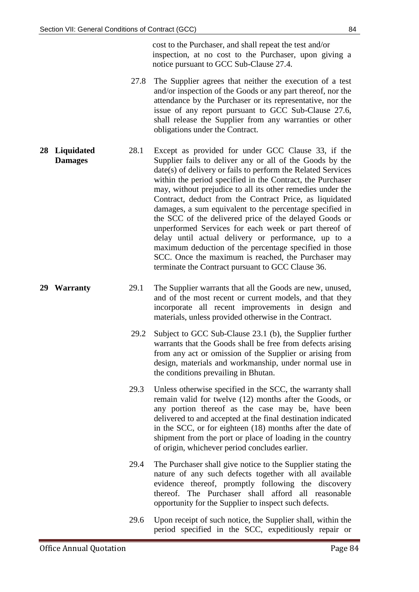cost to the Purchaser, and shall repeat the test and/or inspection, at no cost to the Purchaser, upon giving a notice pursuant to GCC Sub-Clause 27.4.

- 27.8 The Supplier agrees that neither the execution of a test and/or inspection of the Goods or any part thereof, nor the attendance by the Purchaser or its representative, nor the issue of any report pursuant to GCC Sub-Clause 27.6, shall release the Supplier from any warranties or other obligations under the Contract.
- **28 Liquidated Damages** 28.1 Except as provided for under GCC Clause 33, if the Supplier fails to deliver any or all of the Goods by the date(s) of delivery or fails to perform the Related Services within the period specified in the Contract, the Purchaser may, without prejudice to all its other remedies under the Contract, deduct from the Contract Price, as liquidated damages, a sum equivalent to the percentage specified in the SCC of the delivered price of the delayed Goods or unperformed Services for each week or part thereof of delay until actual delivery or performance, up to a maximum deduction of the percentage specified in those SCC. Once the maximum is reached, the Purchaser may terminate the Contract pursuant to GCC Clause 36.
- **29 Warranty** 29.1 The Supplier warrants that all the Goods are new, unused, and of the most recent or current models, and that they incorporate all recent improvements in design and materials, unless provided otherwise in the Contract.
	- 29.2 Subject to GCC Sub-Clause 23.1 (b), the Supplier further warrants that the Goods shall be free from defects arising from any act or omission of the Supplier or arising from design, materials and workmanship, under normal use in the conditions prevailing in Bhutan.
	- 29.3 Unless otherwise specified in the SCC, the warranty shall remain valid for twelve (12) months after the Goods, or any portion thereof as the case may be, have been delivered to and accepted at the final destination indicated in the SCC, or for eighteen (18) months after the date of shipment from the port or place of loading in the country of origin, whichever period concludes earlier.
	- 29.4 The Purchaser shall give notice to the Supplier stating the nature of any such defects together with all available evidence thereof, promptly following the discovery thereof. The Purchaser shall afford all reasonable opportunity for the Supplier to inspect such defects.
	- 29.6 Upon receipt of such notice, the Supplier shall, within the period specified in the SCC, expeditiously repair or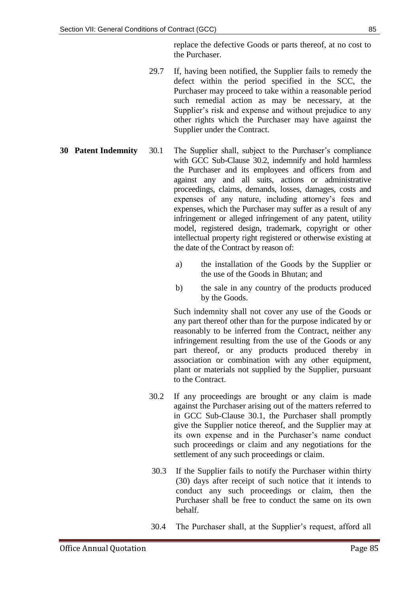replace the defective Goods or parts thereof, at no cost to the Purchaser.

- 29.7 If, having been notified, the Supplier fails to remedy the defect within the period specified in the SCC, the Purchaser may proceed to take within a reasonable period such remedial action as may be necessary, at the Supplier's risk and expense and without prejudice to any other rights which the Purchaser may have against the Supplier under the Contract.
- **30 Patent Indemnity** 30.1 The Supplier shall, subject to the Purchaser's compliance with GCC Sub-Clause 30.2, indemnify and hold harmless the Purchaser and its employees and officers from and against any and all suits, actions or administrative proceedings, claims, demands, losses, damages, costs and expenses of any nature, including attorney's fees and expenses, which the Purchaser may suffer as a result of any infringement or alleged infringement of any patent, utility model, registered design, trademark, copyright or other intellectual property right registered or otherwise existing at the date of the Contract by reason of:
	- a) the installation of the Goods by the Supplier or the use of the Goods in Bhutan; and
	- b) the sale in any country of the products produced by the Goods.

Such indemnity shall not cover any use of the Goods or any part thereof other than for the purpose indicated by or reasonably to be inferred from the Contract, neither any infringement resulting from the use of the Goods or any part thereof, or any products produced thereby in association or combination with any other equipment, plant or materials not supplied by the Supplier, pursuant to the Contract.

- 30.2 If any proceedings are brought or any claim is made against the Purchaser arising out of the matters referred to in GCC Sub-Clause 30.1, the Purchaser shall promptly give the Supplier notice thereof, and the Supplier may at its own expense and in the Purchaser's name conduct such proceedings or claim and any negotiations for the settlement of any such proceedings or claim.
- 30.3 If the Supplier fails to notify the Purchaser within thirty (30) days after receipt of such notice that it intends to conduct any such proceedings or claim, then the Purchaser shall be free to conduct the same on its own behalf.
- 30.4 The Purchaser shall, at the Supplier's request, afford all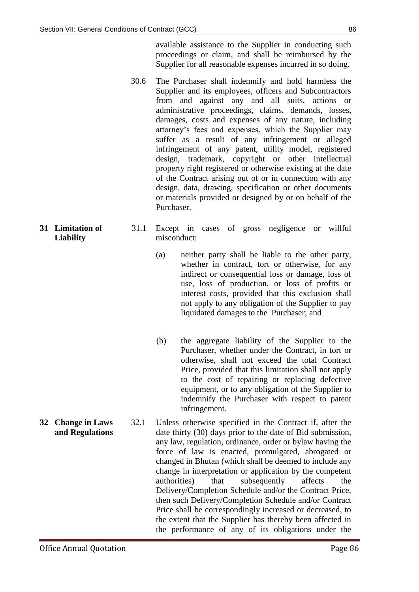available assistance to the Supplier in conducting such proceedings or claim, and shall be reimbursed by the Supplier for all reasonable expenses incurred in so doing.

- 30.6 The Purchaser shall indemnify and hold harmless the Supplier and its employees, officers and Subcontractors from and against any and all suits, actions or administrative proceedings, claims, demands, losses, damages, costs and expenses of any nature, including attorney's fees and expenses, which the Supplier may suffer as a result of any infringement or alleged infringement of any patent, utility model, registered design, trademark, copyright or other intellectual property right registered or otherwise existing at the date of the Contract arising out of or in connection with any design, data, drawing, specification or other documents or materials provided or designed by or on behalf of the Purchaser.
- **31 Limitation of Liability**  31.1 Except in cases of gross negligence or willful misconduct:
	- (a) neither party shall be liable to the other party, whether in contract, tort or otherwise, for any indirect or consequential loss or damage, loss of use, loss of production, or loss of profits or interest costs, provided that this exclusion shall not apply to any obligation of the Supplier to pay liquidated damages to the Purchaser; and
	- (b) the aggregate liability of the Supplier to the Purchaser, whether under the Contract, in tort or otherwise, shall not exceed the total Contract Price, provided that this limitation shall not apply to the cost of repairing or replacing defective equipment, or to any obligation of the Supplier to indemnify the Purchaser with respect to patent infringement.
- **32 Change in Laws and Regulations** 32.1 Unless otherwise specified in the Contract if, after the date thirty (30) days prior to the date of Bid submission, any law, regulation, ordinance, order or bylaw having the force of law is enacted, promulgated, abrogated or changed in Bhutan (which shall be deemed to include any change in interpretation or application by the competent authorities) that subsequently affects the Delivery/Completion Schedule and/or the Contract Price, then such Delivery/Completion Schedule and/or Contract Price shall be correspondingly increased or decreased, to the extent that the Supplier has thereby been affected in the performance of any of its obligations under the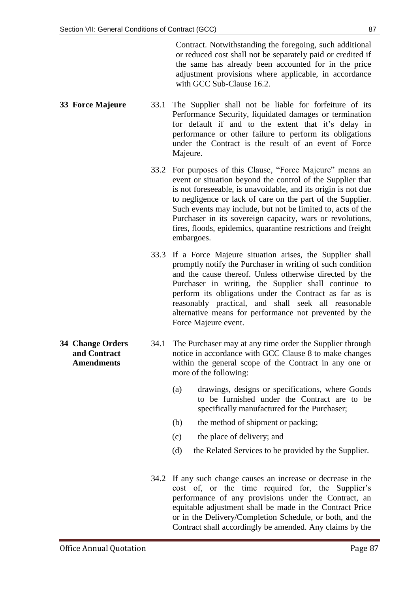Contract. Notwithstanding the foregoing, such additional or reduced cost shall not be separately paid or credited if the same has already been accounted for in the price adjustment provisions where applicable, in accordance with GCC Sub-Clause 16.2.

- **33 Force Majeure** 33.1 The Supplier shall not be liable for forfeiture of its Performance Security, liquidated damages or termination for default if and to the extent that it's delay in performance or other failure to perform its obligations under the Contract is the result of an event of Force Majeure.
	- 33.2 For purposes of this Clause, "Force Majeure" means an event or situation beyond the control of the Supplier that is not foreseeable, is unavoidable, and its origin is not due to negligence or lack of care on the part of the Supplier. Such events may include, but not be limited to, acts of the Purchaser in its sovereign capacity, wars or revolutions, fires, floods, epidemics, quarantine restrictions and freight embargoes.
	- 33.3 If a Force Majeure situation arises, the Supplier shall promptly notify the Purchaser in writing of such condition and the cause thereof. Unless otherwise directed by the Purchaser in writing, the Supplier shall continue to perform its obligations under the Contract as far as is reasonably practical, and shall seek all reasonable alternative means for performance not prevented by the Force Majeure event.
- **34 Change Orders and Contract Amendments** 34.1 The Purchaser may at any time order the Supplier through notice in accordance with GCC Clause 8 to make changes within the general scope of the Contract in any one or more of the following:
	- (a) drawings, designs or specifications, where Goods to be furnished under the Contract are to be specifically manufactured for the Purchaser;
	- (b) the method of shipment or packing;
	- (c) the place of delivery; and
	- (d) the Related Services to be provided by the Supplier.
	- 34.2 If any such change causes an increase or decrease in the cost of, or the time required for, the Supplier's performance of any provisions under the Contract, an equitable adjustment shall be made in the Contract Price or in the Delivery/Completion Schedule, or both, and the Contract shall accordingly be amended. Any claims by the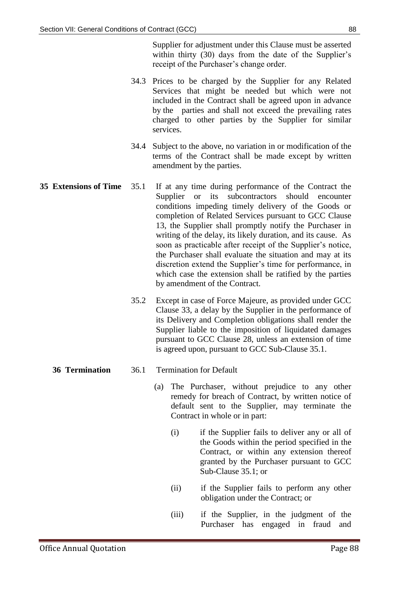Supplier for adjustment under this Clause must be asserted within thirty (30) days from the date of the Supplier's receipt of the Purchaser's change order.

- 34.3 Prices to be charged by the Supplier for any Related Services that might be needed but which were not included in the Contract shall be agreed upon in advance by the parties and shall not exceed the prevailing rates charged to other parties by the Supplier for similar services.
- 34.4 Subject to the above, no variation in or modification of the terms of the Contract shall be made except by written amendment by the parties.
- **35 Extensions of Time** 35.1 If at any time during performance of the Contract the Supplier or its subcontractors should encounter conditions impeding timely delivery of the Goods or completion of Related Services pursuant to GCC Clause 13, the Supplier shall promptly notify the Purchaser in writing of the delay, its likely duration, and its cause. As soon as practicable after receipt of the Supplier's notice, the Purchaser shall evaluate the situation and may at its discretion extend the Supplier's time for performance, in which case the extension shall be ratified by the parties by amendment of the Contract.
	- 35.2 Except in case of Force Majeure, as provided under GCC Clause 33, a delay by the Supplier in the performance of its Delivery and Completion obligations shall render the Supplier liable to the imposition of liquidated damages pursuant to GCC Clause 28, unless an extension of time is agreed upon, pursuant to GCC Sub-Clause 35.1.

- **36 Termination** 36.1 Termination for Default
	- (a) The Purchaser, without prejudice to any other remedy for breach of Contract, by written notice of default sent to the Supplier, may terminate the Contract in whole or in part:
		- (i) if the Supplier fails to deliver any or all of the Goods within the period specified in the Contract, or within any extension thereof granted by the Purchaser pursuant to GCC Sub-Clause 35.1; or
		- (ii) if the Supplier fails to perform any other obligation under the Contract; or
		- (iii) if the Supplier, in the judgment of the Purchaser has engaged in fraud and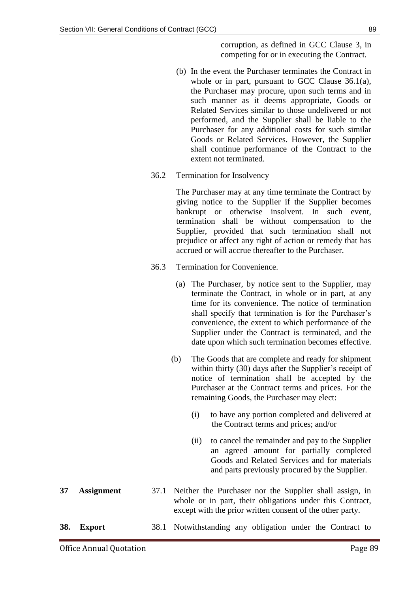corruption, as defined in GCC Clause 3, in competing for or in executing the Contract.

- (b) In the event the Purchaser terminates the Contract in whole or in part, pursuant to GCC Clause 36.1(a), the Purchaser may procure, upon such terms and in such manner as it deems appropriate, Goods or Related Services similar to those undelivered or not performed, and the Supplier shall be liable to the Purchaser for any additional costs for such similar Goods or Related Services. However, the Supplier shall continue performance of the Contract to the extent not terminated.
- 36.2 Termination for Insolvency

The Purchaser may at any time terminate the Contract by giving notice to the Supplier if the Supplier becomes bankrupt or otherwise insolvent. In such event, termination shall be without compensation to the Supplier, provided that such termination shall not prejudice or affect any right of action or remedy that has accrued or will accrue thereafter to the Purchaser.

- 36.3 Termination for Convenience.
	- (a) The Purchaser, by notice sent to the Supplier, may terminate the Contract, in whole or in part, at any time for its convenience. The notice of termination shall specify that termination is for the Purchaser's convenience, the extent to which performance of the Supplier under the Contract is terminated, and the date upon which such termination becomes effective.
	- (b) The Goods that are complete and ready for shipment within thirty (30) days after the Supplier's receipt of notice of termination shall be accepted by the Purchaser at the Contract terms and prices. For the remaining Goods, the Purchaser may elect:
		- (i) to have any portion completed and delivered at the Contract terms and prices; and/or
		- (ii) to cancel the remainder and pay to the Supplier an agreed amount for partially completed Goods and Related Services and for materials and parts previously procured by the Supplier.
- **37 Assignment** 37.1 Neither the Purchaser nor the Supplier shall assign, in whole or in part, their obligations under this Contract, except with the prior written consent of the other party.
- **38. Export** 38.1 Notwithstanding any obligation under the Contract to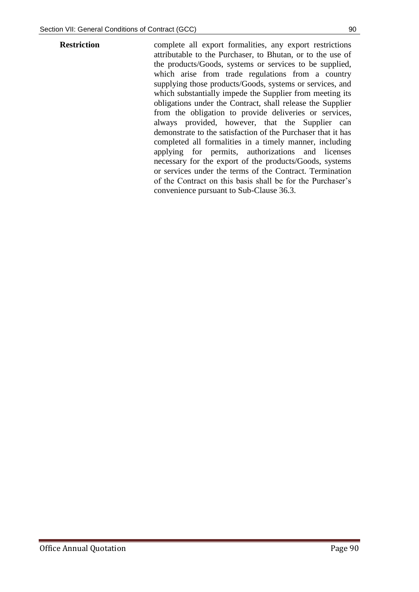**Restriction** complete all export formalities, any export restrictions attributable to the Purchaser, to Bhutan, or to the use of the products/Goods, systems or services to be supplied, which arise from trade regulations from a country supplying those products/Goods, systems or services, and which substantially impede the Supplier from meeting its obligations under the Contract, shall release the Supplier from the obligation to provide deliveries or services, always provided, however, that the Supplier can demonstrate to the satisfaction of the Purchaser that it has completed all formalities in a timely manner, including applying for permits, authorizations and licenses necessary for the export of the products/Goods, systems or services under the terms of the Contract. Termination of the Contract on this basis shall be for the Purchaser's convenience pursuant to Sub-Clause 36.3.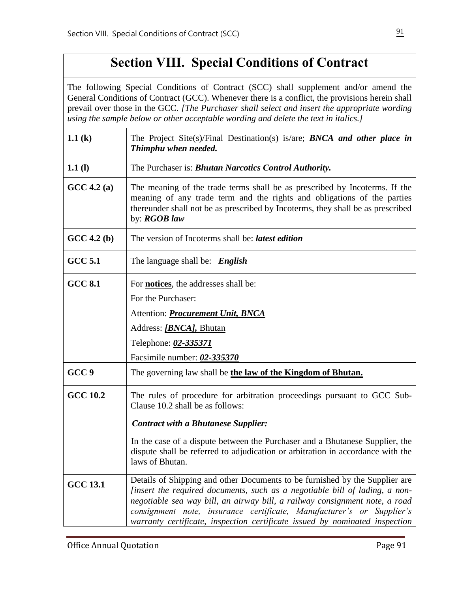# **Section VIII. Special Conditions of Contract**

The following Special Conditions of Contract (SCC) shall supplement and/or amend the General Conditions of Contract (GCC). Whenever there is a conflict, the provisions herein shall prevail over those in the GCC. *[The Purchaser shall select and insert the appropriate wording using the sample below or other acceptable wording and delete the text in italics.]*  **1.1 (k)** The Project Site(s)/Final Destination(s) is/are; *BNCA* and other place in *Thimphu when needed.* **1.1 (l)** The Purchaser is: *Bhutan Narcotics Control Authority.* **GCC 4.2 (a)** The meaning of the trade terms shall be as prescribed by Incoterms. If the meaning of any trade term and the rights and obligations of the parties thereunder shall not be as prescribed by Incoterms, they shall be as prescribed by: *RGOB law* **GCC 4.2 (b)** The version of Incoterms shall be: *latest edition* **GCC 5.1** The language shall be: *English* **GCC 8.1** For **notices**, the addresses shall be: For the Purchaser: Attention: *Procurement Unit, BNCA* Address: *[BNCA],* Bhutan Telephone: *02-335371* Facsimile number: *02-335370* **GCC 9** The governing law shall be **the law of the Kingdom of Bhutan. GCC 10.2** The rules of procedure for arbitration proceedings pursuant to GCC Sub-Clause 10.2 shall be as follows: *(b) Contract with a Bhutanese Supplier:* In the case of a dispute between the Purchaser and a Bhutanese Supplier, the dispute shall be referred to adjudication or arbitration in accordance with the laws of Bhutan. **GCC 13.1** Details of Shipping and other Documents to be furnished by the Supplier are *[insert the required documents, such as a negotiable bill of lading, a nonnegotiable sea way bill, an airway bill, a railway consignment note, a road consignment note, insurance certificate, Manufacturer's or Supplier's warranty certificate, inspection certificate issued by nominated inspection*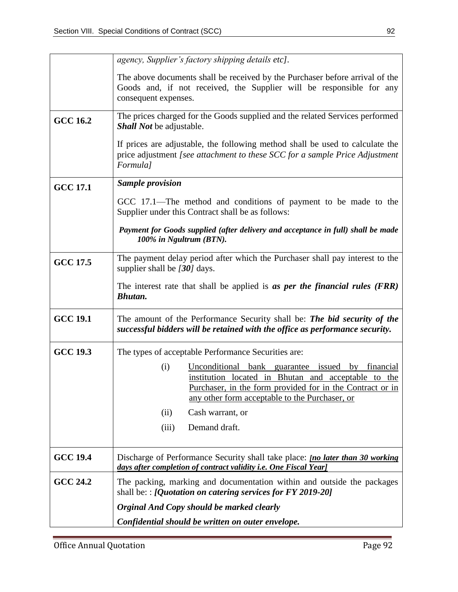|                 | agency, Supplier's factory shipping details etc].                                                                                                                                                                                |  |  |  |  |  |
|-----------------|----------------------------------------------------------------------------------------------------------------------------------------------------------------------------------------------------------------------------------|--|--|--|--|--|
|                 | The above documents shall be received by the Purchaser before arrival of the<br>Goods and, if not received, the Supplier will be responsible for any<br>consequent expenses.                                                     |  |  |  |  |  |
| <b>GCC 16.2</b> | The prices charged for the Goods supplied and the related Services performed<br><b>Shall Not be adjustable.</b>                                                                                                                  |  |  |  |  |  |
|                 | If prices are adjustable, the following method shall be used to calculate the<br>price adjustment [see attachment to these SCC for a sample Price Adjustment<br>Formula]                                                         |  |  |  |  |  |
| <b>GCC 17.1</b> | <b>Sample provision</b>                                                                                                                                                                                                          |  |  |  |  |  |
|                 | GCC 17.1—The method and conditions of payment to be made to the<br>Supplier under this Contract shall be as follows:                                                                                                             |  |  |  |  |  |
|                 | Payment for Goods supplied (after delivery and acceptance in full) shall be made<br>100% in Ngultrum (BTN).                                                                                                                      |  |  |  |  |  |
| <b>GCC 17.5</b> | The payment delay period after which the Purchaser shall pay interest to the<br>supplier shall be $[30]$ days.                                                                                                                   |  |  |  |  |  |
|                 | The interest rate that shall be applied is as per the financial rules (FRR)<br>Bhutan.                                                                                                                                           |  |  |  |  |  |
| <b>GCC 19.1</b> | The amount of the Performance Security shall be: The bid security of the<br>successful bidders will be retained with the office as performance security.                                                                         |  |  |  |  |  |
| <b>GCC 19.3</b> | The types of acceptable Performance Securities are:                                                                                                                                                                              |  |  |  |  |  |
|                 | (i)<br>Unconditional bank guarantee issued<br>by financial<br>institution located in Bhutan and acceptable to the<br>Purchaser, in the form provided for in the Contract or in<br>any other form acceptable to the Purchaser, or |  |  |  |  |  |
|                 | (ii)<br>Cash warrant, or                                                                                                                                                                                                         |  |  |  |  |  |
|                 | (iii)<br>Demand draft.                                                                                                                                                                                                           |  |  |  |  |  |
| <b>GCC 19.4</b> | Discharge of Performance Security shall take place: <i>[no later than 30 working</i> ]<br>days after completion of contract validity i.e. One Fiscal Year]                                                                       |  |  |  |  |  |
| <b>GCC 24.2</b> | The packing, marking and documentation within and outside the packages<br>shall be: : [Quotation on catering services for FY 2019-20]                                                                                            |  |  |  |  |  |
|                 | Orginal And Copy should be marked clearly                                                                                                                                                                                        |  |  |  |  |  |
|                 |                                                                                                                                                                                                                                  |  |  |  |  |  |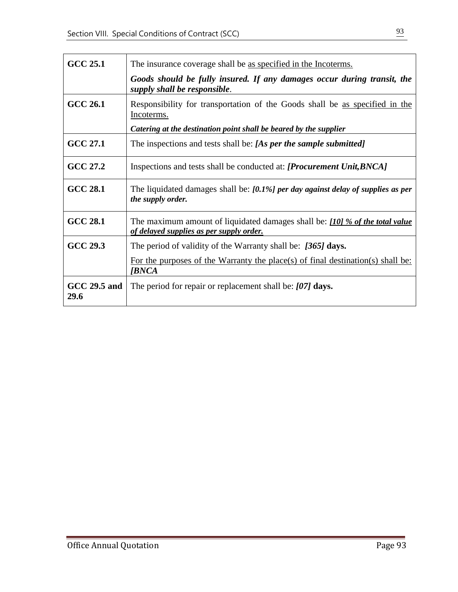| <b>GCC 25.1</b>      | The insurance coverage shall be as specified in the Incoterms.                                                           |  |
|----------------------|--------------------------------------------------------------------------------------------------------------------------|--|
|                      | Goods should be fully insured. If any damages occur during transit, the<br>supply shall be responsible.                  |  |
| <b>GCC 26.1</b>      | Responsibility for transportation of the Goods shall be as specified in the<br>Incoterms.                                |  |
|                      | Catering at the destination point shall be beared by the supplier                                                        |  |
| GCC 27.1             | The inspections and tests shall be: [As per the sample submitted]                                                        |  |
| GCC 27.2             | Inspections and tests shall be conducted at: [Procurement Unit, BNCA]                                                    |  |
| <b>GCC 28.1</b>      | The liquidated damages shall be: $[0.1\%]$ per day against delay of supplies as per<br>the supply order.                 |  |
| <b>GCC 28.1</b>      | The maximum amount of liquidated damages shall be: [10] % of the total value<br>of delayed supplies as per supply order. |  |
| GCC 29.3             | The period of validity of the Warranty shall be: [365] days.                                                             |  |
|                      | For the purposes of the Warranty the place(s) of final destination(s) shall be:<br><b><i>[BNCA</i></b>                   |  |
| GCC 29.5 and<br>29.6 | The period for repair or replacement shall be: $[07]$ days.                                                              |  |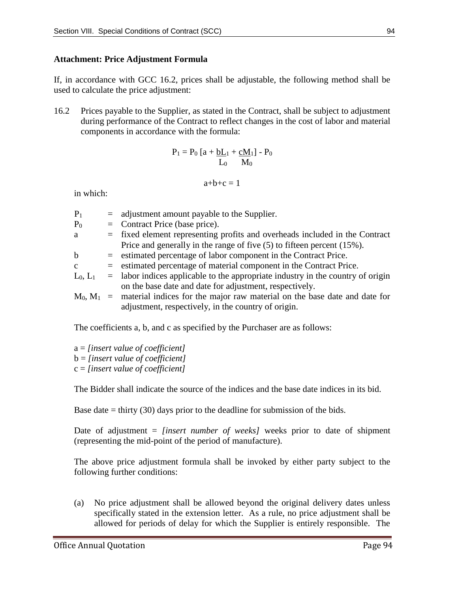#### **Attachment: Price Adjustment Formula**

If, in accordance with GCC 16.2, prices shall be adjustable, the following method shall be used to calculate the price adjustment:

16.2 Prices payable to the Supplier, as stated in the Contract, shall be subject to adjustment during performance of the Contract to reflect changes in the cost of labor and material components in accordance with the formula:

$$
P_1=P_0\left[a+\underline{bL}_1+\underline{cM}_1\right]-P_0\\L_0\qquad M_0
$$

$$
a+b+c=1
$$

in which:

| $P_1$          | $=$ adjustment amount payable to the Supplier.                                            |
|----------------|-------------------------------------------------------------------------------------------|
| P <sub>0</sub> | $=$ Contract Price (base price).                                                          |
| a              | $=$ fixed element representing profits and overheads included in the Contract             |
|                | Price and generally in the range of five $(5)$ to fifteen percent $(15\%)$ .              |
| $\mathbf b$    | $=$ estimated percentage of labor component in the Contract Price.                        |
| $\mathbf{c}$   | $=$ estimated percentage of material component in the Contract Price.                     |
| $L_0, L_1$     | $=$ labor indices applicable to the appropriate industry in the country of origin         |
|                | on the base date and date for adjustment, respectively.                                   |
|                | $M_0$ , $M_1$ = material indices for the major raw material on the base date and date for |
|                | adjustment, respectively, in the country of origin.                                       |
|                |                                                                                           |

The coefficients a, b, and c as specified by the Purchaser are as follows:

a = *[insert value of coefficient]* b = *[insert value of coefficient]* c = *[insert value of coefficient]*

The Bidder shall indicate the source of the indices and the base date indices in its bid.

Base date  $=$  thirty (30) days prior to the deadline for submission of the bids.

Date of adjustment = *[insert number of weeks]* weeks prior to date of shipment (representing the mid-point of the period of manufacture).

The above price adjustment formula shall be invoked by either party subject to the following further conditions:

(a) No price adjustment shall be allowed beyond the original delivery dates unless specifically stated in the extension letter. As a rule, no price adjustment shall be allowed for periods of delay for which the Supplier is entirely responsible. The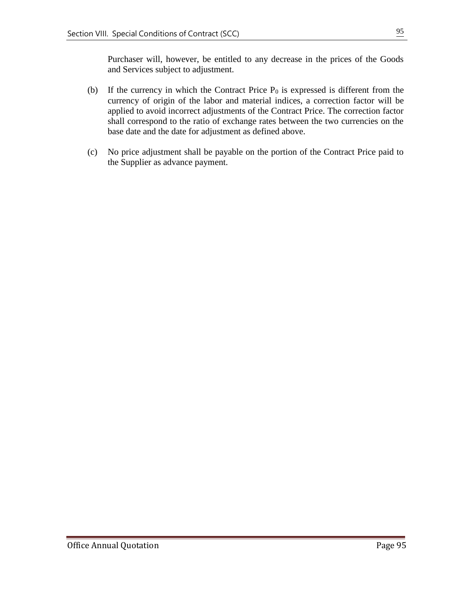Purchaser will, however, be entitled to any decrease in the prices of the Goods and Services subject to adjustment.

- (b) If the currency in which the Contract Price  $P_0$  is expressed is different from the currency of origin of the labor and material indices, a correction factor will be applied to avoid incorrect adjustments of the Contract Price. The correction factor shall correspond to the ratio of exchange rates between the two currencies on the base date and the date for adjustment as defined above.
- (c) No price adjustment shall be payable on the portion of the Contract Price paid to the Supplier as advance payment.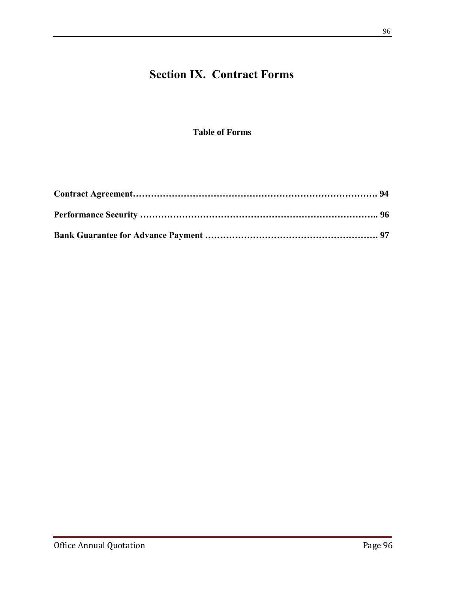# **Section IX. Contract Forms**

### **Table of Forms**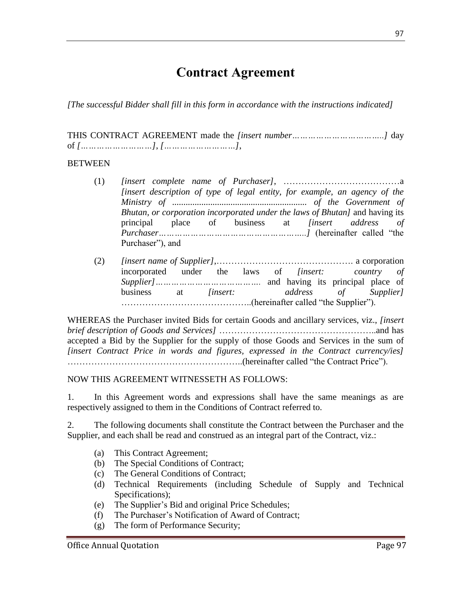# **Contract Agreement**

*[The successful Bidder shall fill in this form in accordance with the instructions indicated]*

THIS CONTRACT AGREEMENT made the *[insert number……………………………..]* day of *[………………………]*, *[………………………]*,

#### BETWEEN

- (1) *[insert complete name of Purchaser]*, …………………………………a *[insert description of type of legal entity, for example, an agency of the Ministry of ............................................................ of the Government of Bhutan, or corporation incorporated under the laws of Bhutan]* and having its principal place of business at *[insert address of Purchaser………………………………………………..]* (hereinafter called "the Purchaser"), and
- (2) *[insert name of Supplier]*,………………………………………. a corporation incorporated under the laws of *[insert: country of Supplier]………………………………….* and having its principal place of business at *[insert: address of Supplier]* ……………………………………..(hereinafter called "the Supplier").

WHEREAS the Purchaser invited Bids for certain Goods and ancillary services, viz., *[insert brief description of Goods and Services]* ……………………………………………..and has accepted a Bid by the Supplier for the supply of those Goods and Services in the sum of *[insert Contract Price in words and figures, expressed in the Contract currency/ies]* …………………………………………………..(hereinafter called "the Contract Price").

#### NOW THIS AGREEMENT WITNESSETH AS FOLLOWS:

1. In this Agreement words and expressions shall have the same meanings as are respectively assigned to them in the Conditions of Contract referred to.

2. The following documents shall constitute the Contract between the Purchaser and the Supplier, and each shall be read and construed as an integral part of the Contract, viz.:

- (a) This Contract Agreement;
- (b) The Special Conditions of Contract;
- (c) The General Conditions of Contract;
- (d) Technical Requirements (including Schedule of Supply and Technical Specifications);
- (e) The Supplier's Bid and original Price Schedules;
- (f) The Purchaser's Notification of Award of Contract;
- (g) The form of Performance Security;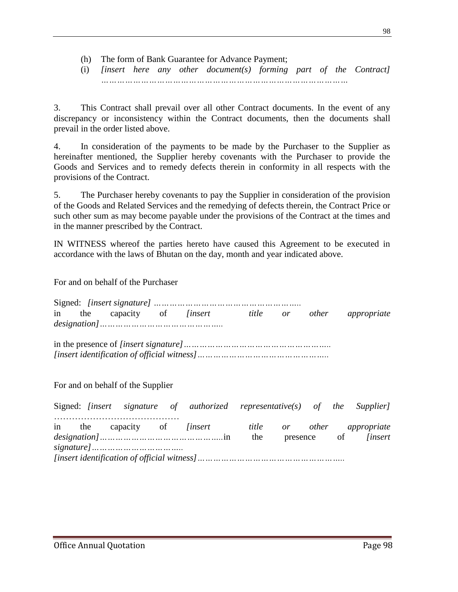(h) The form of Bank Guarantee for Advance Payment;

(i) *[insert here any other document(s) forming part of the Contract] …………………………………………………………………………………*

3. This Contract shall prevail over all other Contract documents. In the event of any discrepancy or inconsistency within the Contract documents, then the documents shall prevail in the order listed above.

4. In consideration of the payments to be made by the Purchaser to the Supplier as hereinafter mentioned, the Supplier hereby covenants with the Purchaser to provide the Goods and Services and to remedy defects therein in conformity in all respects with the provisions of the Contract.

5. The Purchaser hereby covenants to pay the Supplier in consideration of the provision of the Goods and Related Services and the remedying of defects therein, the Contract Price or such other sum as may become payable under the provisions of the Contract at the times and in the manner prescribed by the Contract.

IN WITNESS whereof the parties hereto have caused this Agreement to be executed in accordance with the laws of Bhutan on the day, month and year indicated above.

For and on behalf of the Purchaser

|  |                                   | in the capacity of <i>[insert</i> title or other appropriate               |  |  |  |
|--|-----------------------------------|----------------------------------------------------------------------------|--|--|--|
|  |                                   |                                                                            |  |  |  |
|  |                                   |                                                                            |  |  |  |
|  | For and on behalf of the Supplier |                                                                            |  |  |  |
|  |                                   | Signed: [insert signature of authorized representative(s) of the Supplier] |  |  |  |
|  |                                   | in the canacity of lineart title or other annualizate                      |  |  |  |

in the capacity of *[insert title or other appropriate designation]………………………………………..*in the presence of *[insert signature]…………………………….. [insert identification of official witness]………………………………………………..*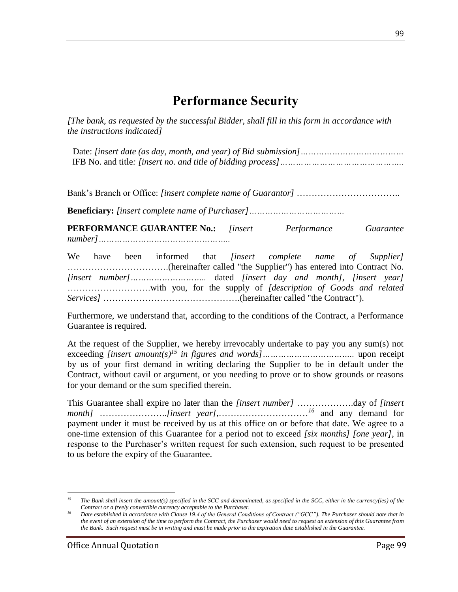## **Performance Security**

*[The bank, as requested by the successful Bidder, shall fill in this form in accordance with the instructions indicated]* 

Date: *[insert date (as day, month, and year) of Bid submission]…………………………………* IFB No. and title*: [insert no. and title of bidding process]………………………………………..*

Bank's Branch or Office: *[insert complete name of Guarantor]* ……………………………..

**Beneficiary:** *[insert complete name of Purchaser]………………………………*

**PERFORMANCE GUARANTEE No.:** *[insert Performance Guarantee number]…………………………………………..*

We have been informed that *[insert complete name of Supplier]* …………………………….(hereinafter called "the Supplier") has entered into Contract No*. [insert number]………………………..* dated *[insert day and month], [insert year]* ……………………….with you, for the supply of *[description of Goods and related Services]* ……………………………………….(hereinafter called "the Contract").

Furthermore, we understand that, according to the conditions of the Contract, a Performance Guarantee is required.

At the request of the Supplier, we hereby irrevocably undertake to pay you any sum(s) not exceeding *[insert amount(s) <sup>15</sup> in figures and words]……………………………..* upon receipt by us of your first demand in writing declaring the Supplier to be in default under the Contract, without cavil or argument, or you needing to prove or to show grounds or reasons for your demand or the sum specified therein.

This Guarantee shall expire no later than the *[insert number]* ……………….day of *[insert month]* …………………..*[insert year]*,…………………………*<sup>16</sup>* and any demand for payment under it must be received by us at this office on or before that date. We agree to a one-time extension of this Guarantee for a period not to exceed *[six months] [one year]*, in response to the Purchaser's written request for such extension, such request to be presented to us before the expiry of the Guarantee.

 $\overline{a}$ <sup>15</sup> The Bank shall insert the amount(s) specified in the SCC and denominated, as specified in the SCC, either in the currency(ies) of the *Contract or a freely convertible currency acceptable to the Purchaser.*

*<sup>16</sup> Date established in accordance with Clause 19.4 of the General Conditions of Contract ("GCC"). The Purchaser should note that in the event of an extension of the time to perform the Contract, the Purchaser would need to request an extension of this Guarantee from the Bank. Such request must be in writing and must be made prior to the expiration date established in the Guarantee.*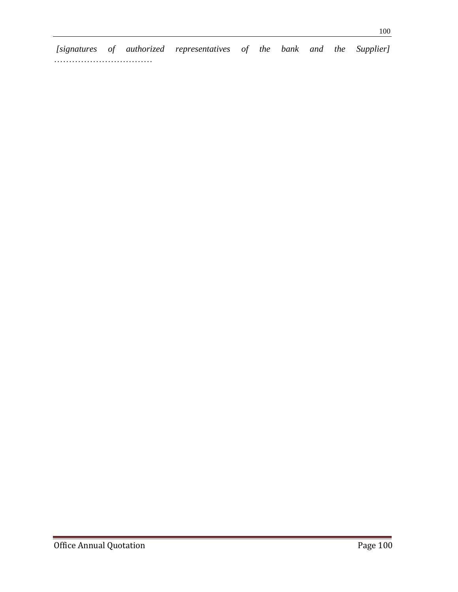*[signatures of authorized representatives of the bank and the Supplier]* ……………………………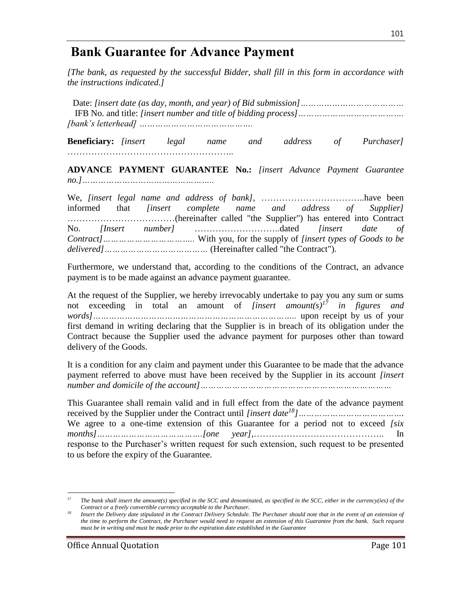### **Bank Guarantee for Advance Payment**

*[The bank, as requested by the successful Bidder, shall fill in this form in accordance with the instructions indicated.]* 

Date: *[insert date (as day, month, and year) of Bid submission]…………………………………* IFB No. and title: *[insert number and title of bidding process]…………………………………. [bank's letterhead] …………………………………….*

**Beneficiary:** *[insert legal name and address of Purchaser]* ………………………………………………..

**ADVANCE PAYMENT GUARANTEE No.:** *[insert Advance Payment Guarantee no.]…………………………………………..*

We, *[insert legal name and address of bank],* ……………………………..have been informed that *[insert complete name and address of Supplier]* ………………………………(hereinafter called "the Supplier") has entered into Contract No. *[Insert number]* ………………………..dated *[insert date of Contract]……………………………..* With you, for the supply of *[insert types of Goods to be delivered]…………………………………* (Hereinafter called "the Contract").

Furthermore, we understand that, according to the conditions of the Contract, an advance payment is to be made against an advance payment guarantee.

At the request of the Supplier, we hereby irrevocably undertake to pay you any sum or sums not exceeding in total an amount of *[insert amount(s)<sup>17</sup> in figures and words]…………………………………………………………………..* upon receipt by us of your first demand in writing declaring that the Supplier is in breach of its obligation under the Contract because the Supplier used the advance payment for purposes other than toward delivery of the Goods.

It is a condition for any claim and payment under this Guarantee to be made that the advance payment referred to above must have been received by the Supplier in its account *[insert number and domicile of the account]………………………………………………………………*

This Guarantee shall remain valid and in full effect from the date of the advance payment received by the Supplier under the Contract until *[insert date<sup>18</sup>]………………………………….* We agree to a one-time extension of this Guarantee for a period not to exceed *[six months]………………………………….[one year]*,…………………………………….. In response to the Purchaser's written request for such extension, such request to be presented to us before the expiry of the Guarantee.

 $\overline{a}$ <sup>17</sup> The bank shall insert the amount(s) specified in the SCC and denominated, as specified in the SCC, either in the currency(ies) of the *Contract or a freely convertible currency acceptable to the Purchaser.*

<sup>&</sup>lt;sup>18</sup> Insert the Delivery date stipulated in the Contract Delivery Schedule. The Purchaser should note that in the event of an extension of *the time to perform the Contract, the Purchaser would need to request an extension of this Guarantee from the bank. Such request must be in writing and must be made prior to the expiration date established in the Guarantee*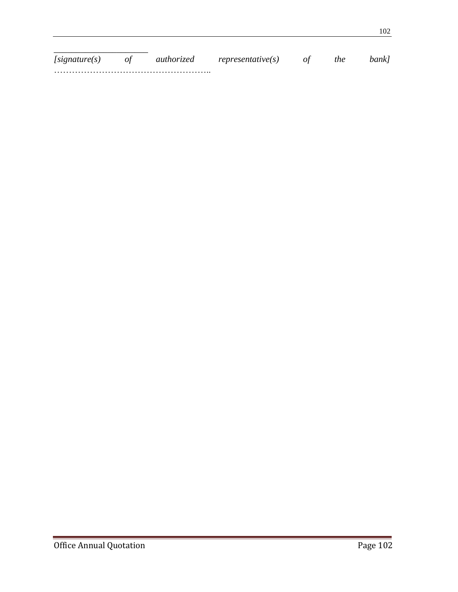| [signature(s)] | authorized | representative(s) | the | bankl |
|----------------|------------|-------------------|-----|-------|
|                |            |                   |     |       |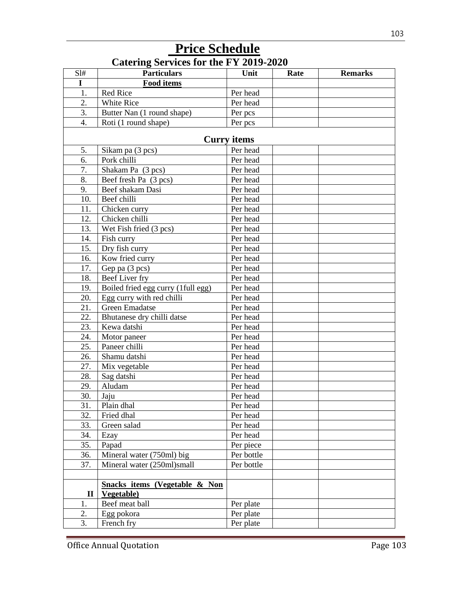|                  | <b>Catering Services for the FY 2019-2020</b> |                    |      |                |
|------------------|-----------------------------------------------|--------------------|------|----------------|
| SI#              | <b>Particulars</b>                            | Unit               | Rate | <b>Remarks</b> |
| $\mathbf I$      | <b>Food items</b>                             |                    |      |                |
| 1.               | Red Rice                                      | Per head           |      |                |
| 2.               | White Rice                                    | Per head           |      |                |
| 3.               | Butter Nan (1 round shape)                    | Per pcs            |      |                |
| $\overline{4}$ . | Roti (1 round shape)                          | Per pcs            |      |                |
|                  |                                               | <b>Curry items</b> |      |                |
| 5.               | Sikam pa (3 pcs)                              | Per head           |      |                |
| 6.               | Pork chilli                                   | Per head           |      |                |
| 7.               | Shakam Pa (3 pcs)                             | Per head           |      |                |
| 8.               | Beef fresh Pa (3 pcs)                         | Per head           |      |                |
| 9.               | Beef shakam Dasi                              | Per head           |      |                |
| 10.              | Beef chilli                                   | Per head           |      |                |
| 11.              | Chicken curry                                 | Per head           |      |                |
| 12.              | Chicken chilli                                | Per head           |      |                |
| 13.              | Wet Fish fried (3 pcs)                        | Per head           |      |                |
| 14.              | Fish curry                                    | Per head           |      |                |
| 15.              | Dry fish curry                                | Per head           |      |                |
| 16.              | Kow fried curry                               | Per head           |      |                |
| 17.              | Gep pa (3 pcs)                                | Per head           |      |                |
| 18.              | Beef Liver fry                                | Per head           |      |                |
| 19.              | Boiled fried egg curry (1full egg)            | Per head           |      |                |
| 20.              | Egg curry with red chilli                     | Per head           |      |                |
| 21.              | <b>Green Emadatse</b>                         | Per head           |      |                |
| 22.              | Bhutanese dry chilli datse                    | Per head           |      |                |
| 23.              | Kewa datshi                                   | Per head           |      |                |
| 24.              | Motor paneer                                  | Per head           |      |                |
| 25.              | Paneer chilli                                 | Per head           |      |                |
| 26.              | Shamu datshi                                  | Per head           |      |                |
| 27.              | Mix vegetable                                 | Per head           |      |                |
| 28.              | Sag datshi                                    | Per head           |      |                |
| 29.              | Aludam                                        | Per head           |      |                |
| 30.              | Jaju                                          | Per head           |      |                |
| 31.              | Plain dhal                                    | Per head           |      |                |
| 32.              | Fried dhal                                    | Per head           |      |                |
| 33.              | Green salad                                   | Per head           |      |                |
| 34.              | Ezay                                          | Per head           |      |                |
| 35.              | Papad                                         | Per piece          |      |                |
| 36.              | Mineral water (750ml) big                     | Per bottle         |      |                |
| 37.              | Mineral water (250ml)small                    | Per bottle         |      |                |
|                  | Snacks items (Vegetable & Non                 |                    |      |                |
| $\mathbf{I}$     | Vegetable)                                    |                    |      |                |
| 1.               | Beef meat ball                                | Per plate          |      |                |
| 2.               | Egg pokora                                    | Per plate          |      |                |
| 3.               | French fry                                    | Per plate          |      |                |

# **Price Schedule**